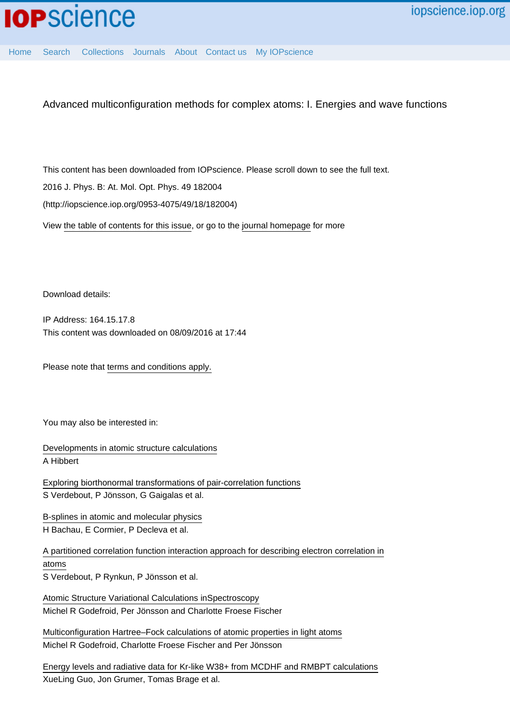[Home](http://iopscience.iop.org/) [Search](http://iopscience.iop.org/search) [Collections](http://iopscience.iop.org/collections) [Journals](http://iopscience.iop.org/journals) [About](http://iopscience.iop.org/page/aboutioppublishing) [Contact us](http://iopscience.iop.org/contact) [My IOPscience](http://iopscience.iop.org/myiopscience)

Advanced multiconfiguration methods for complex atoms: I. Energies and wave functions

This content has been downloaded from IOPscience. Please scroll down to see the full text. View [the table of contents for this issue](http://iopscience.iop.org/0953-4075/49/18), or go to the [journal homepage](http://iopscience.iop.org/0953-4075) for more 2016 J. Phys. B: At. Mol. Opt. Phys. 49 182004 (http://iopscience.iop.org/0953-4075/49/18/182004)

Download details:

IP Address: 164.15.17.8 This content was downloaded on 08/09/2016 at 17:44

Please note that [terms and conditions apply.](http://iopscience.iop.org/page/terms)

You may also be interested in:

[Developments in atomic structure calculations](http://iopscience.iop.org/article/10.1088/0034-4885/38/11/001) A Hibbert

[Exploring biorthonormal transformations of pair-correlation functions](http://iopscience.iop.org/article/10.1088/0953-4075/43/7/074017) S Verdebout, P Jönsson, G Gaigalas et al.

[B-splines in atomic and molecular physics](http://iopscience.iop.org/article/10.1088/0034-4885/64/12/205) H Bachau, E Cormier, P Decleva et al.

[A partitioned correlation function interaction approach for describing electron correlation in](http://iopscience.iop.org/article/10.1088/0953-4075/46/8/085003) [atoms](http://iopscience.iop.org/article/10.1088/0953-4075/46/8/085003)

S Verdebout, P Rynkun, P Jönsson et al.

[Atomic Structure Variational Calculations inSpectroscopy](http://iopscience.iop.org/article/10.1238/Physica.Topical.078a00033) Michel R Godefroid, Per Jönsson and Charlotte Froese Fischer

[Multiconfiguration Hartree–Fock calculations of atomic properties in light atoms](http://iopscience.iop.org/article/10.1088/0031-8949/1996/T65/010) Michel R Godefroid, Charlotte Froese Fischer and Per Jönsson

[Energy levels and radiative data for Kr-like W38+ from MCDHF and RMBPT calculations](http://iopscience.iop.org/article/10.1088/0953-4075/49/13/135003) XueLing Guo, Jon Grumer, Tomas Brage et al.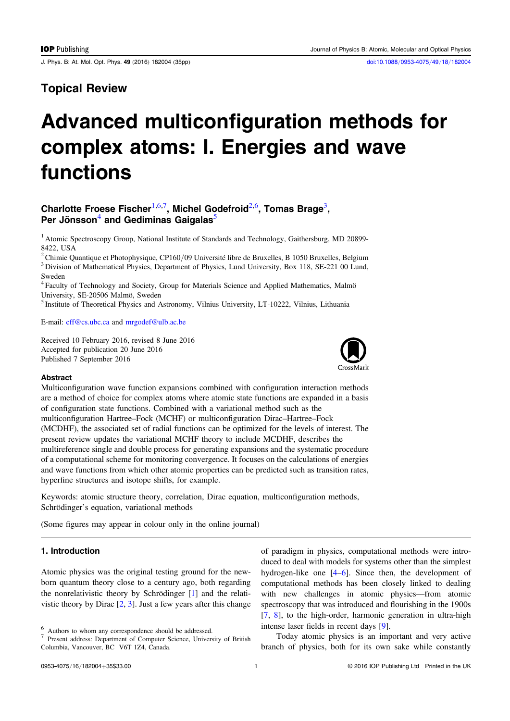J. Phys. B: At. Mol. Opt. Phys. 49 (2016) 182004 (35pp) doi:10.1088/0953-4075/49/18/182004

# Journal of Physics B: Atomic, Molecular and Optical Physics

# Topical Review

functions

Advanced multiconfiguration methods for complex atoms: I. Energies and wave

# Charlotte Froese Fischer $^{1,6,7}$  $^{1,6,7}$  $^{1,6,7}$  $^{1,6,7}$  $^{1,6,7}$ , Michel Godefroid $^{2,6}$  $^{2,6}$  $^{2,6}$ , Tomas Brage $^3,$  $^3,$  $^3,$ Per Jönsson $4$  and Gediminas Gaigalas<sup>[5](#page-1-6)</sup>

<span id="page-1-0"></span><sup>1</sup> Atomic Spectroscopy Group, National Institute of Standards and Technology, Gaithersburg, MD 20899-8422, USA<br><sup>2</sup> Chimie Quantique et Photophysique, CP160/09 Université libre de Bruxelles, B 1050 Bruxelles, Belgium

<span id="page-1-4"></span><span id="page-1-3"></span><sup>3</sup> Division of Mathematical Physics, Department of Physics, Lund University, Box 118, SE-221 00 Lund, Sweden

<span id="page-1-5"></span><sup>4</sup> Faculty of Technology and Society, Group for Materials Science and Applied Mathematics, Malmö University, SE-20506 Malmö, Sweden

<span id="page-1-6"></span><sup>5</sup> Institute of Theoretical Physics and Astronomy, Vilnius University, LT-10222, Vilnius, Lithuania

E-mail: [cff@cs.ubc.ca](mailto:cff@cs.ubc.ca) and [mrgodef@ulb.ac.be](mailto:mrgodef@ulb.ac.be)

Received 10 February 2016, revised 8 June 2016 Accepted for publication 20 June 2016 Published 7 September 2016



### Abstract

Multiconfiguration wave function expansions combined with configuration interaction methods are a method of choice for complex atoms where atomic state functions are expanded in a basis of configuration state functions. Combined with a variational method such as the multiconfiguration Hartree–Fock (MCHF) or multiconfiguration Dirac–Hartree–Fock (MCDHF), the associated set of radial functions can be optimized for the levels of interest. The present review updates the variational MCHF theory to include MCDHF, describes the multireference single and double process for generating expansions and the systematic procedure of a computational scheme for monitoring convergence. It focuses on the calculations of energies and wave functions from which other atomic properties can be predicted such as transition rates, hyperfine structures and isotope shifts, for example.

Keywords: atomic structure theory, correlation, Dirac equation, multiconfiguration methods, Schrödinger's equation, variational methods

(Some figures may appear in colour only in the online journal)

# 1. Introduction

Atomic physics was the original testing ground for the newborn quantum theory close to a century ago, both regarding the nonrelativistic theory by Schrödinger [[1](#page-32-0)] and the relativistic theory by Dirac  $[2, 3]$  $[2, 3]$  $[2, 3]$  $[2, 3]$  $[2, 3]$ . Just a few years after this change of paradigm in physics, computational methods were introduced to deal with models for systems other than the simplest hydrogen-like one [[4](#page-32-3)–[6](#page-32-4)]. Since then, the development of computational methods has been closely linked to dealing with new challenges in atomic physics—from atomic spectroscopy that was introduced and flourishing in the 1900s [[7](#page-32-5), [8](#page-32-6)], to the high-order, harmonic generation in ultra-high intense laser fields in recent days [[9](#page-32-7)].

Today atomic physics is an important and very active branch of physics, both for its own sake while constantly

<span id="page-1-2"></span>

<span id="page-1-1"></span> $\frac{6}{7}$  Authors to whom any correspondence should be addressed.<br>  $\frac{7}{7}$  Present address: Department of Computer Science, University of British Columbia, Vancouver, BC V6T 1Z4, Canada.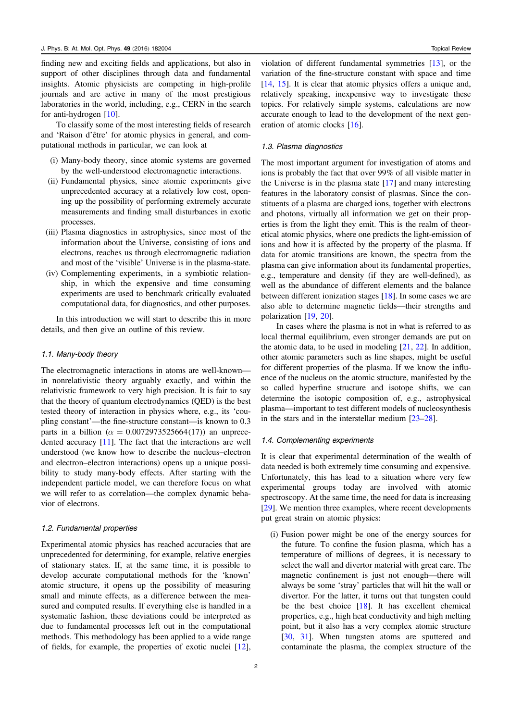finding new and exciting fields and applications, but also in support of other disciplines through data and fundamental insights. Atomic physicists are competing in high-profile journals and are active in many of the most prestigious laboratories in the world, including, e.g., CERN in the search for anti-hydrogen [[10](#page-32-8)].

To classify some of the most interesting fields of research and 'Raison d'être' for atomic physics in general, and computational methods in particular, we can look at

- (i) Many-body theory, since atomic systems are governed by the well-understood electromagnetic interactions.
- (ii) Fundamental physics, since atomic experiments give unprecedented accuracy at a relatively low cost, opening up the possibility of performing extremely accurate measurements and finding small disturbances in exotic processes.
- (iii) Plasma diagnostics in astrophysics, since most of the information about the Universe, consisting of ions and electrons, reaches us through electromagnetic radiation and most of the 'visible' Universe is in the plasma-state.
- (iv) Complementing experiments, in a symbiotic relationship, in which the expensive and time consuming experiments are used to benchmark critically evaluated computational data, for diagnostics, and other purposes.

In this introduction we will start to describe this in more details, and then give an outline of this review.

#### 1.1. Many-body theory

The electromagnetic interactions in atoms are well-known in nonrelativistic theory arguably exactly, and within the relativistic framework to very high precision. It is fair to say that the theory of quantum electrodynamics (QED) is the best tested theory of interaction in physics where, e.g., its 'coupling constant'—the fine-structure constant—is known to 0.3 parts in a billion ( $\alpha = 0.0072973525664(17)$ ) an unprecedented accuracy [[11](#page-32-9)]. The fact that the interactions are well understood (we know how to describe the nucleus–electron and electron–electron interactions) opens up a unique possibility to study many-body effects. After starting with the independent particle model, we can therefore focus on what we will refer to as correlation—the complex dynamic behavior of electrons.

#### 1.2. Fundamental properties

Experimental atomic physics has reached accuracies that are unprecedented for determining, for example, relative energies of stationary states. If, at the same time, it is possible to develop accurate computational methods for the 'known' atomic structure, it opens up the possibility of measuring small and minute effects, as a difference between the measured and computed results. If everything else is handled in a systematic fashion, these deviations could be interpreted as due to fundamental processes left out in the computational methods. This methodology has been applied to a wide range of fields, for example, the properties of exotic nuclei [[12](#page-32-10)],

violation of different fundamental symmetries [[13](#page-32-11)], or the variation of the fine-structure constant with space and time [[14](#page-32-12), [15](#page-32-13)]. It is clear that atomic physics offers a unique and, relatively speaking, inexpensive way to investigate these topics. For relatively simple systems, calculations are now accurate enough to lead to the development of the next generation of atomic clocks [[16](#page-32-14)].

#### 1.3. Plasma diagnostics

The most important argument for investigation of atoms and ions is probably the fact that over 99% of all visible matter in the Universe is in the plasma state [[17](#page-32-15)] and many interesting features in the laboratory consist of plasmas. Since the constituents of a plasma are charged ions, together with electrons and photons, virtually all information we get on their properties is from the light they emit. This is the realm of theoretical atomic physics, where one predicts the light-emission of ions and how it is affected by the property of the plasma. If data for atomic transitions are known, the spectra from the plasma can give information about its fundamental properties, e.g., temperature and density (if they are well-defined), as well as the abundance of different elements and the balance between different ionization stages [[18](#page-32-16)]. In some cases we are also able to determine magnetic fields—their strengths and polarization [[19](#page-32-17), [20](#page-32-18)].

In cases where the plasma is not in what is referred to as local thermal equilibrium, even stronger demands are put on the atomic data, to be used in modeling [[21,](#page-32-19) [22](#page-32-20)]. In addition, other atomic parameters such as line shapes, might be useful for different properties of the plasma. If we know the influence of the nucleus on the atomic structure, manifested by the so called hyperfine structure and isotope shifts, we can determine the isotopic composition of, e.g., astrophysical plasma—important to test different models of nucleosynthesis in the stars and in the interstellar medium [[23](#page-32-21)–[28](#page-32-22)].

#### 1.4. Complementing experiments

It is clear that experimental determination of the wealth of data needed is both extremely time consuming and expensive. Unfortunately, this has lead to a situation where very few experimental groups today are involved with atomic spectroscopy. At the same time, the need for data is increasing [[29](#page-32-23)]. We mention three examples, where recent developments put great strain on atomic physics:

(i) Fusion power might be one of the energy sources for the future. To confine the fusion plasma, which has a temperature of millions of degrees, it is necessary to select the wall and divertor material with great care. The magnetic confinement is just not enough—there will always be some 'stray' particles that will hit the wall or divertor. For the latter, it turns out that tungsten could be the best choice [[18](#page-32-16)]. It has excellent chemical properties, e.g., high heat conductivity and high melting point, but it also has a very complex atomic structure [[30,](#page-32-24) [31](#page-32-25)]. When tungsten atoms are sputtered and contaminate the plasma, the complex structure of the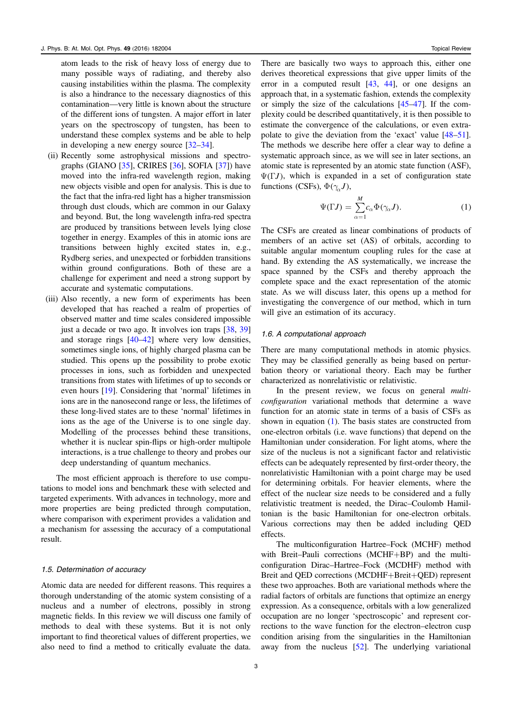atom leads to the risk of heavy loss of energy due to many possible ways of radiating, and thereby also causing instabilities within the plasma. The complexity is also a hindrance to the necessary diagnostics of this contamination—very little is known about the structure of the different ions of tungsten. A major effort in later years on the spectroscopy of tungsten, has been to understand these complex systems and be able to help in developing a new energy source [[32](#page-32-26)–[34](#page-32-27)].

- (ii) Recently some astrophysical missions and spectrographs (GIANO [[35](#page-32-28)], CRIRES [[36](#page-32-29)], SOFIA [[37](#page-32-30)]) have moved into the infra-red wavelength region, making new objects visible and open for analysis. This is due to the fact that the infra-red light has a higher transmission through dust clouds, which are common in our Galaxy and beyond. But, the long wavelength infra-red spectra are produced by transitions between levels lying close together in energy. Examples of this in atomic ions are transitions between highly excited states in, e.g., Rydberg series, and unexpected or forbidden transitions within ground configurations. Both of these are a challenge for experiment and need a strong support by accurate and systematic computations.
- (iii) Also recently, a new form of experiments has been developed that has reached a realm of properties of observed matter and time scales considered impossible just a decade or two ago. It involves ion traps [[38,](#page-32-31) [39](#page-32-32)] and storage rings [[40](#page-32-33)–[42](#page-32-34)] where very low densities, sometimes single ions, of highly charged plasma can be studied. This opens up the possibility to probe exotic processes in ions, such as forbidden and unexpected transitions from states with lifetimes of up to seconds or even hours [[19](#page-32-17)]. Considering that 'normal' lifetimes in ions are in the nanosecond range or less, the lifetimes of these long-lived states are to these 'normal' lifetimes in ions as the age of the Universe is to one single day. Modelling of the processes behind these transitions, whether it is nuclear spin-flips or high-order multipole interactions, is a true challenge to theory and probes our deep understanding of quantum mechanics.

The most efficient approach is therefore to use computations to model ions and benchmark these with selected and targeted experiments. With advances in technology, more and more properties are being predicted through computation, where comparison with experiment provides a validation and a mechanism for assessing the accuracy of a computational result.

#### 1.5. Determination of accuracy

Atomic data are needed for different reasons. This requires a thorough understanding of the atomic system consisting of a nucleus and a number of electrons, possibly in strong magnetic fields. In this review we will discuss one family of methods to deal with these systems. But it is not only important to find theoretical values of different properties, we also need to find a method to critically evaluate the data.

There are basically two ways to approach this, either one derives theoretical expressions that give upper limits of the error in a computed result [[43](#page-32-35), [44](#page-32-36)], or one designs an approach that, in a systematic fashion, extends the complexity or simply the size of the calculations [[45](#page-32-37)–[47](#page-32-38)]. If the complexity could be described quantitatively, it is then possible to estimate the convergence of the calculations, or even extrapolate to give the deviation from the 'exact' value [[48](#page-32-39)–[51](#page-32-40)]. The methods we describe here offer a clear way to define a systematic approach since, as we will see in later sections, an atomic state is represented by an atomic state function (ASF),  $\Psi(\Gamma J)$ , which is expanded in a set of configuration state functions (CSFs),  $\Phi(\gamma, J)$ ,

$$
\Psi(\Gamma J) = \sum_{\alpha=1}^{M} c_{\alpha} \Phi(\gamma_{\alpha} J). \tag{1}
$$

<span id="page-3-0"></span>The CSFs are created as linear combinations of products of members of an active set (AS) of orbitals, according to suitable angular momentum coupling rules for the case at hand. By extending the AS systematically, we increase the space spanned by the CSFs and thereby approach the complete space and the exact representation of the atomic state. As we will discuss later, this opens up a method for investigating the convergence of our method, which in turn will give an estimation of its accuracy.

#### 1.6. A computational approach

There are many computational methods in atomic physics. They may be classified generally as being based on perturbation theory or variational theory. Each may be further characterized as nonrelativistic or relativistic.

In the present review, we focus on general *multi*configuration variational methods that determine a wave function for an atomic state in terms of a basis of CSFs as shown in equation ([1](#page-3-0)). The basis states are constructed from one-electron orbitals (i.e. wave functions) that depend on the Hamiltonian under consideration. For light atoms, where the size of the nucleus is not a significant factor and relativistic effects can be adequately represented by first-order theory, the nonrelativistic Hamiltonian with a point charge may be used for determining orbitals. For heavier elements, where the effect of the nuclear size needs to be considered and a fully relativistic treatment is needed, the Dirac–Coulomb Hamiltonian is the basic Hamiltonian for one-electron orbitals. Various corrections may then be added including QED effects.

The multiconfiguration Hartree–Fock (MCHF) method with Breit–Pauli corrections (MCHF+BP) and the multiconfiguration Dirac–Hartree–Fock (MCDHF) method with Breit and QED corrections (MCDHF+Breit+QED) represent these two approaches. Both are variational methods where the radial factors of orbitals are functions that optimize an energy expression. As a consequence, orbitals with a low generalized occupation are no longer 'spectroscopic' and represent corrections to the wave function for the electron–electron cusp condition arising from the singularities in the Hamiltonian away from the nucleus [[52](#page-32-41)]. The underlying variational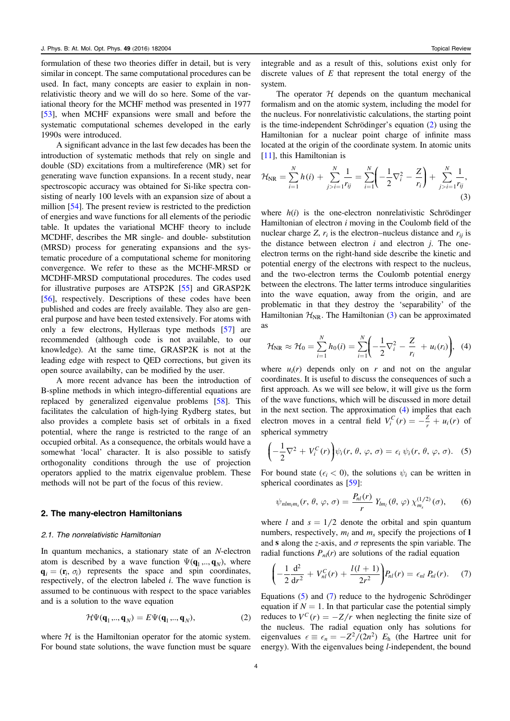formulation of these two theories differ in detail, but is very similar in concept. The same computational procedures can be used. In fact, many concepts are easier to explain in nonrelativistic theory and we will do so here. Some of the variational theory for the MCHF method was presented in 1977 [[53](#page-33-0)], when MCHF expansions were small and before the systematic computational schemes developed in the early 1990s were introduced.

A significant advance in the last few decades has been the introduction of systematic methods that rely on single and double (SD) excitations from a multireference (MR) set for generating wave function expansions. In a recent study, near spectroscopic accuracy was obtained for Si-like spectra consisting of nearly 100 levels with an expansion size of about a million [[54](#page-33-1)]. The present review is restricted to the prediction of energies and wave functions for all elements of the periodic table. It updates the variational MCHF theory to include MCDHF, describes the MR single- and double- substitution (MRSD) process for generating expansions and the systematic procedure of a computational scheme for monitoring convergence. We refer to these as the MCHF-MRSD or MCDHF-MRSD computational procedures. The codes used for illustrative purposes are ATSP2K [[55](#page-33-2)] and GRASP2K [[56](#page-33-3)], respectively. Descriptions of these codes have been published and codes are freely available. They also are general purpose and have been tested extensively. For atoms with only a few electrons, Hylleraas type methods [[57](#page-33-4)] are recommended (although code is not available, to our knowledge). At the same time, GRASP2K is not at the leading edge with respect to QED corrections, but given its open source availabilty, can be modified by the user.

A more recent advance has been the introduction of B-spline methods in which integro-differential equations are replaced by generalized eigenvalue problems [[58](#page-33-5)]. This facilitates the calculation of high-lying Rydberg states, but also provides a complete basis set of orbitals in a fixed potential, where the range is restricted to the range of an occupied orbital. As a consequence, the orbitals would have a somewhat 'local' character. It is also possible to satisfy orthogonality conditions through the use of projection operators applied to the matrix eigenvalue problem. These methods will not be part of the focus of this review.

#### 2. The many-electron Hamiltonians

#### 2.1. The nonrelativistic Hamiltonian

In quantum mechanics, a stationary state of an N-electron atom is described by a wave function  $\Psi(\mathbf{q}_1, \dots, \mathbf{q}_N)$ , where  $\mathbf{q}_i = (\mathbf{r}_i, \sigma_i)$  represents the space and spin coordinates, respectively, of the electron labeled i. The wave function is assumed to be continuous with respect to the space variables and is a solution to the wave equation

$$
\mathcal{H}\Psi(\mathbf{q}_1,\ldots,\mathbf{q}_N) = E\Psi(\mathbf{q}_1,\ldots,\mathbf{q}_N),\tag{2}
$$

<span id="page-4-0"></span>where  $H$  is the Hamiltonian operator for the atomic system. For bound state solutions, the wave function must be square integrable and as a result of this, solutions exist only for discrete values of  $E$  that represent the total energy of the system.

The operator  $H$  depends on the quantum mechanical formalism and on the atomic system, including the model for the nucleus. For nonrelativistic calculations, the starting point is the time-independent Schrödinger's equation ([2](#page-4-0)) using the Hamiltonian for a nuclear point charge of infinite mass located at the origin of the coordinate system. In atomic units [[11](#page-32-9)], this Hamiltonian is

<span id="page-4-1"></span>
$$
\mathcal{H}_{\text{NR}} = \sum_{i=1}^{N} h(i) + \sum_{j>i=1}^{N} \frac{1}{r_{ij}} = \sum_{i=1}^{N} \left( -\frac{1}{2} \nabla_i^2 - \frac{Z}{r_i} \right) + \sum_{j>i=1}^{N} \frac{1}{r_{ij}},
$$
\n(3)

where  $h(i)$  is the one-electron nonrelativistic Schrödinger Hamiltonian of electron  $i$  moving in the Coulomb field of the nuclear charge Z,  $r_i$  is the electron–nucleus distance and  $r_{ii}$  is the distance between electron  $i$  and electron  $j$ . The oneelectron terms on the right-hand side describe the kinetic and potential energy of the electrons with respect to the nucleus, and the two-electron terms the Coulomb potential energy between the electrons. The latter terms introduce singularities into the wave equation, away from the origin, and are problematic in that they destroy the 'separability' of the Hamiltonian  $\mathcal{H}_{NR}$ . The Hamiltonian ([3](#page-4-1)) can be approximated as

<span id="page-4-2"></span>
$$
\mathcal{H}_{\rm NR} \approx \mathcal{H}_0 = \sum_{i=1}^N h_0(i) = \sum_{i=1}^N \left( -\frac{1}{2} \nabla_i^2 - \frac{Z}{r_i} + u_i(r_i) \right), \tag{4}
$$

where  $u_i(r)$  depends only on r and not on the angular coordinates. It is useful to discuss the consequences of such a first approach. As we will see below, it will give us the form of the wave functions, which will be discussed in more detail in the next section. The approximation ([4](#page-4-2)) implies that each electron moves in a central field  $V_i^C(r) = -\frac{Z}{r} + u_i(r)$  of spherical symmetry

<span id="page-4-3"></span>
$$
\left(-\frac{1}{2}\nabla^2 + V_i^C(r)\right)\psi_i(r, \theta, \varphi, \sigma) = \epsilon_i \psi_i(r, \theta, \varphi, \sigma). \quad (5)
$$

<span id="page-4-5"></span>For bound state ( $\epsilon_i$  < 0), the solutions  $\psi_i$  can be written in spherical coordinates as [[59](#page-33-6)]:

$$
\psi_{nlm_lm_s}(r,\,\theta,\,\varphi,\,\sigma)=\frac{P_{nl}(r)}{r}\,Y_{lm_l}(\theta,\,\varphi)\,\chi_{m_s}^{(1/2)}(\sigma),\qquad(6)
$$

where *l* and  $s = 1/2$  denote the orbital and spin quantum numbers, respectively,  $m_l$  and  $m_s$  specify the projections of **l** and **s** along the *z*-axis, and  $\sigma$  represents the spin variable. The radial functions  $P_{nl}(r)$  are solutions of the radial equation

<span id="page-4-4"></span>
$$
\left(-\frac{1}{2}\frac{d^2}{dr^2} + V_{nl}^C(r) + \frac{l(l+1)}{2r^2}\right)P_{nl}(r) = \epsilon_{nl} P_{nl}(r). \tag{7}
$$

Equations ([5](#page-4-3)) and ([7](#page-4-4)) reduce to the hydrogenic Schrödinger equation if  $N = 1$ . In that particular case the potential simply reduces to  $V^C(r) = -Z/r$  when neglecting the finite size of the nucleus. The radial equation only has solutions for eigenvalues  $\epsilon \equiv \epsilon_n = -Z^2/(2n^2) E_h$  (the Hartree unit for energy). With the eigenvalues being *l*-independent, the bound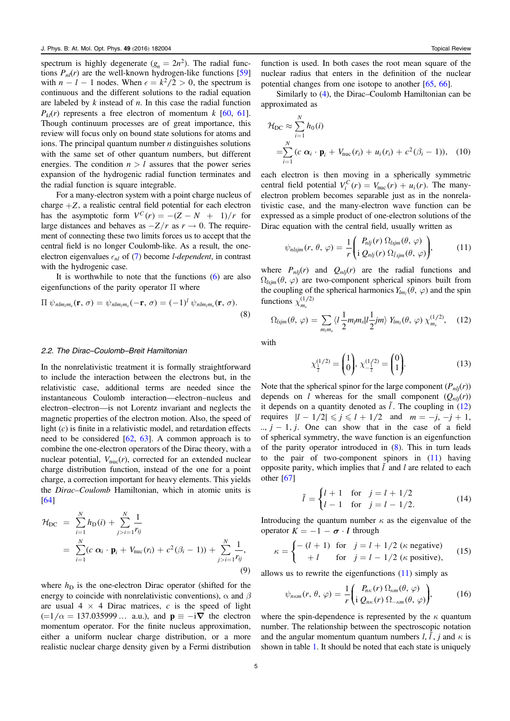spectrum is highly degenerate  $(g_n = 2n^2)$ . The radial functions  $P_{nl}(r)$  are the well-known hydrogen-like functions [[59](#page-33-6)] with  $n - l - 1$  nodes. When  $\epsilon = k^2/2 > 0$ , the spectrum is continuous and the different solutions to the radial equation are labeled by  $k$  instead of  $n$ . In this case the radial function  $P_{kl}(r)$  represents a free electron of momentum k [[60,](#page-33-7) [61](#page-33-8)]. Though continuum processes are of great importance, this review will focus only on bound state solutions for atoms and ions. The principal quantum number  $n$  distinguishes solutions with the same set of other quantum numbers, but different energies. The condition  $n > l$  assures that the power series expansion of the hydrogenic radial function terminates and the radial function is square integrable.

For a many-electron system with a point charge nucleus of charge  $+Z$ , a realistic central field potential for each electron has the asymptotic form  $V^C(r) = -(Z - N + 1)/r$  for large distances and behaves as  $-Z/r$  as  $r \to 0$ . The requirement of connecting these two limits forces us to accept that the central field is no longer Coulomb-like. As a result, the oneelectron eigenvalues  $\epsilon_{nl}$  of ([7](#page-4-4)) become *l-dependent*, in contrast with the hydrogenic case.

<span id="page-5-1"></span>It is worthwhile to note that the functions  $(6)$  $(6)$  $(6)$  are also eigenfunctions of the parity operator Π where

$$
\Pi \psi_{nlm_lm_s}(\mathbf{r}, \sigma) = \psi_{nlm_lm_s}(-\mathbf{r}, \sigma) = (-1)^l \psi_{nlm_lm_s}(\mathbf{r}, \sigma).
$$
\n(8)

#### 2.2. The Dirac–Coulomb–Breit Hamiltonian

In the nonrelativistic treatment it is formally straightforward to include the interaction between the electrons but, in the relativistic case, additional terms are needed since the instantaneous Coulomb interaction—electron–nucleus and electron–electron—is not Lorentz invariant and neglects the magnetic properties of the electron motion. Also, the speed of light  $(c)$  is finite in a relativistic model, and retardation effects need to be considered [[62,](#page-33-9) [63](#page-33-10)]. A common approach is to combine the one-electron operators of the Dirac theory, with a nuclear potential,  $V_{\text{nuc}}(r)$ , corrected for an extended nuclear charge distribution function, instead of the one for a point charge, a correction important for heavy elements. This yields the Dirac–Coulomb Hamiltonian, which in atomic units is [[64](#page-33-11)]

<span id="page-5-3"></span>
$$
\mathcal{H}_{\text{DC}} = \sum_{i=1}^{N} h_{\text{D}}(i) + \sum_{j>i=1}^{N} \frac{1}{r_{ij}}
$$
  
= 
$$
\sum_{i=1}^{N} (c \alpha_i \cdot \mathbf{p}_i + V_{\text{nuc}}(r_i) + c^2(\beta_i - 1)) + \sum_{j>i=1}^{N} \frac{1}{r_{ij}},
$$
  
(9)

where  $h<sub>D</sub>$  is the one-electron Dirac operator (shifted for the energy to coincide with nonrelativistic conventions),  $\alpha$  and  $\beta$ are usual  $4 \times 4$  Dirac matrices, c is the speed of light  $(= 1/\alpha = 137.035999...$  a.u.), and  $\mathbf{p} \equiv -i\nabla$  the electron momentum operator. For the finite nucleus approximation, either a uniform nuclear charge distribution, or a more realistic nuclear charge density given by a Fermi distribution

function is used. In both cases the root mean square of the nuclear radius that enters in the definition of the nuclear potential changes from one isotope to another [[65,](#page-33-12) [66](#page-33-13)].

<span id="page-5-4"></span>Similarly to ([4](#page-4-2)), the Dirac–Coulomb Hamiltonian can be approximated as

$$
\mathcal{H}_{\text{DC}} \approx \sum_{i=1}^{N} h_0(i)
$$
  
=
$$
\sum_{i=1}^{N} (c \alpha_i \cdot \mathbf{p}_i + V_{\text{nuc}}(r_i) + u_i(r_i) + c^2(\beta_i - 1)), \quad (10)
$$

each electron is then moving in a spherically symmetric central field potential  $V_i^C(r) = V_{\text{nuc}}(r) + u_i(r)$ . The manyelectron problem becomes separable just as in the nonrelativistic case, and the many-electron wave function can be expressed as a simple product of one-electron solutions of the Dirac equation with the central field, usually written as

<span id="page-5-2"></span>
$$
\psi_{nlsjm}(r, \theta, \varphi) = \frac{1}{r} \left( \frac{P_{nlj}(r) \Omega_{lsjm}(\theta, \varphi)}{i Q_{nlj}(r) \Omega_{lsjm}(\theta, \varphi)} \right), \quad (11)
$$

where  $P_{nlj}(r)$  and  $Q_{nlj}(r)$  are the radial functions and  $\Omega_{lsim}(\theta, \varphi)$  are two-component spherical spinors built from the coupling of the spherical harmonics  $Y_{lm}(\theta, \varphi)$  and the spin functions  $\chi_{m_s}^{(1/2)}$ *s*

<span id="page-5-0"></span>
$$
\Omega_{lsjm}(\theta,\,\varphi)=\sum_{m_lm_s}\langle l\frac{1}{2}m_lm_s|l\frac{1}{2}jm\rangle\;Y_{lm_l}(\theta,\,\varphi)\;\chi_{m_s}^{(1/2)},\quad (12)
$$

with

$$
\chi_{\frac{1}{2}}^{(1/2)} = \begin{pmatrix} 1 \\ 0 \end{pmatrix}, \chi_{-\frac{1}{2}}^{(1/2)} = \begin{pmatrix} 0 \\ 1 \end{pmatrix}.
$$
 (13)

Note that the spherical spinor for the large component  $(P_{nlj}(r))$ depends on *l* whereas for the small component  $(Q_{nlj}(r))$ it depends on a quantity denoted as  $\tilde{l}$ . The coupling in ([12](#page-5-0)) requires  $|l - 1/2| \le j \le l + 1/2$  and  $m = -j, -j + 1$ ,  $\ldots$ ,  $j - 1$ ,  $j$ . One can show that in the case of a field of spherical symmetry, the wave function is an eigenfunction of the parity operator introduced in ([8](#page-5-1)). This in turn leads to the pair of two-component spinors in  $(11)$  $(11)$  $(11)$  having opposite parity, which implies that  $\tilde{l}$  and  $\tilde{l}$  are related to each other [[67](#page-33-14)]

$$
\tilde{l} = \begin{cases}\n l+1 & \text{for } j = l + 1/2 \\
 l-1 & \text{for } j = l - 1/2.\n\end{cases}
$$
\n(14)

Introducing the quantum number  $\kappa$  as the eigenvalue of the operator  $K = -1 - \sigma \cdot l$  through

$$
\kappa = \begin{cases}\n-(l+1) & \text{for } j = l + 1/2 \text{ (k negative)} \\
+ l & \text{for } j = l - 1/2 \text{ (k positive)},\n\end{cases}
$$
\n(15)

allows us to rewrite the eigenfunctions ([11](#page-5-2)) simply as

$$
\psi_{n\kappa m}(r,\,\theta,\,\varphi)=\frac{1}{r}\bigg(\frac{P_{n\kappa}(r)\,\Omega_{\kappa m}(\theta,\,\varphi)}{i\,\mathcal{Q}_{n\kappa}(r)\,\Omega_{-\kappa m}(\theta,\,\varphi)}\bigg),\qquad\qquad(16)
$$

where the spin-dependence is represented by the  $\kappa$  quantum number. The relationship between the spectroscopic notation and the angular momentum quantum numbers l,  $l$ , j and  $\kappa$  is shown in table [1.](#page-6-0) It should be noted that each state is uniquely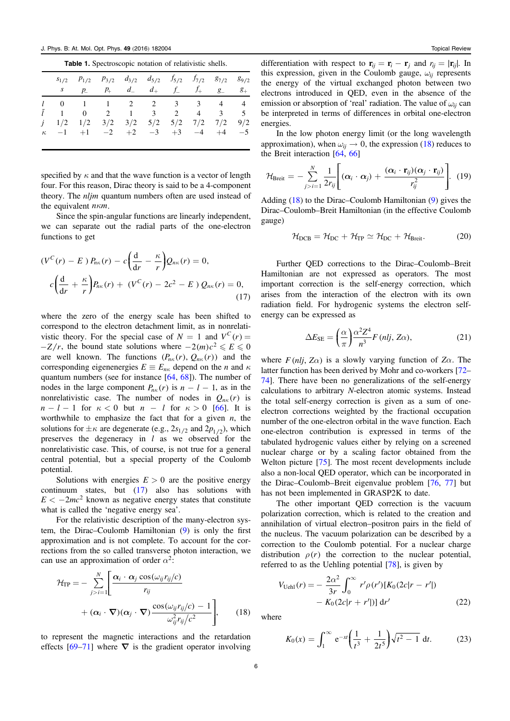Table 1. Spectroscopic notation of relativistic shells.

<span id="page-6-0"></span>

|          |  | $s_{1/2}$ $p_{1/2}$ $p_{3/2}$ $d_{3/2}$ $d_{5/2}$ $f_{5/2}$ $f_{7/2}$ $g_{7/2}$ $g_{9/2}$<br>$s$ $p_1$ $p_2$ $p_3$ $q_4$ $q_5$ $q_6$ $q_7$ $q_8$ $q_7$ |  |  |  |
|----------|--|--------------------------------------------------------------------------------------------------------------------------------------------------------|--|--|--|
|          |  | 1 0 1 1 2 2 3 3 4 4<br>$\tilde{l}$ 1 0 2 1 3 2 4 3 5                                                                                                   |  |  |  |
| $\kappa$ |  | $j$ $1/2$ $1/2$ $3/2$ $3/2$ $5/2$ $5/2$ $7/2$ $7/2$ $9/2$<br>$-1$ $+1$ $-2$ $+2$ $-3$ $+3$ $-4$ $+4$ $-5$                                              |  |  |  |

specified by  $\kappa$  and that the wave function is a vector of length four. For this reason, Dirac theory is said to be a 4-component theory. The *nljm* quantum numbers often are used instead of the equivalent *nkm*.

<span id="page-6-1"></span>Since the spin-angular functions are linearly independent, we can separate out the radial parts of the one-electron functions to get

$$
(V^{C}(r) - E) P_{n\kappa}(r) - c \left(\frac{d}{dr} - \frac{\kappa}{r}\right) Q_{n\kappa}(r) = 0,
$$
  

$$
c \left(\frac{d}{dr} + \frac{\kappa}{r}\right) P_{n\kappa}(r) + (V^{C}(r) - 2c^{2} - E) Q_{n\kappa}(r) = 0,
$$
 (17)

where the zero of the energy scale has been shifted to correspond to the electron detachment limit, as in nonrelativistic theory. For the special case of  $N = 1$  and  $V^{C}(r) =$  $-Z/r$ , the bound state solutions where  $-2(m)c^2 \le E \le 0$ are well known. The functions  $(P_{n\kappa}(r), Q_{n\kappa}(r))$  and the corresponding eigenenergies  $E \equiv E_{n\kappa}$  depend on the *n* and  $\kappa$ quantum numbers (see for instance [[64](#page-33-11), [68](#page-33-15)]). The number of nodes in the large component  $P_{nk}(r)$  is  $n - l - 1$ , as in the nonrelativistic case. The number of nodes in  $Q_{n\kappa}(r)$  is  $n - l - 1$  for  $\kappa < 0$  but  $n - l$  for  $\kappa > 0$  [[66](#page-33-13)]. It is worthwhile to emphasize the fact that for a given  $n$ , the solutions for  $\pm \kappa$  are degenerate (e.g.,  $2s_{1/2}$  and  $2p_{1/2}$ ), which preserves the degeneracy in  $l$  as we observed for the nonrelativistic case. This, of course, is not true for a general central potential, but a special property of the Coulomb potential.

Solutions with energies  $E > 0$  are the positive energy continuum states, but ([17](#page-6-1)) also has solutions with  $E < -2mc^2$  known as negative energy states that constitute what is called the 'negative energy sea'.

For the relativistic description of the many-electron system, the Dirac–Coulomb Hamiltonian ([9](#page-5-3)) is only the first approximation and is not complete. To account for the corrections from the so called transverse photon interaction, we can use an approximation of order  $\alpha^2$ :

<span id="page-6-2"></span>
$$
\mathcal{H}_{\text{TP}} = -\sum_{j>i=1}^{N} \left[ \frac{\alpha_i \cdot \alpha_j \cos(\omega_{ij} r_{ij}/c)}{r_{ij}} + (\alpha_i \cdot \nabla)(\alpha_j \cdot \nabla) \frac{\cos(\omega_{ij} r_{ij}/c) - 1}{\omega_{ij}^2 r_{ij}/c^2} \right], \qquad (18)
$$

to represent the magnetic interactions and the retardation effects [[69](#page-33-16)–[71](#page-33-17)] where  $\nabla$  is the gradient operator involving differentiation with respect to  $\mathbf{r}_{ij} = \mathbf{r}_i - \mathbf{r}_j$  and  $r_{ij} = |\mathbf{r}_{ij}|$ . In this expression, given in the Coulomb gauge,  $\omega_{ii}$  represents the energy of the virtual exchanged photon between two electrons introduced in QED, even in the absence of the emission or absorption of 'real' radiation. The value of  $\omega_{ii}$  can be interpreted in terms of differences in orbital one-electron energies.

In the low photon energy limit (or the long wavelength approximation), when  $\omega_{ij} \to 0$ , the expression ([18](#page-6-2)) reduces to the Breit interaction [[64,](#page-33-11) [66](#page-33-13)]

$$
\mathcal{H}_{Breit} = -\sum_{j>i=1}^N \frac{1}{2r_{ij}} \left[ (\alpha_i \cdot \alpha_j) + \frac{(\alpha_i \cdot \mathbf{r}_{ij})(\alpha_j \cdot \mathbf{r}_{ij})}{r_{ij}^2} \right]. \tag{19}
$$

<span id="page-6-3"></span>Adding ([18](#page-6-2)) to the Dirac–Coulomb Hamiltonian ([9](#page-5-3)) gives the Dirac–Coulomb–Breit Hamiltonian (in the effective Coulomb gauge)

$$
\mathcal{H}_{DCB} = \mathcal{H}_{DC} + \mathcal{H}_{TP} \simeq \mathcal{H}_{DC} + \mathcal{H}_{Breit}.
$$
 (20)

Further QED corrections to the Dirac–Coulomb–Breit Hamiltonian are not expressed as operators. The most important correction is the self-energy correction, which arises from the interaction of the electron with its own radiation field. For hydrogenic systems the electron selfenergy can be expressed as

$$
\Delta E_{\rm SE} = \left(\frac{\alpha}{\pi}\right) \frac{\alpha^2 Z^4}{n^3} F\left(nlj, Z\alpha\right),\tag{21}
$$

where  $F(nl, Z\alpha)$  is a slowly varying function of  $Z\alpha$ . The latter function has been derived by Mohr and co-workers [[72](#page-33-18)– [74](#page-33-19)]. There have been no generalizations of the self-energy calculations to arbitrary N-electron atomic systems. Instead the total self-energy correction is given as a sum of oneelectron corrections weighted by the fractional occupation number of the one-electron orbital in the wave function. Each one-electron contribution is expressed in terms of the tabulated hydrogenic values either by relying on a screened nuclear charge or by a scaling factor obtained from the Welton picture [[75](#page-33-20)]. The most recent developments include also a non-local QED operator, which can be incorporated in the Dirac–Coulomb–Breit eigenvalue problem [[76](#page-33-21), [77](#page-33-22)] but has not been implemented in GRASP2K to date.

The other important QED correction is the vacuum polarization correction, which is related to the creation and annihilation of virtual electron–positron pairs in the field of the nucleus. The vacuum polarization can be described by a correction to the Coulomb potential. For a nuclear charge distribution  $\rho(r)$  the correction to the nuclear potential, referred to as the Uehling potential [[78](#page-33-23)], is given by

$$
V_{\text{Uehl}}(r) = -\frac{2\alpha^2}{3r} \int_0^\infty r' \rho(r') [K_0(2c|r - r']) - K_0(2c|r + r']) \, dr' \tag{22}
$$

where

$$
K_0(x) = \int_1^{\infty} e^{-xt} \left(\frac{1}{t^3} + \frac{1}{2t^5}\right) \sqrt{t^2 - 1} dt.
$$
 (23)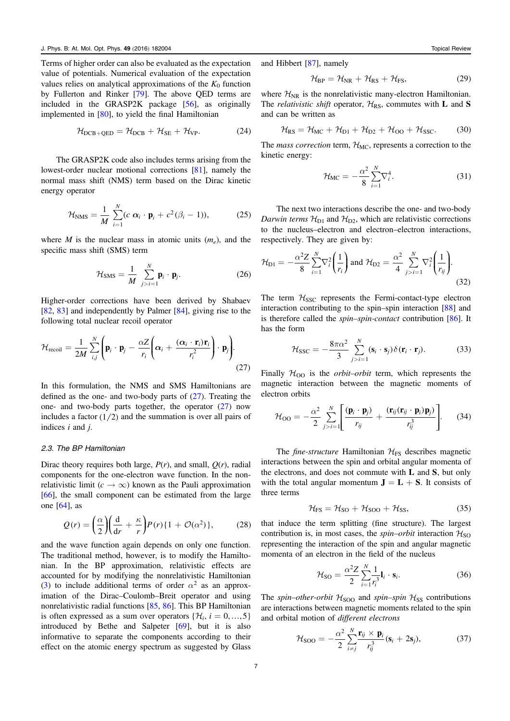Terms of higher order can also be evaluated as the expectation value of potentials. Numerical evaluation of the expectation values relies on analytical approximations of the  $K_0$  function by Fullerton and Rinker [[79](#page-33-24)]. The above QED terms are included in the GRASP2K package [[56](#page-33-3)], as originally implemented in [[80](#page-33-25)], to yield the final Hamiltonian

<span id="page-7-2"></span>
$$
\mathcal{H}_{DCB+QED} = \mathcal{H}_{DCB} + \mathcal{H}_{SE} + \mathcal{H}_{VP}.
$$
 (24)

<span id="page-7-3"></span>The GRASP2K code also includes terms arising from the lowest-order nuclear motional corrections [[81](#page-33-26)], namely the normal mass shift (NMS) term based on the Dirac kinetic energy operator

$$
\mathcal{H}_{\text{NMS}} = \frac{1}{M} \sum_{i=1}^{N} (c \, \alpha_i \cdot \mathbf{p}_i + c^2 (\beta_i - 1)), \tag{25}
$$

<span id="page-7-4"></span>where M is the nuclear mass in atomic units  $(m_e)$ , and the specific mass shift (SMS) term

$$
\mathcal{H}_{\text{SMS}} = \frac{1}{M} \sum_{j>i=1}^{N} \mathbf{p}_i \cdot \mathbf{p}_j.
$$
 (26)

<span id="page-7-0"></span>Higher-order corrections have been derived by Shabaev [[82](#page-33-27), [83](#page-33-28)] and independently by Palmer [[84](#page-33-29)], giving rise to the following total nuclear recoil operator

$$
\mathcal{H}_{\text{recoil}} = \frac{1}{2M} \sum_{i,j}^{N} \left( \mathbf{p}_i \cdot \mathbf{p}_j - \frac{\alpha Z}{r_i} \left( \alpha_i + \frac{(\alpha_i \cdot \mathbf{r}_i) \mathbf{r}_i}{r_i^2} \right) \cdot \mathbf{p}_j \right).
$$
\n(27)

In this formulation, the NMS and SMS Hamiltonians are defined as the one- and two-body parts of  $(27)$  $(27)$  $(27)$ . Treating the one- and two-body parts together, the operator ([27](#page-7-0)) now includes a factor  $(1/2)$  and the summation is over all pairs of indices i and j.

#### 2.3. The BP Hamiltonian

Dirac theory requires both large,  $P(r)$ , and small,  $Q(r)$ , radial components for the one-electron wave function. In the nonrelativistic limit  $(c \to \infty)$  known as the Pauli approximation [[66](#page-33-13)], the small component can be estimated from the large one [[64](#page-33-11)], as

<span id="page-7-5"></span>
$$
Q(r) = \left(\frac{\alpha}{2}\right)\left(\frac{d}{dr} + \frac{\kappa}{r}\right)P(r)\left\{1 + \mathcal{O}(\alpha^2)\right\},\tag{28}
$$

and the wave function again depends on only one function. The traditional method, however, is to modify the Hamiltonian. In the BP approximation, relativistic effects are accounted for by modifying the nonrelativistic Hamiltonian ([3](#page-4-1)) to include additional terms of order  $\alpha^2$  as an approximation of the Dirac–Coulomb–Breit operator and using nonrelativistic radial functions [[85,](#page-33-30) [86](#page-33-31)]. This BP Hamiltonian is often expressed as a sum over operators  $\{\mathcal{H}_i, i = 0, \ldots, 5\}$ introduced by Bethe and Salpeter [[69](#page-33-16)], but it is also informative to separate the components according to their effect on the atomic energy spectrum as suggested by Glass

<span id="page-7-1"></span>and Hibbert [[87](#page-33-32)], namely

$$
\mathcal{H}_{\rm BP} = \mathcal{H}_{\rm NR} + \mathcal{H}_{\rm RS} + \mathcal{H}_{\rm FS},\tag{29}
$$

where  $\mathcal{H}_{NR}$  is the nonrelativistic many-electron Hamiltonian. The *relativistic shift* operator,  $H_{RS}$ , commutes with **L** and **S** and can be written as

$$
\mathcal{H}_{RS} = \mathcal{H}_{MC} + \mathcal{H}_{D1} + \mathcal{H}_{D2} + \mathcal{H}_{OO} + \mathcal{H}_{SSC}.
$$
 (30)

The *mass correction* term,  $H_{MC}$ , represents a correction to the kinetic energy:

$$
\mathcal{H}_{\text{MC}} = -\frac{\alpha^2}{8} \sum_{i=1}^{N} \nabla_i^4.
$$
 (31)

The next two interactions describe the one- and two-body Darwin terms  $H<sub>D1</sub>$  and  $H<sub>D2</sub>$ , which are relativistic corrections to the nucleus–electron and electron–electron interactions, respectively. They are given by:

$$
\mathcal{H}_{\rm D1} = -\frac{\alpha^2 Z}{8} \sum_{i=1}^{N} \nabla_i^2 \left( \frac{1}{r_i} \right) \text{ and } \mathcal{H}_{\rm D2} = \frac{\alpha^2}{4} \sum_{j>i=1}^{N} \nabla_i^2 \left( \frac{1}{r_{ij}} \right). \tag{32}
$$

The term  $H<sub>SSC</sub>$  represents the Fermi-contact-type electron interaction contributing to the spin–spin interaction [[88](#page-33-33)] and is therefore called the *spin–spin-contact* contribution [[86](#page-33-31)]. It has the form

$$
\mathcal{H}_{SSC} = -\frac{8\pi\alpha^2}{3} \sum_{j>i=1}^{N} (\mathbf{s}_i \cdot \mathbf{s}_j) \delta(\mathbf{r}_i \cdot \mathbf{r}_j).
$$
 (33)

Finally  $H_{OO}$  is the *orbit–orbit* term, which represents the magnetic interaction between the magnetic moments of electron orbits

$$
\mathcal{H}_{\text{OO}} = -\frac{\alpha^2}{2} \sum_{j>i=1}^N \left[ \frac{(\mathbf{p}_i \cdot \mathbf{p}_j)}{r_{ij}} + \frac{(\mathbf{r}_{ij}(\mathbf{r}_{ij} \cdot \mathbf{p}_i)\mathbf{p}_j)}{r_{ij}^3} \right].
$$
 (34)

The *fine-structure* Hamiltonian  $H_{FS}$  describes magnetic interactions between the spin and orbital angular momenta of the electrons, and does not commute with **L** and **S**, but only with the total angular momentum  $J = L + S$ . It consists of three terms

$$
\mathcal{H}_{FS} = \mathcal{H}_{SO} + \mathcal{H}_{SOO} + \mathcal{H}_{SS},\tag{35}
$$

that induce the term splitting (fine structure). The largest contribution is, in most cases, the *spin–orbit* interaction  $\mathcal{H}_{\text{SO}}$ representing the interaction of the spin and angular magnetic momenta of an electron in the field of the nucleus

$$
\mathcal{H}_{\text{SO}} = \frac{\alpha^2 Z}{2} \sum_{i=1}^N \frac{1}{r_i^3} \mathbf{I}_i \cdot \mathbf{s}_i.
$$
 (36)

The spin–other-orbit  $H_{\text{SOO}}$  and spin–spin  $H_{\text{SS}}$  contributions are interactions between magnetic moments related to the spin and orbital motion of different electrons

$$
\mathcal{H}_{\text{SOO}} = -\frac{\alpha^2}{2} \sum_{i=1}^{N} \frac{\mathbf{r}_{ij} \times \mathbf{p}_i}{r_{ij}^3} (\mathbf{s}_i + 2\mathbf{s}_j), \tag{37}
$$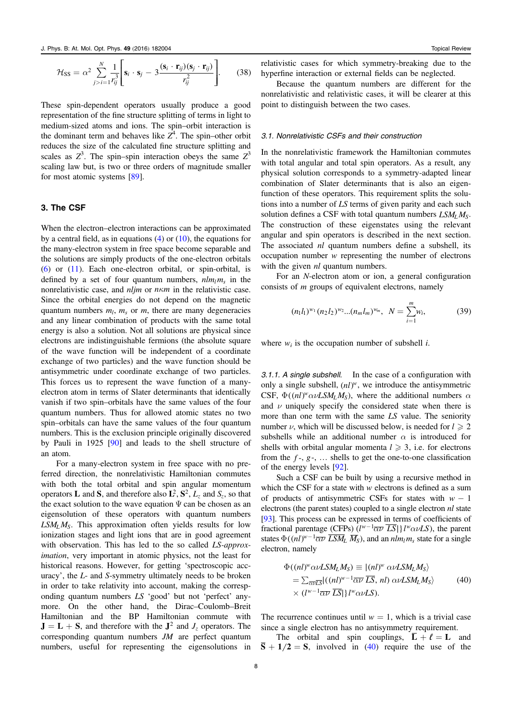$$
\mathcal{H}_{SS} = \alpha^2 \sum_{j>i=1}^N \frac{1}{r_{ij}^3} \Bigg[ \mathbf{s}_i \cdot \mathbf{s}_j - 3 \frac{(\mathbf{s}_i \cdot \mathbf{r}_{ij})(\mathbf{s}_j \cdot \mathbf{r}_{ij})}{r_{ij}^2} \Bigg]. \tag{38}
$$

These spin-dependent operators usually produce a good representation of the fine structure splitting of terms in light to medium-sized atoms and ions. The spin–orbit interaction is the dominant term and behaves like  $Z^4$ . The spin–other orbit reduces the size of the calculated fine structure splitting and scales as  $Z^3$ . The spin–spin interaction obeys the same  $Z^3$ scaling law but, is two or three orders of magnitude smaller for most atomic systems [[89](#page-33-34)].

# 3. The CSF

When the electron–electron interactions can be approximated by a central field, as in equations ([4](#page-4-2)) or ([10](#page-5-4)), the equations for the many-electron system in free space become separable and the solutions are simply products of the one-electron orbitals ([6](#page-4-5)) or ([11](#page-5-2)). Each one-electron orbital, or spin-orbital, is defined by a set of four quantum numbers,  $nlm_l m_s$  in the nonrelativistic case, and nljm or *nkm* in the relativistic case. Since the orbital energies do not depend on the magnetic quantum numbers  $m_l$ ,  $m_s$  or m, there are many degeneracies and any linear combination of products with the same total energy is also a solution. Not all solutions are physical since electrons are indistinguishable fermions (the absolute square of the wave function will be independent of a coordinate exchange of two particles) and the wave function should be antisymmetric under coordinate exchange of two particles. This forces us to represent the wave function of a manyelectron atom in terms of Slater determinants that identically vanish if two spin–orbitals have the same values of the four quantum numbers. Thus for allowed atomic states no two spin–orbitals can have the same values of the four quantum numbers. This is the exclusion principle originally discovered by Pauli in 1925 [[90](#page-33-35)] and leads to the shell structure of an atom.

For a many-electron system in free space with no preferred direction, the nonrelativistic Hamiltonian commutes with both the total orbital and spin angular momentum operators **L** and **S**, and therefore also  $\mathbf{L}^2$ ,  $\mathbf{S}^2$ ,  $L_z$  and  $S_z$ , so that the exact solution to the wave equation  $\Psi$  can be chosen as an eigensolution of these operators with quantum numbers  $LSM_L M_S$ . This approximation often yields results for low ionization stages and light ions that are in good agreement with observation. This has led to the so called LS-approximation, very important in atomic physics, not the least for historical reasons. However, for getting 'spectroscopic accuracy', the L- and S-symmetry ultimately needs to be broken in order to take relativity into account, making the corresponding quantum numbers LS 'good' but not 'perfect' anymore. On the other hand, the Dirac–Coulomb–Breit Hamiltonian and the BP Hamiltonian commute with  $J = L + S$ , and therefore with the  $J^2$  and  $J_z$  operators. The corresponding quantum numbers *JM* are perfect quantum numbers, useful for representing the eigensolutions in relativistic cases for which symmetry-breaking due to the hyperfine interaction or external fields can be neglected.

Because the quantum numbers are different for the nonrelativistic and relativistic cases, it will be clearer at this point to distinguish between the two cases.

#### 3.1. Nonrelativistic CSFs and their construction

In the nonrelativistic framework the Hamiltonian commutes with total angular and total spin operators. As a result, any physical solution corresponds to a symmetry-adapted linear combination of Slater determinants that is also an eigenfunction of these operators. This requirement splits the solutions into a number of LS terms of given parity and each such solution defines a CSF with total quantum numbers  $LSM<sub>L</sub>M<sub>S</sub>$ . The construction of these eigenstates using the relevant angular and spin operators is described in the next section. The associated *nl* quantum numbers define a subshell, its occupation number w representing the number of electrons with the given  $nl$  quantum numbers.

<span id="page-8-1"></span>For an N-electron atom or ion, a general configuration consists of m groups of equivalent electrons, namely

$$
(n_1l_1)^{w_1}(n_2l_2)^{w_2}...(n_ml_m)^{w_m}, \ N = \sum_{i=1}^m w_i,
$$
 (39)

where  $w_i$  is the occupation number of subshell *i*.

3.1.1. A single subshell. In the case of a configuration with only a single subshell, (*nl*) *<sup>w</sup>*, we introduce the antisymmetric CSF,  $\Phi((nl)^w \alpha \nu LSM_l M_S)$ , where the additional numbers  $\alpha$ and  $\nu$  uniquely specify the considered state when there is more than one term with the same LS value. The seniority number  $\nu$ , which will be discussed below, is needed for  $l \ge 2$ subshells while an additional number  $\alpha$  is introduced for shells with orbital angular momenta  $l \geq 3$ , i.e. for electrons from the  $f - g -$ ,  $\ldots$  shells to get the one-to-one classification of the energy levels [[92](#page-33-36)].

Such a CSF can be built by using a recursive method in which the CSF for a state with  $w$  electrons is defined as a sum of products of antisymmetric CSFs for states with  $w - 1$ electrons (the parent states) coupled to a single electron nl state [[93](#page-33-37)]. This process can be expressed in terms of coefficients of fractional parentage (CFPs)  $(l^{w-1}\overline{\alpha v} \overline{LS}$  |  $l^w \alpha vLS$ ), the parent states  $\Phi((nl)^{w-1}\overline{\alpha v}\ \overline{LSM}$ ,  $\overline{M}_S$ ), and an  $nlm_l m_s$  state for a single electron, namely

<span id="page-8-0"></span>
$$
\Phi((nl)^{w} \alpha \nu L S M_L M_S) \equiv |(nl)^{w} \alpha \nu L S M_L M_S\rangle
$$
  
=  $\sum_{\overline{\alpha} \nu L S} |((nl)^{w-1} \overline{\alpha} \nu \overline{L} S, nl) \alpha \nu L S M_L M_S\rangle$  (40)  
×  $(l^{w-1} \overline{\alpha} \nu \overline{L} S|) l^{w} \alpha \nu L S).$ 

The recurrence continues until  $w = 1$ , which is a trivial case since a single electron has no antisymmetry requirement.

The orbital and spin couplings,  $\overline{L} + \ell = L$  and  $\overline{S} + 1/2 = S$ , involved in ([40](#page-8-0)) require the use of the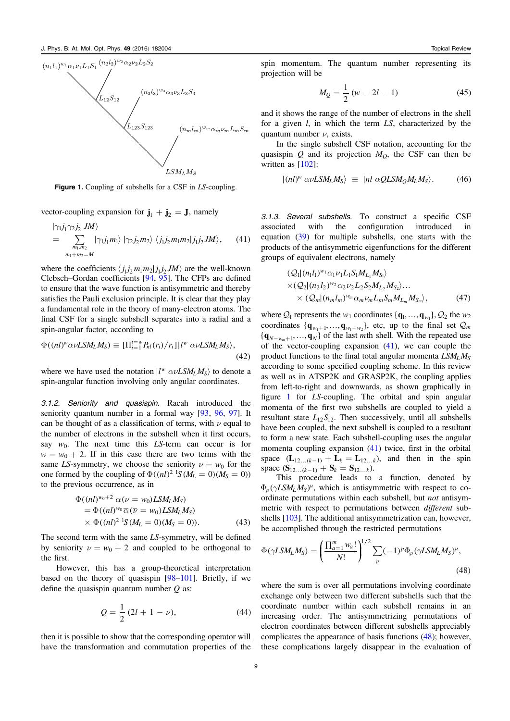<span id="page-9-1"></span>

Figure 1. Coupling of subshells for a CSF in LS-coupling.

<span id="page-9-0"></span>vector-coupling expansion for  $\mathbf{j}_1 + \mathbf{j}_2 = \mathbf{J}$ , namely

$$
\begin{aligned} |\gamma_1 j_1 \gamma_2 j_2 JM \rangle &= \sum_{m_1, m_2} |\gamma_1 j_1 m_1 \rangle |\gamma_2 j_2 m_2 \rangle \langle j_1 j_2 m_1 m_2 | j_1 j_2 JM \rangle, \qquad (41) \\ &= m_1 + m_2 = M \end{aligned}
$$

where the coefficients  $\langle j_1 j_2 m_1 m_2 | j_1 j_2 J M \rangle$  are the well-known Clebsch–Gordan coefficients [[94,](#page-33-38) [95](#page-33-39)]. The CFPs are defined to ensure that the wave function is antisymmetric and thereby satisfies the Pauli exclusion principle. It is clear that they play a fundamental role in the theory of many-electron atoms. The final CSF for a single subshell separates into a radial and a spin-angular factor, according to

<span id="page-9-4"></span>
$$
\Phi((nl)^{w}\alpha\nu LSM_{L}M_{S}) \equiv [\Pi_{i=1}^{i=w}P_{nl}(r_{i})/r_{i}]|l^{w}\alpha\nu LSM_{L}M_{S}\rangle, \tag{42}
$$

where we have used the notation  $|l^w \alpha vLSM_l M_s\rangle$  to denote a spin-angular function involving only angular coordinates.

3.1.2. Seniority and quasispin. Racah introduced the seniority quantum number in a formal way [[93,](#page-33-37) [96,](#page-33-40) [97](#page-33-41)]. It can be thought of as a classification of terms, with  $\nu$  equal to the number of electrons in the subshell when it first occurs, say  $w_0$ . The next time this LS-term can occur is for  $w = w_0 + 2$ . If in this case there are two terms with the same LS-symmetry, we choose the seniority  $\nu = w_0$  for the one formed by the coupling of  $\Phi((nl)^2)^1 S(M_L = 0) (M_S = 0)$ to the previous occurrence, as in

$$
\Phi((nl)^{w_0+2} \alpha (\nu = w_0) \text{LSM}_L M_S) \n= \Phi((nl)^{w_0} \overline{\alpha} (\overline{\nu} = w_0) \text{LSM}_L M_S) \n\times \Phi((nl)^2 \, {}^1S(M_L = 0)(M_S = 0)).
$$
\n(43)

The second term with the same LS-symmetry, will be defined by seniority  $\nu = w_0 + 2$  and coupled to be orthogonal to the first.

However, this has a group-theoretical interpretation based on the theory of quasispin [[98](#page-33-42)–[101](#page-33-43)]. Briefly, if we define the quasispin quantum number  $Q$  as:

$$
Q = \frac{1}{2} (2l + 1 - \nu),
$$
 (44)

then it is possible to show that the corresponding operator will have the transformation and commutation properties of the spin momentum. The quantum number representing its projection will be

$$
M_Q = \frac{1}{2} (w - 2l - 1)
$$
 (45)

and it shows the range of the number of electrons in the shell for a given l, in which the term LS, characterized by the quantum number  $\nu$ , exists.

<span id="page-9-3"></span>In the single subshell CSF notation, accounting for the quasispin Q and its projection  $M<sub>O</sub>$ , the CSF can then be written as  $[102]$  $[102]$  $[102]$ :

$$
|(nl)^{w} \alpha vLSM_{L}M_{S}\rangle \equiv |nl \alpha QLSM_{Q}M_{L}M_{S}\rangle. \tag{46}
$$

3.1.3. Several subshells. To construct a specific CSF associated with the configuration introduced in equation ([39](#page-8-1)) for multiple subshells, one starts with the products of the antisymmetric eigenfunctions for the different groups of equivalent electrons, namely

$$
\begin{aligned} \n(\mathcal{Q}_1 | (n_1 l_1)^{w_1} \alpha_1 \nu_1 L_1 S_1 M_{L_1} M_{S_1} \rangle \\ \n\times (\mathcal{Q}_2 | (n_2 l_2)^{w_2} \alpha_2 \nu_2 L_2 S_2 M_{L_2} M_{S_2} \rangle \dots \\ \n\times (\mathcal{Q}_m | (n_m l_m)^{w_m} \alpha_m \nu_m L_m S_m M_{L_m} M_{S_m} \rangle, \n\end{aligned} \n\tag{47}
$$

where  $Q_1$  represents the  $w_1$  coordinates { ${\bf q}_1, ..., {\bf q}_{w_1}$ },  $Q_2$  the  $w_2$ coordinates  $\{ \mathbf{q}_{w_1+1},..., \mathbf{q}_{w_1+w_2} \}$ , etc, up to the final set  $\mathcal{Q}_m$  ${\bf q}_{N-w_{m}+1},..., {\bf q}_{N}$  of the last *m*th shell. With the repeated use of the vector-coupling expansion ([41](#page-9-0)), we can couple the product functions to the final total angular momenta  $LSM_l M_S$ according to some specified coupling scheme. In this review as well as in ATSP2K and GRASP2K, the coupling applies from left-to-right and downwards, as shown graphically in figure [1](#page-9-1) for LS-coupling. The orbital and spin angular momenta of the first two subshells are coupled to yield a resultant state  $L_1, S_1,$ . Then successively, until all subshells have been coupled, the next subshell is coupled to a resultant to form a new state. Each subshell-coupling uses the angular momenta coupling expansion ([41](#page-9-0)) twice, first in the orbital space  $(L_{12...k-1} + L_k = L_{12...k})$ , and then in the spin space  $(S_{12...(k-1)} + S_k = S_{12...k}).$ 

This procedure leads to a function, denoted by  $\Phi_{\scriptscriptstyle{\text{O}}}(\gamma L S M_L M_S)^u$ , which is antisymmetric with respect to coordinate permutations within each subshell, but not antisymmetric with respect to permutations between different subshells [[103](#page-33-45)]. The additional antisymmetrization can, however, be accomplished through the restricted permutations

<span id="page-9-2"></span>
$$
\Phi(\gamma LSM_L M_S) = \left(\frac{\prod_{a=1}^m w_a!}{N!}\right)^{1/2} \sum_{\wp} (-1)^p \Phi_{\wp}(\gamma LSM_L M_S)^u,
$$
\n(48)

where the sum is over all permutations involving coordinate exchange only between two different subshells such that the coordinate number within each subshell remains in an increasing order. The antisymmetrizing permutations of electron coordinates between different subshells appreciably complicates the appearance of basis functions ([48](#page-9-2)); however, these complications largely disappear in the evaluation of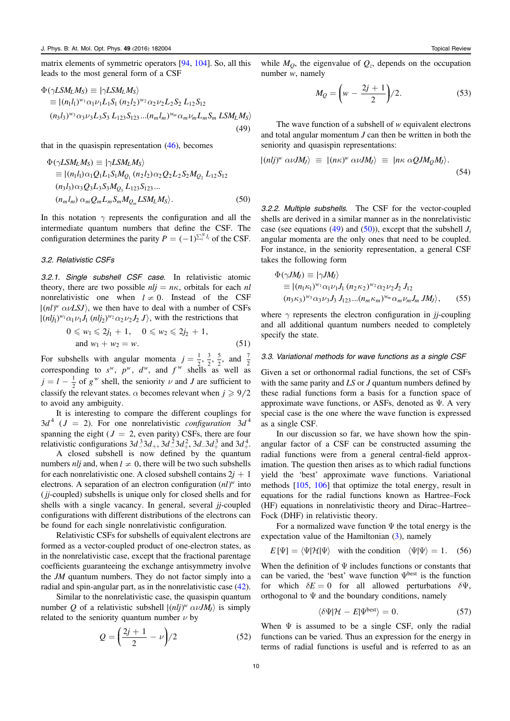<span id="page-10-0"></span>matrix elements of symmetric operators [[94,](#page-33-38) [104](#page-33-46)]. So, all this leads to the most general form of a CSF

$$
\Phi(\gamma LSM_L M_S) \equiv |\gamma LSM_L M_S\rangle
$$
  
\n
$$
\equiv |(n_1 l_1)^{w_1} \alpha_1 \nu_1 L_1 S_1 (n_2 l_2)^{w_2} \alpha_2 \nu_2 L_2 S_2 L_{12} S_{12}
$$
  
\n
$$
(n_3 l_3)^{w_3} \alpha_3 \nu_3 L_3 S_3 L_{123} S_{123} ... (n_m l_m)^{w_m} \alpha_m \nu_m L_m S_m LSM_L M_S \rangle
$$
  
\n(49)

<span id="page-10-1"></span>that in the quasispin representation  $(46)$  $(46)$  $(46)$ , becomes

$$
\Phi(\gamma LSM_L M_S) \equiv |\gamma LSM_L M_S\rangle \n\equiv |(n_1 l_1) \alpha_1 Q_1 L_1 S_1 M_{Q_1} (n_2 l_2) \alpha_2 Q_2 L_2 S_2 M_{Q_2} L_{12} S_{12} \n(n_3 l_3) \alpha_3 Q_3 L_3 S_3 M_{Q_3} L_{123} S_{123} ... \n(n_m l_m) \alpha_m Q_m L_m S_m M_{Q_m} LSM_L M_S \rangle.
$$
\n(50)

In this notation  $\gamma$  represents the configuration and all the intermediate quantum numbers that define the CSF. The configuration determines the parity  $P = (-1)^{\sum_i^N l_i}$  of the CSF.

# 3.2. Relativistic CSFs

<span id="page-10-5"></span>3.2.1. Single subshell CSF case. In relativistic atomic theory, there are two possible  $nli = n\kappa$ , orbitals for each nl nonrelativistic one when  $l \neq 0$ . Instead of the CSF  $(nl)^{w} \alpha vLSJ$ , we then have to deal with a number of CSFs  $|(n l j_1)^{w_1} \alpha_1 \nu_1 J_1 (n l j_2)^{w_2} \alpha_2 \nu_2 J_2 J \rangle$ , with the restrictions that

$$
0 \leq w_1 \leq 2j_1 + 1, \quad 0 \leq w_2 \leq 2j_2 + 1,\nand w_1 + w_2 = w.
$$
\n(51)

For subshells with angular momenta  $j = \frac{1}{2}, \frac{3}{2}, \frac{5}{2}$ , 2 3 2 5 For subshells with angular momenta  $j = \frac{1}{2}, \frac{3}{2}, \frac{5}{2}$ , and  $\frac{7}{2}$  corresponding to *s<sup>w</sup>*, *p<sup>w</sup>*, *d<sup>w</sup>*, and *f*<sup>*w*</sup> shells as well as  $j = l - \frac{1}{2}$  of  $g^w$  shell, the seniority  $\nu$  and  $J$  are sufficient to classify the relevant states.  $\alpha$  becomes relevant when  $j \geqslant 9/2$ to avoid any ambiguity.

It is interesting to compare the different couplings for  $3d<sup>4</sup>$  (J = 2). For one nonrelativistic *configuration*  $3d<sup>4</sup>$ spanning the eight ( $J = 2$ , even parity) CSFs, there are four relativistic configurations  $3d^3$   $3d_+$ ,  $3d^2$   $3d^2$ ,  $3d^ 3d^3$  and  $3d^4$ .

A closed subshell is now defined by the quantum numbers *nlj* and, when  $l \neq 0$ , there will be two such subshells for each nonrelativistic one. A closed subshell contains  $2j + 1$ electrons. A separation of an electron configuration (*nl*) *<sup>w</sup>* into ( jj-coupled) subshells is unique only for closed shells and for shells with a single vacancy. In general, several jj-coupled configurations with different distributions of the electrons can be found for each single nonrelativistic configuration.

Relativistic CSFs for subshells of equivalent electrons are formed as a vector-coupled product of one-electron states, as in the nonrelativistic case, except that the fractional parentage coefficients guaranteeing the exchange antisymmetry involve the JM quantum numbers. They do not factor simply into a radial and spin-angular part, as in the nonrelativistic case ([42](#page-9-4)).

Similar to the nonrelativistic case, the quasispin quantum number Q of a relativistic subshell  $|(n l i)^{w} \alpha v J M_{l}$  is simply related to the seniority quantum number  $\nu$  by

$$
Q = \left(\frac{2j+1}{2} - \nu\right)/2\tag{52}
$$

while  $M<sub>O</sub>$ , the eigenvalue of  $Q<sub>z</sub>$ , depends on the occupation number  $w$ , namely

$$
M_Q = \left(w - \frac{2j+1}{2}\right)/2. \tag{53}
$$

<span id="page-10-3"></span>The wave function of a subshell of  $w$  equivalent electrons and total angular momentum  $J$  can then be written in both the seniority and quasispin representations:

$$
|(nlj)^{w} \alpha vJM_{j}\rangle \equiv |(n\kappa)^{w} \alpha vJM_{j}\rangle \equiv |n\kappa \alpha QJM_{Q}M_{j}\rangle.
$$
 (54)

3.2.2. Multiple subshells. The CSF for the vector-coupled shells are derived in a similar manner as in the nonrelativistic case (see equations ([49](#page-10-0)) and ([50](#page-10-1))), except that the subshell  $J_i$ angular momenta are the only ones that need to be coupled. For instance, in the seniority representation, a general CSF takes the following form

<span id="page-10-4"></span>
$$
\Phi(\gamma JM_J) \equiv |\gamma JM_J\rangle \n\equiv |(n_1 \kappa_1)^{w_1} \alpha_1 \nu_1 J_1 (n_2 \kappa_2)^{w_2} \alpha_2 \nu_2 J_2 J_{12} \n(n_3 \kappa_3)^{w_3} \alpha_3 \nu_3 J_3 J_{123} ... (n_m \kappa_m)^{w_m} \alpha_m \nu_m J_m J M_J\rangle,
$$
\n(55)

where  $\gamma$  represents the electron configuration in *jj*-coupling and all additional quantum numbers needed to completely specify the state.

#### 3.3. Variational methods for wave functions as a single CSF

Given a set or orthonormal radial functions, the set of CSFs with the same parity and  $LS$  or  $J$  quantum numbers defined by these radial functions form a basis for a function space of approximate wave functions, or ASFs, denoted as  $\Psi$ . A very special case is the one where the wave function is expressed as a single CSF.

In our discussion so far, we have shown how the spinangular factor of a CSF can be constructed assuming the radial functions were from a general central-field approximation. The question then arises as to which radial functions yield the 'best' approximate wave functions. Variational methods [[105](#page-33-47), [106](#page-33-48)] that optimize the total energy, result in equations for the radial functions known as Hartree–Fock (HF) equations in nonrelativistic theory and Dirac–Hartree– Fock (DHF) in relativistic theory.

For a normalized wave function  $\Psi$  the total energy is the expectation value of the Hamiltonian ([3](#page-4-1)), namely

$$
E[\Psi] = \langle \Psi | \mathcal{H} | \Psi \rangle \quad \text{with the condition} \quad \langle \Psi | \Psi \rangle = 1. \quad (56)
$$

<span id="page-10-2"></span>When the definition of  $\Psi$  includes functions or constants that can be varied, the 'best' wave function  $\Psi^{\text{best}}$  is the function for which  $\delta E = 0$  for all allowed perturbations  $\delta \Psi$ , orthogonal to  $\Psi$  and the boundary conditions, namely

$$
\langle \delta \Psi | \mathcal{H} - E | \Psi^{\text{best}} \rangle = 0. \tag{57}
$$

When  $\Psi$  is assumed to be a single CSF, only the radial functions can be varied. Thus an expression for the energy in terms of radial functions is useful and is referred to as an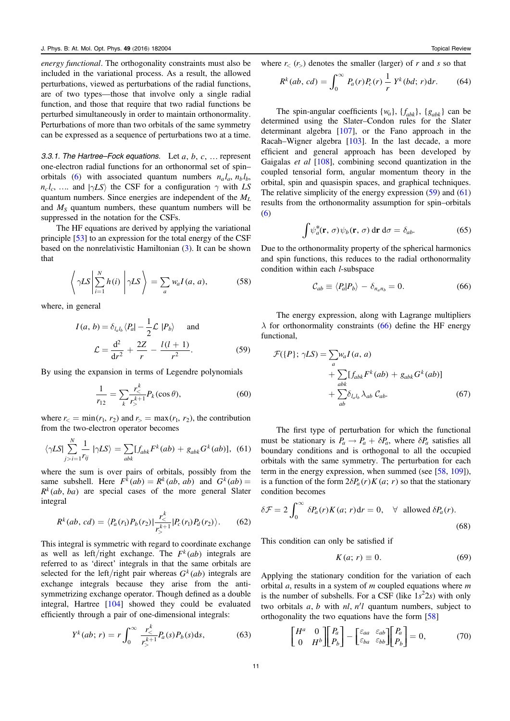energy functional. The orthogonality constraints must also be included in the variational process. As a result, the allowed perturbations, viewed as perturbations of the radial functions, are of two types—those that involve only a single radial function, and those that require that two radial functions be perturbed simultaneously in order to maintain orthonormality. Perturbations of more than two orbitals of the same symmetry can be expressed as a sequence of perturbations two at a time.

3.3.1. The Hartree–Fock equations. Let  $a, b, c, \ldots$  represent one-electron radial functions for an orthonormal set of spin– orbitals ([6](#page-4-5)) with associated quantum numbers  $n_a l_a$ ,  $n_b l_b$ ,  $n_c l_c$ , .... and  $|\gamma L S \rangle$  the CSF for a configuration  $\gamma$  with LS quantum numbers. Since energies are independent of the  $M_L$ and  $M<sub>S</sub>$  quantum numbers, these quantum numbers will be suppressed in the notation for the CSFs.

The HF equations are derived by applying the variational principle [[53](#page-33-0)] to an expression for the total energy of the CSF based on the nonrelativistic Hamiltonian ([3](#page-4-1)). It can be shown that

$$
\left\langle \gamma LS \left| \sum_{i=1}^{N} h(i) \right| \gamma LS \right\rangle = \sum_{a} w_a I(a, a), \tag{58}
$$

<span id="page-11-0"></span>where, in general

$$
I(a, b) = \delta_{l_a l_b} \langle P_a | -\frac{1}{2} \mathcal{L} | P_b \rangle \quad \text{and}
$$

$$
\mathcal{L} = \frac{d^2}{dr^2} + \frac{2Z}{r} - \frac{l(l+1)}{r^2}.
$$
 (59)

By using the expansion in terms of Legendre polynomials

$$
\frac{1}{r_{12}} = \sum_{k} \frac{r_{\leq}^k}{r_{>}^{k+1}} P_k(\cos \theta),\tag{60}
$$

<span id="page-11-1"></span>where  $r<sub>5</sub> = min(r<sub>1</sub>, r<sub>2</sub>)$  and  $r<sub>5</sub> = max(r<sub>1</sub>, r<sub>2</sub>)$ , the contribution from the two-electron operator becomes

$$
\langle \gamma L S | \sum_{j>i=1}^{N} \frac{1}{r_{ij}} | \gamma L S \rangle = \sum_{abk} [f_{abk} F^{k}(ab) + g_{abk} G^{k}(ab)], \quad (61)
$$

where the sum is over pairs of orbitals, possibly from the same subshell. Here  $F^k(ab) = R^k(ab, ab)$  and  $G^k(ab) =$  $R^k(ab, ba)$  are special cases of the more general Slater integral

$$
R^{k}(ab, cd) = \langle P_a(r_1)P_b(r_2) | \frac{r_{\leq}^{k}}{r_{\geq}^{k+1}} | P_c(r_1)P_d(r_2) \rangle.
$$
 (62)

This integral is symmetric with regard to coordinate exchange as well as left/right exchange. The  $F^k(ab)$  integrals are referred to as 'direct' integrals in that the same orbitals are selected for the left/right pair whereas  $G<sup>k</sup>(ab)$  integrals are exchange integrals because they arise from the antisymmetrizing exchange operator. Though defined as a double integral, Hartree [[104](#page-33-46)] showed they could be evaluated efficiently through a pair of one-dimensional integrals:

$$
Y^{k}(ab; r) = r \int_{0}^{\infty} \frac{r_{\leq}^{k}}{r_{>}^{k+1}} P_{a}(s) P_{b}(s) \, \mathrm{d}s,\tag{63}
$$

where  $r<sub>5</sub>(r<sub>5</sub>)$  denotes the smaller (larger) of r and s so that

$$
R^{k}(ab, cd) = \int_{0}^{\infty} P_{a}(r)P_{c}(r) \frac{1}{r} Y^{k}(bd; r) dr.
$$
 (64)

The spin-angular coefficients  $\{w_a\}$ ,  $\{f_{abk}\}$ ,  $\{g_{abk}\}$  can be determined using the Slater–Condon rules for the Slater determinant algebra [[107](#page-33-49)], or the Fano approach in the Racah–Wigner algebra [[103](#page-33-45)]. In the last decade, a more efficient and general approach has been developed by Gaigalas et al [[108](#page-33-50)], combining second quantization in the coupled tensorial form, angular momentum theory in the orbital, spin and quasispin spaces, and graphical techniques. The relative simplicity of the energy expression  $(59)$  $(59)$  $(59)$  and  $(61)$  $(61)$  $(61)$ results from the orthonormality assumption for spin–orbitals ([6](#page-4-5))

$$
\int \psi_a^*(\mathbf{r}, \sigma) \psi_b(\mathbf{r}, \sigma) \, d\mathbf{r} \, d\sigma = \delta_{ab}.
$$
 (65)

<span id="page-11-2"></span>Due to the orthonormality property of the spherical harmonics and spin functions, this reduces to the radial orthonormality condition within each l-subspace

$$
\mathcal{C}_{ab} \equiv \langle P_a | P_b \rangle - \delta_{n_a n_b} = 0. \tag{66}
$$

The energy expression, along with Lagrange multipliers  $\lambda$  for orthonormality constraints ([66](#page-11-2)) define the HF energy functional,

$$
\mathcal{F}(\lbrace P \rbrace; \gamma LS) = \sum_{a} w_a I(a, a)
$$
  
+ 
$$
\sum_{abk} [f_{abk} F^k(ab) + g_{abk} G^k(ab)]
$$
  
+ 
$$
\sum_{ab} \delta_{l_a l_b} \lambda_{ab} C_{ab}.
$$
 (67)

The first type of perturbation for which the functional must be stationary is  $P_a \rightarrow P_a + \delta P_a$ , where  $\delta P_a$  satisfies all boundary conditions and is orthogonal to all the occupied orbitals with the same symmetry. The perturbation for each term in the energy expression, when summed (see [[58,](#page-33-5) [109](#page-33-51)]), is a function of the form  $2\delta P_a(r)K(a; r)$  so that the stationary condition becomes

$$
\delta \mathcal{F} = 2 \int_0^\infty \delta P_a(r) K(a; r) dr = 0, \quad \forall \text{ allowed } \delta P_a(r).
$$
\n(68)

This condition can only be satisfied if

$$
K(a; r) \equiv 0. \tag{69}
$$

Applying the stationary condition for the variation of each orbital  $a$ , results in a system of  $m$  coupled equations where  $m$ is the number of subshells. For a CSF (like  $1s^22s$ ) with only two orbitals  $a, b$  with  $nl, n'l$  quantum numbers, subject to orthogonality the two equations have the form [[58](#page-33-5)]

$$
\begin{bmatrix} H^a & 0 \\ 0 & H^b \end{bmatrix} \begin{bmatrix} P_a \\ P_b \end{bmatrix} - \begin{bmatrix} \varepsilon_{aa} & \varepsilon_{ab} \\ \varepsilon_{ba} & \varepsilon_{bb} \end{bmatrix} \begin{bmatrix} P_a \\ P_b \end{bmatrix} = 0, \tag{70}
$$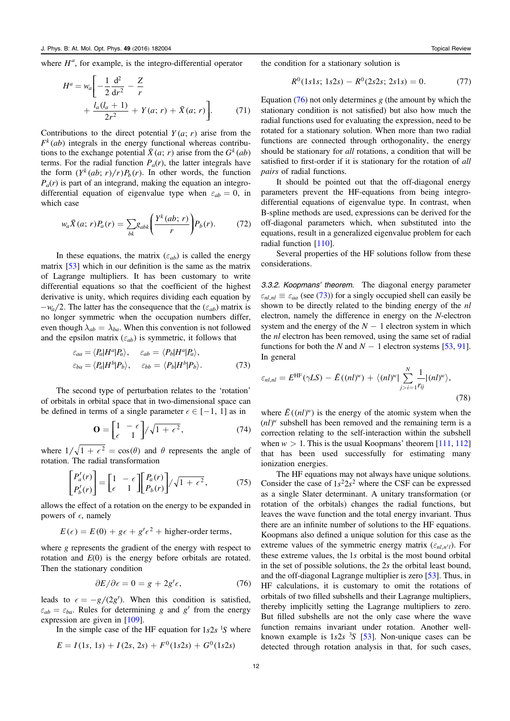<span id="page-12-2"></span>where  $H^a$ , for example, is the integro-differential operator

$$
H^{a} = w_{a} \left[ -\frac{1}{2} \frac{d^{2}}{dr^{2}} - \frac{Z}{r} + \frac{l_{a}(l_{a} + 1)}{2r^{2}} + Y(a; r) + \bar{X}(a; r) \right].
$$
 (71)

Contributions to the direct potential  $Y(a; r)$  arise from the  $F^k(ab)$  integrals in the energy functional whereas contributions to the exchange potential  $\bar{X}(a; r)$  arise from the  $G^k(ab)$ terms. For the radial function  $P_a(r)$ , the latter integrals have the form  $(Y^k(ab; r)/r)P_b(r)$ . In other words, the function  $P_a(r)$  is part of an integrand, making the equation an integrodifferential equation of eigenvalue type when  $\varepsilon_{ab} = 0$ , in which case

<span id="page-12-3"></span>
$$
w_a \bar{X}(a; r) P_a(r) = \sum_{bk} g_{abk} \left( \frac{Y^k(ab; r)}{r} \right) P_b(r). \tag{72}
$$

In these equations, the matrix  $(\varepsilon_{ab})$  is called the energy matrix [[53](#page-33-0)] which in our definition is the same as the matrix of Lagrange multipliers. It has been customary to write differential equations so that the coefficient of the highest derivative is unity, which requires dividing each equation by  $-w_a/2$ . The latter has the consequence that the ( $\varepsilon_{ab}$ ) matrix is no longer symmetric when the occupation numbers differ, even though  $\lambda_{ab} = \lambda_{ba}$ . When this convention is not followed and the epsilon matrix  $(\varepsilon_{ab})$  is symmetric, it follows that

<span id="page-12-1"></span>
$$
\varepsilon_{aa} = \langle P_a | H^a | P_a \rangle, \quad \varepsilon_{ab} = \langle P_b | H^a | P_a \rangle,
$$
  
\n
$$
\varepsilon_{ba} = \langle P_a | H^b | P_b \rangle, \quad \varepsilon_{bb} = \langle P_b | H^b | P_b \rangle.
$$
 (73)

The second type of perturbation relates to the 'rotation' of orbitals in orbital space that in two-dimensional space can be defined in terms of a single parameter  $\epsilon \in [-1, 1]$  as in

$$
\mathbf{O} = \begin{bmatrix} 1 & -\epsilon \\ \epsilon & 1 \end{bmatrix} / \sqrt{1 + \epsilon^2},\tag{74}
$$

where  $1/\sqrt{1+\epsilon^2} = \cos(\theta)$  and  $\theta$  represents the angle of rotation. The radial transformation

$$
\begin{bmatrix} P_a'(r) \\ P_b'(r) \end{bmatrix} = \begin{bmatrix} 1 & -\epsilon \\ \epsilon & 1 \end{bmatrix} \begin{bmatrix} P_a(r) \\ P_b(r) \end{bmatrix} / \sqrt{1 + \epsilon^2}, \tag{75}
$$

allows the effect of a rotation on the energy to be expanded in powers of  $\epsilon$ , namely

$$
E(\epsilon) = E(0) + g\epsilon + g'\epsilon^2 + \text{higher-order terms},
$$

<span id="page-12-0"></span>where g represents the gradient of the energy with respect to rotation and  $E(0)$  is the energy before orbitals are rotated. Then the stationary condition

$$
\partial E/\partial \epsilon = 0 = g + 2g'\epsilon, \tag{76}
$$

leads to  $\epsilon = -g/(2g')$ . When this condition is satisfied,  $\varepsilon_{ab} = \varepsilon_{ba}$ . Rules for determining g and g<sup>t</sup> from the energy expression are given in [[109](#page-33-51)].

In the simple case of the HF equation for  $1s2s<sup>1</sup>S$  where

$$
E = I(1s, 1s) + I(2s, 2s) + F0(1s2s) + G0(1s2s)
$$

the condition for a stationary solution is

$$
R^0(1s1s; 1s2s) - R^0(2s2s; 2s1s) = 0.
$$
 (77)

Equation  $(76)$  $(76)$  $(76)$  not only determines g (the amount by which the stationary condition is not satisfied) but also how much the radial functions used for evaluating the expression, need to be rotated for a stationary solution. When more than two radial functions are connected through orthogonality, the energy should be stationary for all rotations, a condition that will be satisfied to first-order if it is stationary for the rotation of all pairs of radial functions.

It should be pointed out that the off-diagonal energy parameters prevent the HF-equations from being integrodifferential equations of eigenvalue type. In contrast, when B-spline methods are used, expressions can be derived for the off-diagonal parameters which, when substituted into the equations, result in a generalized eigenvalue problem for each radial function [[110](#page-33-52)].

Several properties of the HF solutions follow from these considerations.

3.3.2. Koopmans' theorem. The diagonal energy parameter  $\varepsilon_{nl,nl} \equiv \varepsilon_{aa}$  (see ([73](#page-12-1))) for a singly occupied shell can easily be shown to be directly related to the binding energy of the nl electron, namely the difference in energy on the N-electron system and the energy of the  $N-1$  electron system in which the *nl* electron has been removed, using the same set of radial functions for both the N and  $N-1$  electron systems [[53](#page-33-0), [91](#page-33-53)]. In general

$$
\varepsilon_{nl,nl} = E^{\text{HF}}(\gamma L S) - \bar{E}((nl)^{w}) + \langle (nl)^{w} \vert \sum_{j>i=1}^{N} \frac{1}{r_{ij}} \vert (nl)^{w} \rangle, \tag{78}
$$

where  $\bar{E}((nl)^w)$  is the energy of the atomic system when the (*nl*) *<sup>w</sup>* subshell has been removed and the remaining term is a correction relating to the self-interaction within the subshell when  $w > 1$ . This is the usual Koopmans' theorem [[111,](#page-33-54) [112](#page-33-55)] that has been used successfully for estimating many ionization energies.

The HF equations may not always have unique solutions. Consider the case of  $1s^22s^2$  where the CSF can be expressed as a single Slater determinant. A unitary transformation (or rotation of the orbitals) changes the radial functions, but leaves the wave function and the total energy invariant. Thus there are an infinite number of solutions to the HF equations. Koopmans also defined a unique solution for this case as the extreme values of the symmetric energy matrix  $(\epsilon_{nl,n'l})$ . For these extreme values, the 1*s* orbital is the most bound orbital in the set of possible solutions, the 2*s* the orbital least bound, and the off-diagonal Lagrange multiplier is zero [[53](#page-33-0)]. Thus, in HF calculations, it is customary to omit the rotations of orbitals of two filled subshells and their Lagrange multipliers, thereby implicitly setting the Lagrange multipliers to zero. But filled subshells are not the only case where the wave function remains invariant under rotation. Another wellknown example is  $1s2s$  <sup>3</sup>S [[53](#page-33-0)]. Non-unique cases can be detected through rotation analysis in that, for such cases,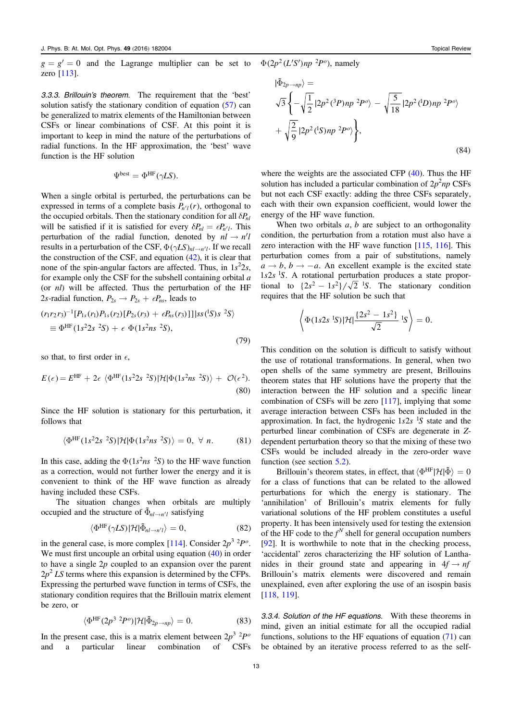$g = g' = 0$  and the Lagrange multiplier can be set to zero [[113](#page-33-56)].  $\Phi(2p^2(L^{\prime}S^{\prime})np^2P^{\circ})$ , namely

3.3.3. Brillouin's theorem. The requirement that the 'best' solution satisfy the stationary condition of equation ([57](#page-10-2)) can be generalized to matrix elements of the Hamiltonian between CSFs or linear combinations of CSF. At this point it is important to keep in mind the nature of the perturbations of radial functions. In the HF approximation, the 'best' wave function is the HF solution

$$
\Psi^{\text{best}} = \Phi^{\text{HF}}(\gamma L S).
$$

When a single orbital is perturbed, the perturbations can be expressed in terms of a complete basis  $P_{n'l}(r)$ , orthogonal to the occupied orbitals. Then the stationary condition for all  $\delta P_{nl}$ will be satisfied if it is satisfied for every  $\delta P_{nl} = \epsilon P_{n'l}$ . This perturbation of the radial function, denoted by  $nl \rightarrow n'l$ results in a perturbation of the CSF,  $\Phi(\gamma LS)_{nl \to n'l}$ . If we recall the construction of the CSF, and equation  $(42)$  $(42)$  $(42)$ , it is clear that none of the spin-angular factors are affected. Thus, in  $1s^22s$ , for example only the CSF for the subshell containing orbital  $a$ (or  $nl$ ) will be affected. Thus the perturbation of the HF 2*s*-radial function,  $P_{2s} \rightarrow P_{2s} + \epsilon P_{ns}$ , leads to

$$
(r_1r_2r_3)^{-1}[P_{1s}(r_1)P_{1s}(r_2)[P_{2s}(r_3) + \epsilon P_{ns}(r_3)]]\,|ss(^{1}S)s \,^2S\rangle
$$
  
\n
$$
\equiv \Phi^{\rm HF}(1s^22s \,^2S) + \epsilon \, \Phi(1s^2ns \,^2S),
$$

so that, to first order in  $\epsilon$ ,

$$
E(\epsilon) = E^{\text{HF}} + 2\epsilon \langle \Phi^{\text{HF}}(1s^22s \text{ }^2S) | \mathcal{H} | \Phi(1s^2ns \text{ }^2S) \rangle + \mathcal{O}(\epsilon^2).
$$
\n(80)

Since the HF solution is stationary for this perturbation, it follows that

$$
\langle \Phi^{\rm HF}(1s^22s \ ^2S)|\mathcal{H}|\Phi(1s^2ns \ ^2S)\rangle = 0, \ \forall \ n. \tag{81}
$$

In this case, adding the  $\Phi( 1s^2 n s^2 S)$  to the HF wave function as a correction, would not further lower the energy and it is convenient to think of the HF wave function as already having included these CSFs.

<span id="page-13-0"></span>The situation changes when orbitals are multiply occupied and the structure of  $\tilde{\Phi}_{nl \to n'l}$  satisfying

$$
\langle \Phi^{\rm HF}(\gamma L S) | \mathcal{H} | \tilde{\Phi}_{nl \to n'l} \rangle = 0, \tag{82}
$$

in the general case, is more complex [[114](#page-33-57)]. Consider  $2p^3$   $^2P^o$ . We must first uncouple an orbital using equation ([40](#page-8-0)) in order to have a single 2*p* coupled to an expansion over the parent  $2p<sup>2</sup> LS$  terms where this expansion is determined by the CFPs. Expressing the perturbed wave function in terms of CSFs, the stationary condition requires that the Brillouin matrix element be zero, or

$$
\langle \Phi^{\rm HF}(2p^3 \,^2P^o) | \mathcal{H} | \tilde{\Phi}_{2p \to np} \rangle = 0. \tag{83}
$$

In the present case, this is a matrix element between  $2p^3$   $^2P^{\circ}$ and a particular linear combination of CSFs

<span id="page-13-1"></span>
$$
\begin{aligned} |\tilde{\Phi}_{2p \to np} \rangle &= \\ \sqrt{3} \left\{ -\sqrt{\frac{1}{2}} \left| 2p^2 \left( ^3P \right) np \right| ^2 P^o \right\rangle - \sqrt{\frac{5}{18}} \left| 2p^2 \left( ^1D \right) np \right| ^2 P^o \right\rangle \\ &+ \sqrt{\frac{2}{9}} \left| 2p^2 \left( ^1S \right) np \right| ^2 P^o \right\rangle \right\}, \end{aligned}
$$

where the weights are the associated CFP ([40](#page-8-0)). Thus the HF solution has included a particular combination of  $2p^2np$  CSFs but not each CSF exactly: adding the three CSFs separately, each with their own expansion coefficient, would lower the energy of the HF wave function.

When two orbitals *a*, *b* are subject to an orthogonality condition, the perturbation from a rotation must also have a zero interaction with the HF wave function [[115](#page-33-58), [116](#page-33-59)]. This perturbation comes from a pair of substitutions, namely  $a \rightarrow b$ ,  $b \rightarrow -a$ . An excellent example is the excited state 1s2s<sup>1</sup>S. A rotational perturbation produces a state proportional to  $\{2s^2 - 1s^2\}/\sqrt{2}$  <sup>1</sup>S. The stationary condition requires that the HF solution be such that

$$
\left\langle \Phi(1s2s\,{}^{1}S)|\mathcal{H}|\frac{\{2s^{2}-1s^{2}\}}{\sqrt{2}}\,{}^{1}S\right\rangle =0.
$$

This condition on the solution is difficult to satisfy without the use of rotational transformations. In general, when two open shells of the same symmetry are present, Brillouins theorem states that HF solutions have the property that the interaction between the HF solution and a specific linear combination of CSFs will be zero [[117](#page-33-60)], implying that some average interaction between CSFs has been included in the approximation. In fact, the hydrogenic  $1s2s$ <sup>1</sup>S state and the perturbed linear combination of CSFs are degenerate in Zdependent perturbation theory so that the mixing of these two CSFs would be included already in the zero-order wave function (see section [5.2](#page-24-0)).

Brillouin's theorem states, in effect, that  $\langle \Phi^{\text{HF}} | \mathcal{H} | \tilde{\Phi} \rangle = 0$ for a class of functions that can be related to the allowed perturbations for which the energy is stationary. The 'annihilation' of Brillouin's matrix elements for fully variational solutions of the HF problem constitutes a useful property. It has been intensively used for testing the extension of the HF code to the  $f<sup>N</sup>$  shell for general occupation numbers [[92](#page-33-36)]. It is worthwhile to note that in the checking process, 'accidental' zeros characterizing the HF solution of Lanthanides in their ground state and appearing in  $4f \rightarrow nf$ Brillouin's matrix elements were discovered and remain unexplained, even after exploring the use of an isospin basis [[118](#page-33-61), [119](#page-33-62)].

3.3.4. Solution of the HF equations. With these theorems in mind, given an initial estimate for all the occupied radial functions, solutions to the HF equations of equation  $(71)$  $(71)$  $(71)$  can be obtained by an iterative process referred to as the self-

 $(79)$ 

 $(84)$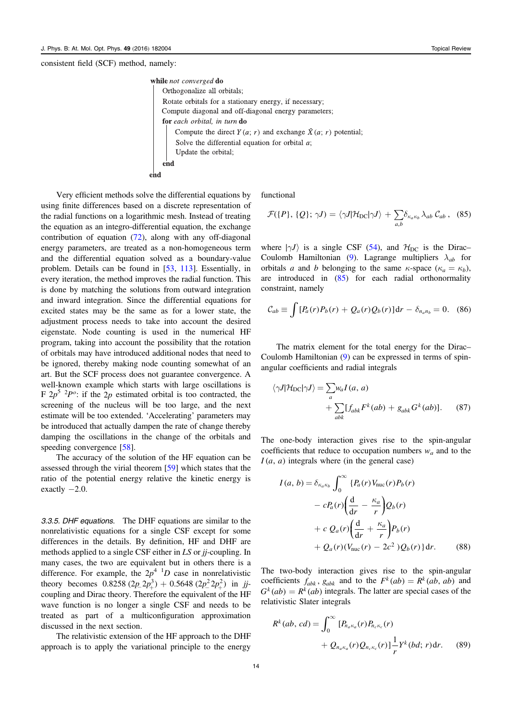consistent field (SCF) method, namely:

while not converged do Orthogonalize all orbitals; Rotate orbitals for a stationary energy, if necessary; Compute diagonal and off-diagonal energy parameters; for each orbital, in turn do Compute the direct  $Y(a; r)$  and exchange  $\overline{X}(a; r)$  potential; Solve the differential equation for orbital  $a$ ; Update the orbital; end

Very efficient methods solve the differential equations by using finite differences based on a discrete representation of the radial functions on a logarithmic mesh. Instead of treating the equation as an integro-differential equation, the exchange contribution of equation ([72](#page-12-3)), along with any off-diagonal energy parameters, are treated as a non-homogeneous term and the differential equation solved as a boundary-value problem. Details can be found in [[53,](#page-33-0) [113](#page-33-56)]. Essentially, in every iteration, the method improves the radial function. This is done by matching the solutions from outward integration and inward integration. Since the differential equations for excited states may be the same as for a lower state, the adjustment process needs to take into account the desired eigenstate. Node counting is used in the numerical HF program, taking into account the possibility that the rotation of orbitals may have introduced additional nodes that need to be ignored, thereby making node counting somewhat of an art. But the SCF process does not guarantee convergence. A well-known example which starts with large oscillations is F  $2p^5$  <sup>2</sup> $P$ <sup>o</sup>: if the  $2p$  estimated orbital is too contracted, the screening of the nucleus will be too large, and the next estimate will be too extended. 'Accelerating' parameters may be introduced that actually dampen the rate of change thereby damping the oscillations in the change of the orbitals and speeding convergence [[58](#page-33-5)].

The accuracy of the solution of the HF equation can be assessed through the virial theorem [[59](#page-33-6)] which states that the ratio of the potential energy relative the kinetic energy is exactly  $-2.0$ .

3.3.5. DHF equations. The DHF equations are similar to the nonrelativistic equations for a single CSF except for some differences in the details. By definition, HF and DHF are methods applied to a single CSF either in LS or jj-coupling. In many cases, the two are equivalent but in others there is a difference. For example, the  $2p^{4}$  <sup>1</sup>D case in nonrelativistic theory becomes  $0.8258 (2p_2^2p_1^3) + 0.5648 (2p_2^2p_1^2)$  in jjcoupling and Dirac theory. Therefore the equivalent of the HF wave function is no longer a single CSF and needs to be treated as part of a multiconfiguration approximation discussed in the next section.

The relativistic extension of the HF approach to the DHF approach is to apply the variational principle to the energy

<span id="page-14-0"></span>functional

$$
\mathcal{F}(\{P\},\{Q\};\,\gamma J) = \langle \gamma J | \mathcal{H}_{\text{DC}} | \gamma J \rangle + \sum_{a,b} \delta_{\kappa_a \kappa_b} \lambda_{ab} \mathcal{C}_{ab} \,, \quad (85)
$$

where  $|\gamma J\rangle$  is a single CSF ([54](#page-10-3)), and  $\mathcal{H}_{DC}$  is the Dirac– Coulomb Hamiltonian ([9](#page-5-3)). Lagrange multipliers  $\lambda_{ab}$  for orbitals a and b belonging to the same  $\kappa$ -space ( $\kappa_a = \kappa_b$ ), are introduced in ([85](#page-14-0)) for each radial orthonormality constraint, namely

<span id="page-14-2"></span>
$$
\mathcal{C}_{ab} \equiv \int [P_a(r)P_b(r) + Q_a(r)Q_b(r)]\mathrm{d}r - \delta_{n_a n_b} = 0. \quad (86)
$$

<span id="page-14-1"></span>The matrix element for the total energy for the Dirac– Coulomb Hamiltonian ([9](#page-5-3)) can be expressed in terms of spinangular coefficients and radial integrals

$$
\langle \gamma J | \mathcal{H}_{\text{DC}} | \gamma J \rangle = \sum_{a} w_a I(a, a) + \sum_{abk} [f_{abk} F^k(ab) + g_{abk} G^k(ab)].
$$
 (87)

<span id="page-14-3"></span>The one-body interaction gives rise to the spin-angular coefficients that reduce to occupation numbers  $w_a$  and to the  $I(a, a)$  integrals where (in the general case)

$$
I(a, b) = \delta_{\kappa_a \kappa_b} \int_0^\infty \{P_a(r) V_{\text{nuc}}(r) P_b(r)
$$
  
-  $cP_a(r) \left(\frac{d}{dr} - \frac{\kappa_a}{r}\right) Q_b(r)$   
+  $c Q_a(r) \left(\frac{d}{dr} + \frac{\kappa_a}{r}\right) P_b(r)$   
+  $Q_a(r) (V_{\text{nuc}}(r) - 2c^2) Q_b(r) \} dr.$  (88)

The two-body interaction gives rise to the spin-angular coefficients  $f_{abk}$ ,  $g_{abk}$  and to the  $F^k(ab) = R^k(ab, ab)$  and  $G<sup>k</sup>(ab) = R<sup>k</sup>(ab)$  integrals. The latter are special cases of the relativistic Slater integrals

<span id="page-14-4"></span>
$$
R^{k}(ab, cd) = \int_{0}^{\infty} [P_{n_a\kappa_a}(r)P_{n_c\kappa_c}(r)] + Q_{n_a\kappa_a}(r)Q_{n_c\kappa_c}(r)]\frac{1}{r}Y^{k}(bd; r)dr.
$$
 (89)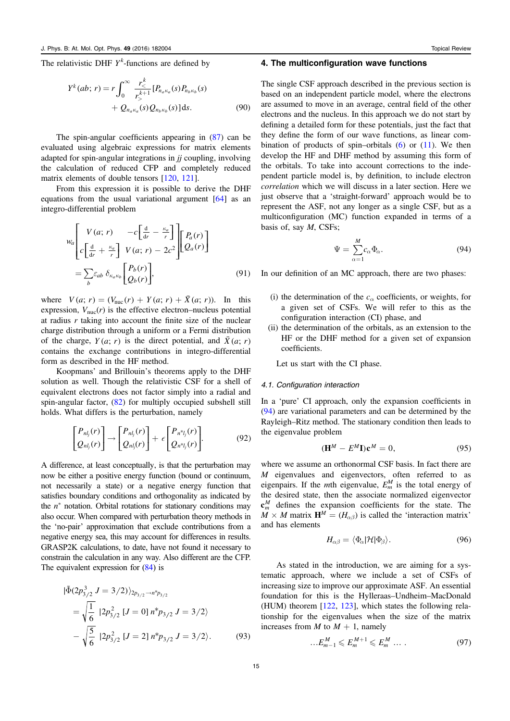<span id="page-15-2"></span>The relativistic DHF  $Y<sup>k</sup>$ -functions are defined by

$$
Y^{k}(ab; r) = r \int_{0}^{\infty} \frac{r_{\le}^{k}}{r_{>}^{k+1}} [P_{n_{a} \kappa_{a}}(s) P_{n_{b} \kappa_{b}}(s) + Q_{n_{a} \kappa_{a}}(s) Q_{n_{b} \kappa_{b}}(s)] ds.
$$
 (90)

The spin-angular coefficients appearing in ([87](#page-14-1)) can be evaluated using algebraic expressions for matrix elements adapted for spin-angular integrations in jj coupling, involving the calculation of reduced CFP and completely reduced matrix elements of double tensors [[120](#page-33-63), [121](#page-33-64)].

From this expression it is possible to derive the DHF equations from the usual variational argument [[64](#page-33-11)] as an integro-differential problem

$$
w_a \left[ \n\begin{array}{ccc} V(a; r) & -c \left[ \frac{d}{dr} - \frac{\kappa_a}{r} \right] \\ c \left[ \frac{d}{dr} + \frac{\kappa_a}{r} \right] & V(a; r) - 2c^2 \end{array} \right] \left[ \begin{array}{c} P_a(r) \\ Q_a(r) \end{array} \right] \\ = \sum_b \varepsilon_{ab} \delta_{\kappa_a \kappa_b} \left[ \begin{array}{c} P_b(r) \\ Q_b(r) \end{array} \right], \tag{91}
$$

where  $V(a; r) = (V_{\text{nuc}}(r) + Y(a; r) + \bar{X}(a; r))$ . In this expression,  $V_{\text{nuc}}(r)$  is the effective electron–nucleus potential at radius  $r$  taking into account the finite size of the nuclear charge distribution through a uniform or a Fermi distribution of the charge,  $Y(a; r)$  is the direct potential, and  $\bar{X}(a; r)$ contains the exchange contributions in integro-differential form as described in the HF method.

Koopmans' and Brillouin's theorems apply to the DHF solution as well. Though the relativistic CSF for a shell of equivalent electrons does not factor simply into a radial and spin-angular factor, ([82](#page-13-0)) for multiply occupied subshell still holds. What differs is the perturbation, namely

$$
\begin{bmatrix} P_{nl_j}(r) \\ Q_{nl_j}(r) \end{bmatrix} \rightarrow \begin{bmatrix} P_{nl_j}(r) \\ Q_{nl_j}(r) \end{bmatrix} + \epsilon \begin{bmatrix} P_{n^*l_j}(r) \\ Q_{n^*l_j}(r) \end{bmatrix}.
$$
 (92)

A difference, at least conceptually, is that the perturbation may now be either a positive energy function (bound or continuum, not necessarily a state) or a negative energy function that satisfies boundary conditions and orthogonality as indicated by the  $n^*$  notation. Orbital rotations for stationary conditions may also occur. When compared with perturbation theory methods in the 'no-pair' approximation that exclude contributions from a negative energy sea, this may account for differences in results. GRASP2K calculations, to date, have not found it necessary to constrain the calculation in any way. Also different are the CFP. The equivalent expression for [\(84\)](#page-13-1) is

$$
|\tilde{\Phi}(2p_{3/2}^3 J = 3/2)\rangle_{2p_{3/2} \to n^*p_{3/2}}
$$
  
=  $\sqrt{\frac{1}{6}} |2p_{3/2}^2 [J = 0] n^*p_{3/2} J = 3/2 \rangle$   
-  $\sqrt{\frac{5}{6}} |2p_{3/2}^2 [J = 2] n^*p_{3/2} J = 3/2 \rangle.$  (93)

#### 4. The multiconfiguration wave functions

The single CSF approach described in the previous section is based on an independent particle model, where the electrons are assumed to move in an average, central field of the other electrons and the nucleus. In this approach we do not start by defining a detailed form for these potentials, just the fact that they define the form of our wave functions, as linear combination of products of spin–orbitals  $(6)$  $(6)$  $(6)$  or  $(11)$  $(11)$  $(11)$ . We then develop the HF and DHF method by assuming this form of the orbitals. To take into account corrections to the independent particle model is, by definition, to include electron correlation which we will discuss in a later section. Here we just observe that a 'straight-forward' approach would be to represent the ASF, not any longer as a single CSF, but as a multiconfiguration (MC) function expanded in terms of a basis of, say M, CSFs;

$$
\Psi = \sum_{\alpha=1}^{M} c_{\alpha} \Phi_{\alpha}.
$$
\n(94)

<span id="page-15-0"></span>In our definition of an MC approach, there are two phases:

- (i) the determination of the  $c<sub>o</sub>$  coefficients, or weights, for a given set of CSFs. We will refer to this as the configuration interaction (CI) phase, and
- (ii) the determination of the orbitals, as an extension to the HF or the DHF method for a given set of expansion coefficients.

Let us start with the CI phase.

#### 4.1. Configuration interaction

<span id="page-15-1"></span>In a 'pure' CI approach, only the expansion coefficients in ([94](#page-15-0)) are variational parameters and can be determined by the Rayleigh–Ritz method. The stationary condition then leads to the eigenvalue problem

$$
(\mathbf{H}^M - E^M \mathbf{I}) \mathbf{c}^M = 0,\t(95)
$$

where we assume an orthonormal CSF basis. In fact there are M eigenvalues and eigenvectors, often referred to as eigenpairs. If the *m*th eigenvalue,  $E_m^M$  is the total energy of the desired state, then the associate normalized eigenvector **c***m <sup>M</sup>* defines the expansion coefficients for the state. The  $\ddot{M} \times M$  matrix  $\mathbf{H}^M = (H_{\alpha\beta})$  is called the 'interaction matrix' and has elements

$$
H_{\alpha\beta} = \langle \Phi_{\alpha} | \mathcal{H} | \Phi_{\beta} \rangle.
$$
 (96)

As stated in the introduction, we are aiming for a systematic approach, where we include a set of CSFs of increasing size to improve our approximate ASF. An essential foundation for this is the Hylleraas–Undheim–MacDonald (HUM) theorem [[122,](#page-33-65) [123](#page-33-66)], which states the following relationship for the eigenvalues when the size of the matrix increases from  $M$  to  $M + 1$ , namely

$$
\dots E_{m-1}^M \leqslant E_m^{M+1} \leqslant E_m^M \dots \tag{97}
$$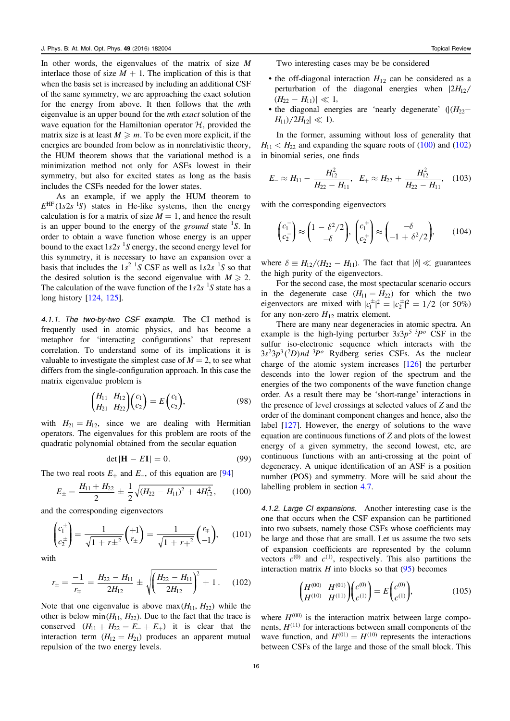In other words, the eigenvalues of the matrix of size  $M$ interlace those of size  $M + 1$ . The implication of this is that when the basis set is increased by including an additional CSF of the same symmetry, we are approaching the exact solution for the energy from above. It then follows that the mth eigenvalue is an upper bound for the *mth exact* solution of the wave equation for the Hamiltonian operator  $H$ , provided the matrix size is at least  $M \ge m$ . To be even more explicit, if the energies are bounded from below as in nonrelativistic theory, the HUM theorem shows that the variational method is a minimization method not only for ASFs lowest in their symmetry, but also for excited states as long as the basis includes the CSFs needed for the lower states.

As an example, if we apply the HUM theorem to  $E^{\text{HF}}(1s2s<sup>1</sup>S)$  states in He-like systems, then the energy calculation is for a matrix of size  $M = 1$ , and hence the result is an upper bound to the energy of the *ground* state  ${}^{1}S$ . In order to obtain a wave function whose energy is an upper bound to the exact  $1s2s$  <sup>1</sup>S energy, the second energy level for this symmetry, it is necessary to have an expansion over a basis that includes the  $1s^2$  <sup>1</sup>S CSF as well as  $1s2s$  <sup>1</sup>S so that the desired solution is the second eigenvalue with  $M \ge 2$ . The calculation of the wave function of the  $1s2s<sup>-1</sup>S$  state has a long history [[124,](#page-34-0) [125](#page-34-1)].

<span id="page-16-2"></span>4.1.1. The two-by-two CSF example. The CI method is frequently used in atomic physics, and has become a metaphor for 'interacting configurations' that represent correlation. To understand some of its implications it is valuable to investigate the simplest case of  $M = 2$ , to see what differs from the single-configuration approach. In this case the matrix eigenvalue problem is

$$
\begin{pmatrix} H_{11} & H_{12} \\ H_{21} & H_{22} \end{pmatrix} \begin{pmatrix} c_1 \\ c_2 \end{pmatrix} = E \begin{pmatrix} c_1 \\ c_2 \end{pmatrix}, \tag{98}
$$

with  $H_{21} = H_{12}$ , since we are dealing with Hermitian operators. The eigenvalues for this problem are roots of the quadratic polynomial obtained from the secular equation

$$
\det|\mathbf{H} - E\mathbf{I}| = 0. \tag{99}
$$

<span id="page-16-0"></span>The two real roots  $E_{+}$  and  $E_{-}$ , of this equation are [[94](#page-33-38)]

$$
E_{\pm} = \frac{H_{11} + H_{22}}{2} \pm \frac{1}{2} \sqrt{(H_{22} - H_{11})^2 + 4H_{12}^2},\qquad(100)
$$

and the corresponding eigenvectors

$$
\begin{pmatrix} c_1^{\pm} \\ c_2^{\pm} \end{pmatrix} = \frac{1}{\sqrt{1 + r \pm^2}} \begin{pmatrix} +1 \\ r_{\pm} \end{pmatrix} = \frac{1}{\sqrt{1 + r \mp^2}} \begin{pmatrix} r_{\mp} \\ -1 \end{pmatrix}, \qquad (101)
$$

<span id="page-16-1"></span>with

$$
r_{\pm} = \frac{-1}{r_{\mp}} = \frac{H_{22} - H_{11}}{2H_{12}} \pm \sqrt{\left(\frac{H_{22} - H_{11}}{2H_{12}}\right)^2 + 1}.
$$
 (102)

Note that one eigenvalue is above  $max(H_{11}, H_{22})$  while the other is below  $\min(H_{11}, H_{22})$ . Due to the fact that the trace is conserved  $(H_{11} + H_{22} = E_+ + E_+)$  it is clear that the interaction term  $(H_{12} = H_{21})$  produces an apparent mutual repulsion of the two energy levels.

Two interesting cases may be be considered

- the off-diagonal interaction  $H_{12}$  can be considered as a perturbation of the diagonal energies when  $|2H_{12}/$  $(H_{22} - H_{11}) \leq 1,$
- the diagonal energies are 'nearly degenerate' ( $| (H_{22} H_{11}$  $/2H_{12}$   $\ll 1$ ).

In the former, assuming without loss of generality that  $H_{11} < H_{22}$  and expanding the square roots of  $(100)$  $(100)$  $(100)$  and  $(102)$  $(102)$  $(102)$ in binomial series, one finds

$$
E_{-} \approx H_{11} - \frac{H_{12}^2}{H_{22} - H_{11}}, \quad E_{+} \approx H_{22} + \frac{H_{12}^2}{H_{22} - H_{11}}, \quad (103)
$$

with the corresponding eigenvectors

$$
\begin{pmatrix} c_1^- \ c_2^- \end{pmatrix} \approx \begin{pmatrix} 1 - \delta^2/2 \\ -\delta \end{pmatrix}, \begin{pmatrix} c_1^+ \\ c_2^+ \end{pmatrix} \approx \begin{pmatrix} -\delta \\ -1 + \delta^2/2 \end{pmatrix}, \qquad (104)
$$

where  $\delta \equiv H_{12}/(H_{22} - H_{11})$ . The fact that  $|\delta| \ll$  guarantees the high purity of the eigenvectors.

For the second case, the most spectacular scenario occurs in the degenerate case  $(H_{11} = H_{22})$  for which the two eigenvectors are mixed with  $|c_1^{\pm}|^2 = |c_2^{\pm}|^2 = 1/2$  (or 50%) for any non-zero  $H_{12}$  matrix element.

There are many near degeneracies in atomic spectra. An example is the high-lying perturber  $3s3p^5$ <sup>3</sup> $P<sup>o</sup>$  CSF in the sulfur iso-electronic sequence which interacts with the  $3s<sup>2</sup>3p<sup>3</sup>(<sup>2</sup>D)nd<sup>3</sup>P<sup>o</sup>$  Rydberg series CSFs. As the nuclear charge of the atomic system increases [[126](#page-34-2)] the perturber descends into the lower region of the spectrum and the energies of the two components of the wave function change order. As a result there may be 'short-range' interactions in the presence of level crossings at selected values of Z and the order of the dominant component changes and hence, also the label [[127](#page-34-3)]. However, the energy of solutions to the wave equation are continuous functions of Z and plots of the lowest energy of a given symmetry, the second lowest, etc, are continuous functions with an anti-crossing at the point of degeneracy. A unique identification of an ASF is a position number (POS) and symmetry. More will be said about the labelling problem in section [4.7.](#page-22-0)

<span id="page-16-3"></span>4.1.2. Large CI expansions. Another interesting case is the one that occurs when the CSF expansion can be partitioned into two subsets, namely those CSFs whose coefficients may be large and those that are small. Let us assume the two sets of expansion coefficients are represented by the column vectors  $c^{(0)}$  and  $c^{(1)}$ , respectively. This also partitions the interaction matrix  $H$  into blocks so that  $(95)$  $(95)$  $(95)$  becomes

$$
\begin{pmatrix} H^{(00)} & H^{(01)} \ H^{(10)} & H^{(11)} \end{pmatrix} \begin{pmatrix} c^{(0)} \ c^{(1)} \end{pmatrix} = E \begin{pmatrix} c^{(0)} \ c^{(1)} \end{pmatrix}, \tag{105}
$$

where  $H^{(00)}$  is the interaction matrix between large components,  $H^{(11)}$  for interactions between small components of the wave function, and  $H^{(01)} = H^{(10)}$  represents the interactions between CSFs of the large and those of the small block. This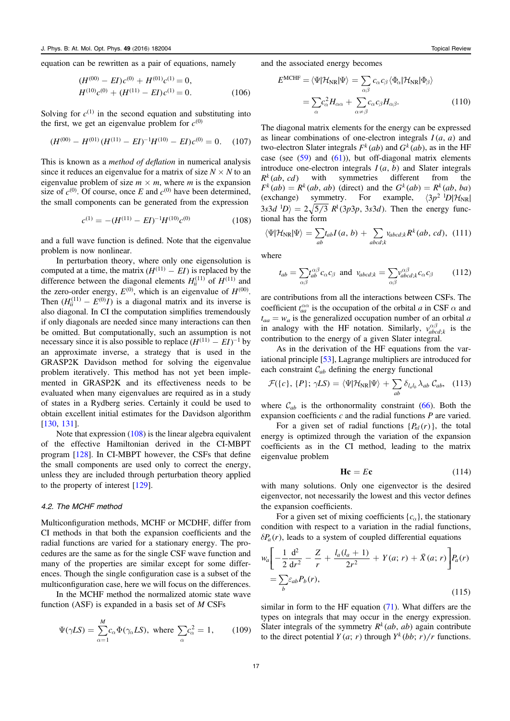equation can be rewritten as a pair of equations, namely

$$
(H^{(00)} - EI)c^{(0)} + H^{(01)}c^{(1)} = 0,
$$
  
\n
$$
H^{(10)}c^{(0)} + (H^{(11)} - EI)c^{(1)} = 0.
$$
\n(106)

Solving for  $c^{(1)}$  in the second equation and substituting into the first, we get an eigenvalue problem for  $c^{(0)}$ 

$$
(H^{(00)} - H^{(01)}(H^{(11)} - EI)^{-1}H^{(10)} - EI)c^{(0)} = 0. \quad (107)
$$

<span id="page-17-0"></span>This is known as a *method of deflation* in numerical analysis since it reduces an eigenvalue for a matrix of size  $N \times N$  to an eigenvalue problem of size  $m \times m$ , where m is the expansion size of  $c^{(0)}$ . Of course, once E and  $c^{(0)}$  have been determined, the small components can be generated from the expression

$$
c^{(1)} = -(H^{(11)} - EI)^{-1}H^{(10)}c^{(0)}\tag{108}
$$

and a full wave function is defined. Note that the eigenvalue problem is now nonlinear.

In perturbation theory, where only one eigensolution is computed at a time, the matrix  $(H^{(11)} - EI)$  is replaced by the difference between the diagonal elements  $H_{ii}^{(11)}$  of  $H_{(11)}^{(11)}$  and the zero-order energy,  $E^{(0)}$ , which is an eigenvalue of  $H^{(00)}$ . Then  $(H_{ii}^{(11)} - E^{(0)}I)$  is a diagonal matrix and its inverse is also diagonal. In CI the computation simplifies tremendously if only diagonals are needed since many interactions can then be omitted. But computationally, such an assumption is not necessary since it is also possible to replace  $(H^{(11)} - EI)^{-1}$  by an approximate inverse, a strategy that is used in the GRASP2K Davidson method for solving the eigenvalue problem iteratively. This method has not yet been implemented in GRASP2K and its effectiveness needs to be evaluated when many eigenvalues are required as in a study of states in a Rydberg series. Certainly it could be used to obtain excellent initial estimates for the Davidson algorithm [[130,](#page-34-4) [131](#page-34-5)].

Note that expression ([108](#page-17-0)) is the linear algebra equivalent of the effective Hamiltonian derived in the CI-MBPT program [[128](#page-34-6)]. In CI-MBPT however, the CSFs that define the small components are used only to correct the energy, unless they are included through perturbation theory applied to the property of interest [[129](#page-34-7)].

#### <span id="page-17-2"></span>4.2. The MCHF method

Multiconfiguration methods, MCHF or MCDHF, differ from CI methods in that both the expansion coefficients and the radial functions are varied for a stationary energy. The procedures are the same as for the single CSF wave function and many of the properties are similar except for some differences. Though the single configuration case is a subset of the multiconfiguration case, here we will focus on the differences.

In the MCHF method the normalized atomic state wave function (ASF) is expanded in a basis set of M CSFs

$$
\Psi(\gamma LS) = \sum_{\alpha=1}^{M} c_{\alpha} \Phi(\gamma_{\alpha} LS), \text{ where } \sum_{\alpha} c_{\alpha}^{2} = 1,
$$
 (109)

<span id="page-17-1"></span>and the associated energy becomes

 $E^{\text{N}}$ 

$$
E^{\text{MCHF}} = \langle \Psi | \mathcal{H}_{\text{NR}} | \Psi \rangle = \sum_{\alpha \beta} c_{\alpha} c_{\beta} \langle \Phi_{\alpha} | \mathcal{H}_{\text{NR}} | \Phi_{\beta} \rangle
$$

$$
= \sum_{\alpha} c_{\alpha}^{2} H_{\alpha \alpha} + \sum_{\alpha \neq \beta} c_{\alpha} c_{\beta} H_{\alpha \beta}.
$$
(110)

The diagonal matrix elements for the energy can be expressed as linear combinations of one-electron integrals  $I(a, a)$  and two-electron Slater integrals  $F^k(ab)$  and  $G^k(ab)$ , as in the HF case (see  $(59)$  $(59)$  $(59)$  and  $(61)$  $(61)$  $(61)$ ), but off-diagonal matrix elements introduce one-electron integrals  $I(a, b)$  and Slater integrals  $R^k(ab, cd)$  with symmetries different from the  $F^k(ab) = R^k(ab, ab)$  (direct) and the  $G^k(ab) = R^k(ab, ba)$ <br>(exchange) symmetry. For example,  $\langle 3p^2 \,^1D|\mathcal{H}_{NR}|$ (exchange) symmetry. For example,  $\langle 3p^2 \,^1D |\mathcal{H}_{NR}|$  $3s3d$   $|D\rangle = 2\sqrt{5/3} R^1(3p3p, 3s3d)$ . Then the energy functional has the form

$$
\langle \Psi | \mathcal{H}_{\rm NR} | \Psi \rangle = \sum_{ab} t_{ab} I(a, b) + \sum_{abcd;k} v_{abcd;k} R^k(ab, cd), \quad (111)
$$

where

$$
t_{ab} = \sum_{\alpha\beta} t_{ab}^{\alpha\beta} c_{\alpha} c_{\beta} \text{ and } v_{abcd;k} = \sum_{\alpha\beta} v_{abcd;k}^{\alpha\beta} c_{\alpha} c_{\beta} \qquad (112)
$$

are contributions from all the interactions between CSFs. The coefficient  $t_{aa}^{\alpha\alpha}$  is the occupation of the orbital a in CSF  $\alpha$  and  $t_{aa} = w_a$  is the generalized occupation number of an orbital a in analogy with the HF notation. Similarly,  $v_{abcd;k}^{\alpha\beta}$  is the contribution to the energy of a given Slater integral.

As in the derivation of the HF equations from the variational principle [[53](#page-33-0)], Lagrange multipliers are introduced for each constraint  $C_{ab}$  defining the energy functional

$$
\mathcal{F}(\{c\}, \{P\}; \gamma L S) = \langle \Psi | \mathcal{H}_{NR} | \Psi \rangle + \sum_{ab} \delta_{l_a l_b} \lambda_{ab} \mathcal{C}_{ab}, \quad (113)
$$

where  $\mathcal{C}_{ab}$  is the orthonormality constraint ([66](#page-11-2)). Both the expansion coefficients  $c$  and the radial functions  $P$  are varied.

For a given set of radial functions  $\{P_{nl}(r)\}\$ , the total energy is optimized through the variation of the expansion coefficients as in the CI method, leading to the matrix eigenvalue problem

$$
Hc = Ec \tag{114}
$$

with many solutions. Only one eigenvector is the desired eigenvector, not necessarily the lowest and this vector defines the expansion coefficients.

For a given set of mixing coefficients  $\{c_{\alpha}\}\$ , the stationary condition with respect to a variation in the radial functions,  $\delta P_a(r)$ , leads to a system of coupled differential equations

$$
w_a \left[ -\frac{1}{2} \frac{d^2}{dr^2} - \frac{Z}{r} + \frac{l_a(l_a+1)}{2r^2} + Y(a; r) + \bar{X}(a; r) \right] P_a(r)
$$
  
= 
$$
\sum_b \varepsilon_{ab} P_b(r),
$$
 (115)

similar in form to the HF equation ([71](#page-12-2)). What differs are the types on integrals that may occur in the energy expression. Slater integrals of the symmetry  $R^k(ab, ab)$  again contribute to the direct potential  $Y(a; r)$  through  $Y^k (bb; r) / r$  functions.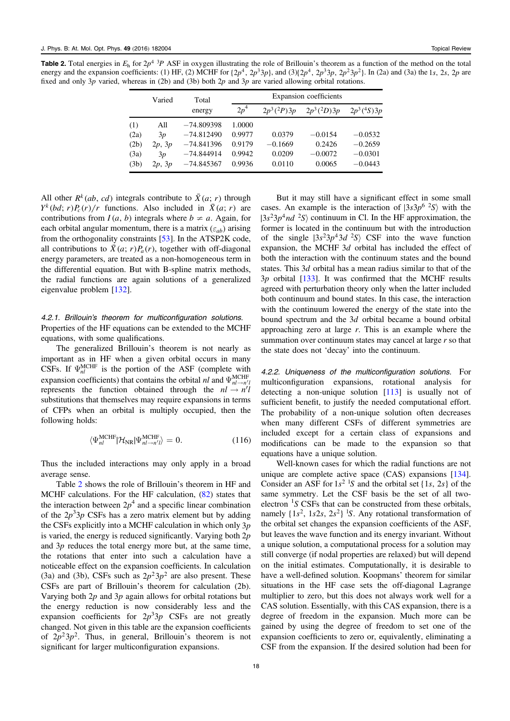<span id="page-18-0"></span>**Table 2.** Total energies in  $E<sub>h</sub>$  for  $2p<sup>4</sup>$  <sup>3</sup>P ASF in oxygen illustrating the role of Brillouin's theorem as a function of the method on the total energy and the expansion coefficients: (1) HF, (2) MCHF for  $\{2p^4, 2p^33p\}$ , and  $(3)\{2p^4, 2p^33p, 2p^23p^2\}$ . In (2a) and (3a) the 1s, 2s, 2p are fixed and only 3*p* varied, whereas in (2b) and (3b) both 2*p* and 3*p* are varied allowing orbital rotations.

|      | Varied | Total        |        |               | Expansion coefficients |               |
|------|--------|--------------|--------|---------------|------------------------|---------------|
|      |        | energy       |        | $2p^3(^2P)3p$ | $2p^3(^2D)3p$          | $2p^3(^4S)3p$ |
| (1)  | All    | $-74.809398$ | 1.0000 |               |                        |               |
| (2a) | 3p     | $-74.812490$ | 0.9977 | 0.0379        | $-0.0154$              | $-0.0532$     |
| (2b) | 2p, 3p | $-74.841396$ | 0.9179 | $-0.1669$     | 0.2426                 | $-0.2659$     |
| (3a) | 3p     | $-74.844914$ | 0.9942 | 0.0209        | $-0.0072$              | $-0.0301$     |
| (3b) | 2p, 3p | $-74.845367$ | 0.9936 | 0.0110        | 0.0065                 | $-0.0443$     |

All other  $R^k(ab, cd)$  integrals contribute to  $\bar{X}(a; r)$  through  $Y^k(bd; r)P_c(r)/r$  functions. Also included in  $\bar{X}(a; r)$  are contributions from  $I(a, b)$  integrals where  $b \neq a$ . Again, for each orbital angular momentum, there is a matrix  $(\varepsilon_{ab})$  arising from the orthogonality constraints [[53](#page-33-0)]. In the ATSP2K code, all contributions to  $\bar{X}(a; r)P_a(r)$ , together with off-diagonal energy parameters, are treated as a non-homogeneous term in the differential equation. But with B-spline matrix methods, the radial functions are again solutions of a generalized eigenvalue problem [[132](#page-34-8)].

# 4.2.1. Brillouin's theorem for multiconfiguration solutions. Properties of the HF equations can be extended to the MCHF equations, with some qualifications.

The generalized Brillouin's theorem is not nearly as important as in HF when a given orbital occurs in many CSFs. If  $\Psi_{nl}^{\text{MCHF}}$  is the portion of the ASF (complete with expansion coefficients) that contains the orbital  $nl$  and  $\Psi_{nl\rightarrow n'l}^{\text{MCHF}}$ represents the function obtained through the  $nl \rightarrow n'l$ substitutions that themselves may require expansions in terms of CFPs when an orbital is multiply occupied, then the following holds:

$$
\langle \Psi_{nl}^{\text{MCHF}} | \mathcal{H}_{\text{NR}} | \Psi_{nl \to n'l}^{\text{MCHF}} \rangle = 0. \tag{116}
$$

Thus the included interactions may only apply in a broad average sense.

Table [2](#page-18-0) shows the role of Brillouin's theorem in HF and MCHF calculations. For the HF calculation, ([82](#page-13-0)) states that the interaction between  $2p<sup>4</sup>$  and a specific linear combination of the  $2p^33p$  CSFs has a zero matrix element but by adding the CSFs explicitly into a MCHF calculation in which only 3*p* is varied, the energy is reduced significantly. Varying both 2*p* and 3*p* reduces the total energy more but, at the same time, the rotations that enter into such a calculation have a noticeable effect on the expansion coefficients. In calculation (3a) and (3b), CSFs such as  $2p^23p^2$  are also present. These CSFs are part of Brillouin's theorem for calculation (2b). Varying both 2*p* and 3*p* again allows for orbital rotations but the energy reduction is now considerably less and the expansion coefficients for  $2p^33p$  CSFs are not greatly changed. Not given in this table are the expansion coefficients of  $2p^23p^2$ . Thus, in general, Brillouin's theorem is not significant for larger multiconfiguration expansions.

But it may still have a significant effect in some small cases. An example is the interaction of  $|3s3p^6|^2S\rangle$  with the  $|3s^23p^4nd^2S\rangle$  continuum in Cl. In the HF approximation, the former is located in the continuum but with the introduction of the single  $|3s^23p^43d^2S\rangle$  CSF into the wave function expansion, the MCHF 3*d* orbital has included the effect of both the interaction with the continuum states and the bound states. This 3*d* orbital has a mean radius similar to that of the 3*p* orbital [[133](#page-34-9)]. It was confirmed that the MCHF results agreed with perturbation theory only when the latter included both continuum and bound states. In this case, the interaction with the continuum lowered the energy of the state into the bound spectrum and the 3*d* orbital became a bound orbital approaching zero at large  $r$ . This is an example where the summation over continuum states may cancel at large r so that the state does not 'decay' into the continuum.

4.2.2. Uniqueness of the multiconfiguration solutions. For multiconfiguration expansions, rotational analysis for detecting a non-unique solution [[113](#page-33-56)] is usually not of sufficient benefit, to justify the needed computational effort. The probability of a non-unique solution often decreases when many different CSFs of different symmetries are included except for a certain class of expansions and modifications can be made to the expansion so that equations have a unique solution.

Well-known cases for which the radial functions are not unique are complete active space (CAS) expansions [[134](#page-34-10)]. Consider an ASF for  $1s^2$  <sup>1</sup>S and the orbital set  $\{1s, 2s\}$  of the same symmetry. Let the CSF basis be the set of all twoelectron  ${}^{1}S$  CSFs that can be constructed from these orbitals, namely  $\{1s^2, 1s2s, 2s^2\}$ <sup>1</sup>S. Any rotational transformation of the orbital set changes the expansion coefficients of the ASF, but leaves the wave function and its energy invariant. Without a unique solution, a computational process for a solution may still converge (if nodal properties are relaxed) but will depend on the initial estimates. Computationally, it is desirable to have a well-defined solution. Koopmans' theorem for similar situations in the HF case sets the off-diagonal Lagrange multiplier to zero, but this does not always work well for a CAS solution. Essentially, with this CAS expansion, there is a degree of freedom in the expansion. Much more can be gained by using the degree of freedom to set one of the expansion coefficients to zero or, equivalently, eliminating a CSF from the expansion. If the desired solution had been for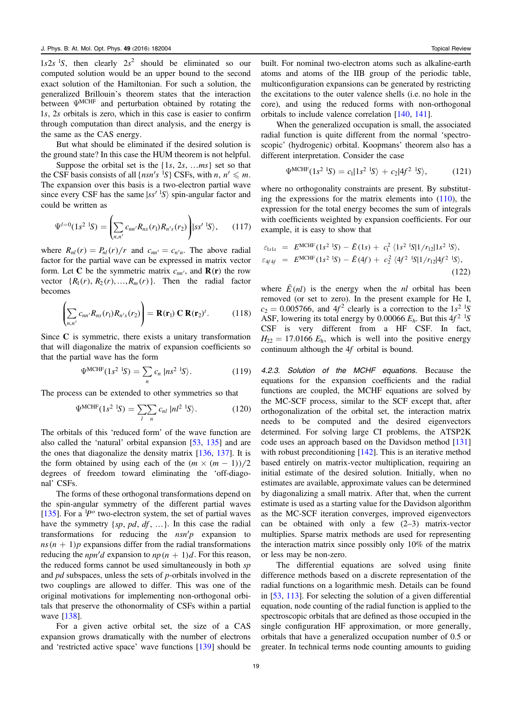$1s2s<sup>1</sup>S$ , then clearly  $2s<sup>2</sup>$  should be eliminated so our computed solution would be an upper bound to the second exact solution of the Hamiltonian. For such a solution, the generalized Brillouin's theorem states that the interaction between  $\Psi^{\text{MCHF}}$  and perturbation obtained by rotating the 1,2 *s s* orbitals is zero, which in this case is easier to confirm through computation than direct analysis, and the energy is the same as the CAS energy.

But what should be eliminated if the desired solution is the ground state? In this case the HUM theorem is not helpful.

Suppose the orbital set is the  $\{1s, 2s, \ldots ms\}$  set so that the CSF basis consists of all  $\{nsn's \, \, \}$  CSFs, with *n*,  $n' \leq m$ . The expansion over this basis is a two-electron partial wave since every CSF has the same  $|ss'|^2S\rangle$  spin-angular factor and could be written as

$$
\Psi^{l=0}(1s^2 \, {}^1S) = \left(\sum_{n,n'} c_{nn'} R_{ns}(r_1) R_{n's}(r_2)\right) |ss' \, {}^1S\rangle, \qquad (117)
$$

where  $R_{nl}(r) = P_{nl}(r)/r$  and  $c_{nn'} = c_{n'n}$ . The above radial factor for the partial wave can be expressed in matrix vector form. Let **C** be the symmetric matrix  $c_{nn'}$ , and **R**(**r**) the row vector  $\{R_1(r), R_2(r), ..., R_m(r)\}\$ . Then the radial factor becomes

$$
\left(\sum_{n,n'} c_{nn'} R_{ns}(r_1) R_{n's}(r_2)\right) = \mathbf{R}(\mathbf{r}_1) \mathbf{C} \mathbf{R}(\mathbf{r}_2)^t.
$$
 (118)

Since **C** is symmetric, there exists a unitary transformation that will diagonalize the matrix of expansion coefficients so that the partial wave has the form

$$
\Psi^{\text{MCHF}}(1s^2 \, {}^1S) = \sum_n c_n \, |ns^2 \, {}^1S \rangle. \tag{119}
$$

The process can be extended to other symmetries so that

$$
\Psi^{\text{MCHF}}(1s^2 \, {}^1S) = \sum_{l} \sum_{n} c_{nl} \, |nl^2 \, {}^1S \rangle. \tag{120}
$$

The orbitals of this 'reduced form' of the wave function are also called the 'natural' orbital expansion [[53,](#page-33-0) [135](#page-34-11)] and are the ones that diagonalize the density matrix [[136,](#page-34-12) [137](#page-34-13)]. It is the form obtained by using each of the  $(m \times (m - 1))/2$ degrees of freedom toward eliminating the 'off-diagonal' CSFs.

The forms of these orthogonal transformations depend on the spin-angular symmetry of the different partial waves [ $135$ ]. For a <sup>1*p*o</sup> two-electron system, the set of partial waves have the symmetry  $\{sp, pd, df, ...\}$ . In this case the radial transformations for reducing the  $nsn'p$  expansion to  $ns(n + 1)p$  expansions differ from the radial transformations reducing the *npn'd* expansion to  $np(n + 1)d$ . For this reason, the reduced forms cannot be used simultaneously in both sp and  $pd$  subspaces, unless the sets of  $p$ -orbitals involved in the two couplings are allowed to differ. This was one of the original motivations for implementing non-orthogonal orbitals that preserve the othonormality of CSFs within a partial wave [[138](#page-34-14)].

For a given active orbital set, the size of a CAS expansion grows dramatically with the number of electrons and 'restricted active space' wave functions [[139](#page-34-15)] should be built. For nominal two-electron atoms such as alkaline-earth atoms and atoms of the IIB group of the periodic table, multiconfiguration expansions can be generated by restricting the excitations to the outer valence shells (i.e. no hole in the core), and using the reduced forms with non-orthogonal orbitals to include valence correlation [[140](#page-34-16), [141](#page-34-17)].

When the generalized occupation is small, the associated radial function is quite different from the normal 'spectroscopic' (hydrogenic) orbital. Koopmans' theorem also has a different interpretation. Consider the case

$$
\Psi^{\text{MCHF}}(1s^2 \, {}^1S) = c_1|1s^2 \, {}^1S\rangle + c_2|4f^2 \, {}^1S\rangle,\tag{121}
$$

where no orthogonality constraints are present. By substituting the expressions for the matrix elements into  $(110)$  $(110)$  $(110)$ , the expression for the total energy becomes the sum of integrals with coefficients weighted by expansion coefficients. For our example, it is easy to show that

$$
\varepsilon_{1s1s} = E^{\text{MCHF}}(1s^2 \text{ }^1S) - \bar{E}(1s) + c_1^2 \langle 1s^2 \text{ }^1S | 1/r_{12} | 1s^2 \text{ }^1S \rangle,
$$
  
\n
$$
\varepsilon_{4f4f} = E^{\text{MCHF}}(1s^2 \text{ }^1S) - \bar{E}(4f) + c_2^2 \langle 4f^2 \text{ }^1S | 1/r_{12} | 4f^2 \text{ }^1S \rangle,
$$
  
\n(122)

where  $\bar{E}$  (*nl*) is the energy when the *nl* orbital has been removed (or set to zero). In the present example for He I,  $c_2 = 0.005766$ , and  $4f^2$  clearly is a correction to the 1*s*<sup>2</sup> <sup>1</sup>*S* ASF, lowering its total energy by 0.00066  $E_h$ . But this  $4f^2$  <sup>1</sup>S CSF is very different from a HF CSF. In fact,  $H_{22} = 17.0166 E_h$ , which is well into the positive energy continuum although the 4*f* orbital is bound.

4.2.3. Solution of the MCHF equations. Because the equations for the expansion coefficients and the radial functions are coupled, the MCHF equations are solved by the MC-SCF process, similar to the SCF except that, after orthogonalization of the orbital set, the interaction matrix needs to be computed and the desired eigenvectors determined. For solving large CI problems, the ATSP2K code uses an approach based on the Davidson method [[131](#page-34-5)] with robust preconditioning  $[142]$  $[142]$  $[142]$ . This is an iterative method based entirely on matrix-vector multiplication, requiring an initial estimate of the desired solution. Initially, when no estimates are available, approximate values can be determined by diagonalizing a small matrix. After that, when the current estimate is used as a starting value for the Davidson algorithm as the MC-SCF iteration converges, improved eigenvectors can be obtained with only a few (2–3) matrix-vector multiplies. Sparse matrix methods are used for representing the interaction matrix since possibly only 10% of the matrix or less may be non-zero.

The differential equations are solved using finite difference methods based on a discrete representation of the radial functions on a logarithmic mesh. Details can be found in [[53,](#page-33-0) [113](#page-33-56)]. For selecting the solution of a given differential equation, node counting of the radial function is applied to the spectroscopic orbitals that are defined as those occupied in the single configuration HF approximation, or more generally, orbitals that have a generalized occupation number of 0.5 or greater. In technical terms node counting amounts to guiding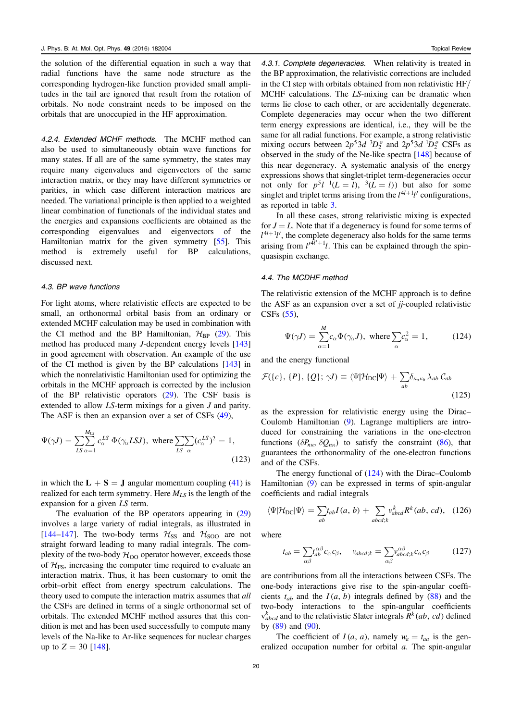the solution of the differential equation in such a way that radial functions have the same node structure as the corresponding hydrogen-like function provided small amplitudes in the tail are ignored that result from the rotation of orbitals. No node constraint needs to be imposed on the orbitals that are unoccupied in the HF approximation.

4.2.4. Extended MCHF methods. The MCHF method can also be used to simultaneously obtain wave functions for many states. If all are of the same symmetry, the states may require many eigenvalues and eigenvectors of the same interaction matrix, or they may have different symmetries or parities, in which case different interaction matrices are needed. The variational principle is then applied to a weighted linear combination of functionals of the individual states and the energies and expansions coefficients are obtained as the corresponding eigenvalues and eigenvectors of the Hamiltonian matrix for the given symmetry [[55](#page-33-2)]. This method is extremely useful for BP calculations, discussed next.

#### 4.3. BP wave functions

For light atoms, where relativistic effects are expected to be small, an orthonormal orbital basis from an ordinary or extended MCHF calculation may be used in combination with the CI method and the BP Hamiltonian,  $H_{BP}$  ([29](#page-7-1)). This method has produced many J-dependent energy levels [[143](#page-34-19)] in good agreement with observation. An example of the use of the CI method is given by the BP calculations [[143](#page-34-19)] in which the nonrelativistic Hamiltonian used for optimizing the orbitals in the MCHF approach is corrected by the inclusion of the BP relativistic operators ([29](#page-7-1)). The CSF basis is extended to allow LS-term mixings for a given J and parity. The ASF is then an expansion over a set of CSFs ([49](#page-10-0)),

$$
\Psi(\gamma J) = \sum_{LS} \sum_{\alpha=1}^{M_{LS}} c_{\alpha}^{LS} \Phi(\gamma_{\alpha} LSJ), \text{ where } \sum_{LS} \sum_{\alpha} (c_{\alpha}^{LS})^2 = 1,
$$
\n(123)

in which the  $L + S = J$  angular momentum coupling ([41](#page-9-0)) is realized for each term symmetry. Here  $M_{LS}$  is the length of the expansion for a given LS term.

The evaluation of the BP operators appearing in ([29](#page-7-1)) involves a large variety of radial integrals, as illustrated in [[144](#page-34-20)–[147](#page-34-21)]. The two-body terms  $H_{SS}$  and  $H_{SOO}$  are not straight forward leading to many radial integrals. The complexity of the two-body  $H<sub>OO</sub>$  operator however, exceeds those of  $H<sub>FS</sub>$ , increasing the computer time required to evaluate an interaction matrix. Thus, it has been customary to omit the orbit–orbit effect from energy spectrum calculations. The theory used to compute the interaction matrix assumes that all the CSFs are defined in terms of a single orthonormal set of orbitals. The extended MCHF method assures that this condition is met and has been used successfully to compute many levels of the Na-like to Ar-like sequences for nuclear charges up to  $Z = 30$  [[148](#page-34-22)].

4.3.1. Complete degeneracies. When relativity is treated in the BP approximation, the relativistic corrections are included in the CI step with orbitals obtained from non relativistic HF/ MCHF calculations. The LS-mixing can be dramatic when terms lie close to each other, or are accidentally degenerate. Complete degeneracies may occur when the two different term energy expressions are identical, i.e., they will be the same for all radial functions. For example, a strong relativistic mixing occurs between  $2p^53d^3D_2^o$  and  $2p^53d^3D_2^o$  CSFs as observed in the study of the Ne-like spectra [[148](#page-34-22)] because of this near degeneracy. A systematic analysis of the energy expressions shows that singlet-triplet term-degeneracies occur not only for  $p^{5}l^{-1}(L = l)$ ,  $(3(L = l))$  but also for some singlet and triplet terms arising from the  $l^{4l+1}l'$  configurations, as reported in table [3.](#page-21-0)

In all these cases, strong relativistic mixing is expected for  $J = L$ . Note that if a degeneracy is found for some terms of  $l^{4l+1}l'$ , the complete degeneracy also holds for the same terms arising from  $l'^{4l'+1}l$ . This can be explained through the spinquasispin exchange.

#### 4.4. The MCDHF method

<span id="page-20-0"></span>The relativistic extension of the MCHF approach is to define the ASF as an expansion over a set of  $jj$ -coupled relativistic CSFs ([55](#page-10-4)),

$$
\Psi(\gamma J) = \sum_{\alpha=1}^{M} c_{\alpha} \Phi(\gamma_{\alpha} J), \text{ where } \sum_{\alpha} c_{\alpha}^{2} = 1,
$$
 (124)

and the energy functional

$$
\mathcal{F}(\{c\}, \{P\}, \{Q\}; \gamma J) \equiv \langle \Psi | \mathcal{H}_{\text{DC}} | \Psi \rangle + \sum_{ab} \delta_{\kappa_a \kappa_b} \lambda_{ab} \mathcal{C}_{ab}
$$
\n(125)

as the expression for relativistic energy using the Dirac– Coulomb Hamiltonian ([9](#page-5-3)). Lagrange multipliers are introduced for constraining the variations in the one-electron functions ( $\delta P_{n\kappa}$ ,  $\delta Q_{n\kappa}$ ) to satisfy the constraint ([86](#page-14-2)), that guarantees the orthonormality of the one-electron functions and of the CSFs.

<span id="page-20-1"></span>The energy functional of ([124](#page-20-0)) with the Dirac–Coulomb Hamiltonian ([9](#page-5-3)) can be expressed in terms of spin-angular coefficients and radial integrals

$$
\langle \Psi | \mathcal{H}_{\text{DC}} | \Psi \rangle = \sum_{ab} t_{ab} I(a, b) + \sum_{abcd,k} v_{abcd}^k R^k(ab, cd), \quad (126)
$$

where

$$
t_{ab} = \sum_{\alpha\beta} t_{ab}^{\alpha\beta} c_{\alpha} c_{\beta}, \quad v_{abcd;k} = \sum_{\alpha\beta} v_{abcd;k}^{\alpha\beta} c_{\alpha} c_{\beta} \tag{127}
$$

are contributions from all the interactions between CSFs. The one-body interactions give rise to the spin-angular coefficients  $t_{ab}$  and the  $I(a, b)$  integrals defined by ([88](#page-14-3)) and the two-body interactions to the spin-angular coefficients  $v_{abcd}^k$  and to the relativistic Slater integrals  $\overline{R}^k(ab, cd)$  defined by ([89](#page-14-4)) and ([90](#page-15-2)).

The coefficient of  $I(a, a)$ , namely  $w_a = t_{aa}$  is the generalized occupation number for orbital a. The spin-angular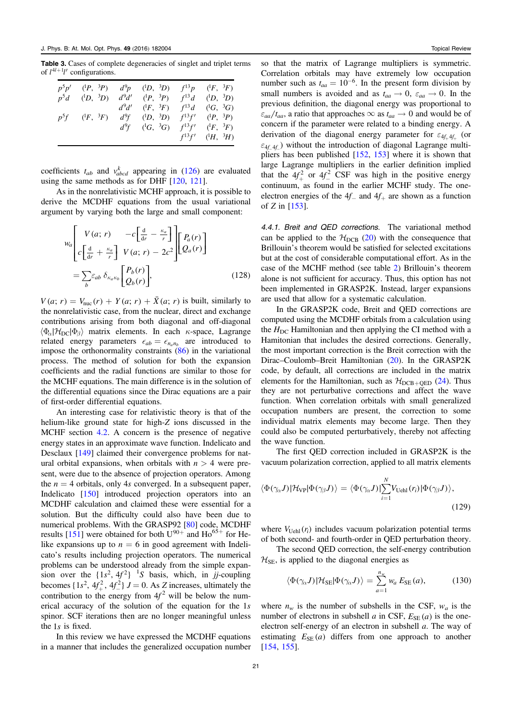<span id="page-21-0"></span>Table 3. Cases of complete degeneracies of singlet and triplet terms of  $l^{4l+1}l'$  configurations.

| $p^5p'$ |  | $(^{1}P, {}^{3}P)$ $d^{9}p$ $(^{1}D, {}^{3}D)$ $f^{13}p$ $(^{1}F, {}^{3}F)$                                                    |                        |
|---------|--|--------------------------------------------------------------------------------------------------------------------------------|------------------------|
|         |  | $p^5d$ ( <sup>1</sup> D, <sup>3</sup> D) $d^9d'$ ( <sup>1</sup> P, <sup>3</sup> P) $f^{13}d$ ( <sup>1</sup> D, <sup>3</sup> D) |                        |
|         |  | $d^9d'$ ( <sup>1</sup> F, <sup>3</sup> F) $f^{13}d$ ( <sup>1</sup> G, <sup>3</sup> G)                                          |                        |
|         |  | $p^5f$ ( <sup>1</sup> F, <sup>3</sup> F) $d^9f$ ( <sup>1</sup> D, <sup>3</sup> D) $f^{13}f'$ ( <sup>1</sup> P, <sup>3</sup> P) |                        |
|         |  | $d^9f$ ( <sup>1</sup> G, <sup>3</sup> G) $f^{13}f'$ ( <sup>1</sup> F, <sup>3</sup> F)                                          |                        |
|         |  |                                                                                                                                | $f^{13}f'$ $(^1H, 3H)$ |

coefficients  $t_{ab}$  and  $v_{abcd}^k$  appearing in ([126](#page-20-1)) are evaluated using the same methods as for DHF [[120,](#page-33-63) [121](#page-33-64)].

<span id="page-21-1"></span>As in the nonrelativistic MCHF approach, it is possible to derive the MCDHF equations from the usual variational argument by varying both the large and small component:

$$
w_a \left[ \n\begin{array}{ccc} V(a; r) & -c \left[ \frac{d}{dr} - \frac{\kappa_a}{r} \right] \\ c \left[ \frac{d}{dr} + \frac{\kappa_a}{r} \right] & V(a; r) - 2c^2 \end{array} \right] \left[ \begin{array}{c} P_a(r) \\ Q_a(r) \end{array} \right]
$$
\n
$$
= \sum_b \varepsilon_{ab} \delta_{\kappa_a \kappa_b} \left[ \begin{array}{c} P_b(r) \\ Q_b(r) \end{array} \right],\tag{128}
$$

 $V(a; r) = V_{\text{nuc}}(r) + Y(a; r) + \overline{X}(a; r)$  is built, similarly to the nonrelativistic case, from the nuclear, direct and exchange contributions arising from both diagonal and off-diagonal  $\langle \Phi_{\alpha} | \mathcal{H}_{\text{DC}} | \Phi_{\beta} \rangle$  matrix elements. In each  $\kappa$ -space, Lagrange related energy parameters  $\epsilon_{ab} = \epsilon_{n_a n_b}$  are introduced to impose the orthonormality constraints ([86](#page-14-2)) in the variational process. The method of solution for both the expansion coefficients and the radial functions are similar to those for the MCHF equations. The main difference is in the solution of the differential equations since the Dirac equations are a pair of first-order differential equations.

An interesting case for relativistic theory is that of the helium-like ground state for high-Z ions discussed in the MCHF section [4.2](#page-17-2). A concern is the presence of negative energy states in an approximate wave function. Indelicato and Desclaux [[149](#page-34-23)] claimed their convergence problems for natural orbital expansions, when orbitals with  $n > 4$  were present, were due to the absence of projection operators. Among the  $n = 4$  orbitals, only 4*s* converged. In a subsequent paper, Indelicato [[150](#page-34-24)] introduced projection operators into an MCDHF calculation and claimed these were essential for a solution. But the difficulty could also have been due to numerical problems. With the GRASP92 [[80](#page-33-25)] code, MCDHF results [[151](#page-34-25)] were obtained for both  $U^{90+}$  and  $Ho^{65+}$  for Helike expansions up to  $n = 6$  in good agreement with Indelicato's results including projection operators. The numerical problems can be understood already from the simple expansion over the  $\{1s^2, 4f^2\}$  <sup>1</sup>S basis, which, in jj-coupling becomes  $\{1s^2, 4f_{\perp}^2, 4f_{\perp}^2\}$   $J = 0$ . As Z increases, ultimately the contribution to the energy from  $4f^2$  will be below the numerical accuracy of the solution of the equation for the 1*s* spinor. SCF iterations then are no longer meaningful unless the 1*s* is fixed.

In this review we have expressed the MCDHF equations in a manner that includes the generalized occupation number so that the matrix of Lagrange multipliers is symmetric. Correlation orbitals may have extremely low occupation number such as  $t_{aa} = 10^{-6}$ . In the present form division by small numbers is avoided and as  $t_{aa} \rightarrow 0$ ,  $\varepsilon_{aa} \rightarrow 0$ . In the previous definition, the diagonal energy was proportional to  $\varepsilon_{aa}/t_{aa}$ , a ratio that approaches  $\infty$  as  $t_{aa} \to 0$  and would be of concern if the parameter were related to a binding energy. A derivation of the diagonal energy parameter for  $\varepsilon_{4f, 4f}$  (or  $\varepsilon_{4f_4f_5}$ ) without the introduction of diagonal Lagrange multipliers has been published [[152](#page-34-26), [153](#page-34-27)] where it is shown that large Lagrange multipliers in the earlier definition implied that the  $4f_{+}^{2}$  or  $4f_{-}^{2}$  CSF was high in the positive energy continuum, as found in the earlier MCHF study. The oneelectron energies of the  $4f_$  and  $4f_+$  are shown as a function of Z in [[153](#page-34-27)].

4.4.1. Breit and QED corrections. The variational method can be applied to the  $H_{DCB}$  ([20](#page-6-3)) with the consequence that Brillouin's theorem would be satisfied for selected excitations but at the cost of considerable computational effort. As in the case of the MCHF method (see table [2](#page-18-0)) Brillouin's theorem alone is not sufficient for accuracy. Thus, this option has not been implemented in GRASP2K. Instead, larger expansions are used that allow for a systematic calculation.

In the GRASP2K code, Breit and QED corrections are computed using the MCDHF orbitals from a calculation using the  $H_{\text{DC}}$  Hamiltonian and then applying the CI method with a Hamitonian that includes the desired corrections. Generally, the most important correction is the Breit correction with the Dirac–Coulomb–Breit Hamiltonian ([20](#page-6-3)). In the GRASP2K code, by default, all corrections are included in the matrix elements for the Hamiltonian, such as  $\mathcal{H}_{DCB + QED}$  ([24](#page-7-2)). Thus they are not perturbative corrections and affect the wave function. When correlation orbitals with small generalized occupation numbers are present, the correction to some individual matrix elements may become large. Then they could also be computed perturbatively, thereby not affecting the wave function.

The first QED correction included in GRASP2K is the vacuum polarization correction, applied to all matrix elements

$$
\langle \Phi(\gamma_{\alpha}J)|\mathcal{H}_{\mathrm{VP}}|\Phi(\gamma_{\beta}J)\rangle = \langle \Phi(\gamma_{\alpha}J)|\sum_{i=1}^{N}V_{\mathrm{Uehl}}(r_{i})|\Phi(\gamma_{\beta}J)\rangle, \tag{129}
$$

where  $V_{\text{Uehl}}(r_i)$  includes vacuum polarization potential terms of both second- and fourth-order in QED perturbation theory.

The second QED correction, the self-energy contribution  $H_{\rm SE}$ , is applied to the diagonal energies as

$$
\langle \Phi(\gamma_{\alpha} J) | \mathcal{H}_{\text{SE}} | \Phi(\gamma_{\alpha} J) \rangle = \sum_{a=1}^{n_w} w_a E_{\text{SE}}(a), \tag{130}
$$

where  $n_w$  is the number of subshells in the CSF,  $w_a$  is the number of electrons in subshell a in CSF,  $E_{SE}(a)$  is the oneelectron self-energy of an electron in subshell a. The way of estimating  $E_{SE}(a)$  differs from one approach to another [[154](#page-34-28), [155](#page-34-29)].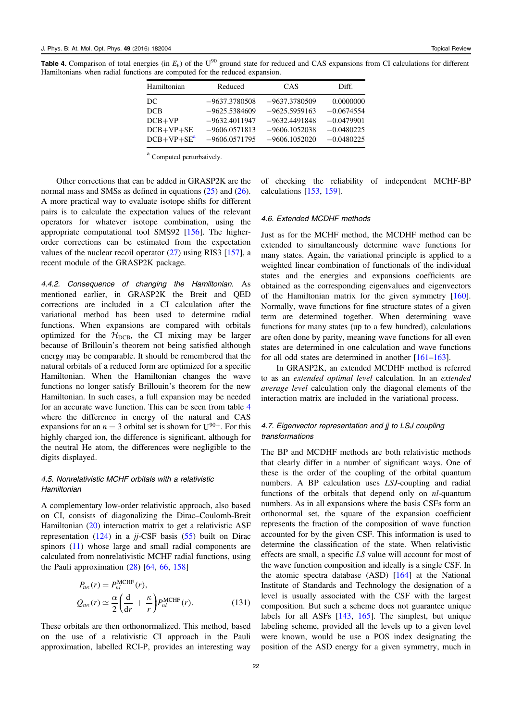<span id="page-22-1"></span>**Table 4.** Comparison of total energies (in  $E_h$ ) of the  $U^{90}$  ground state for reduced and CAS expansions from CI calculations for different Hamiltonians when radial functions are computed for the reduced expansion.

| Hamiltonian   | Reduced         | CAS             | Diff.        |
|---------------|-----------------|-----------------|--------------|
| DC            | $-9637.3780508$ | $-9637.3780509$ | 0.0000000    |
| <b>DCB</b>    | $-9625.5384609$ | $-9625.5959163$ | $-0.0674554$ |
| $DCB+VP$      | $-9632.4011947$ | $-9632.4491848$ | $-0.0479901$ |
| $DCB+VP+SE$   | $-9606.0571813$ | $-9606.1052038$ | $-0.0480225$ |
| $DCB+VP+SE^a$ | $-9606.0571795$ | $-9606.1052020$ | $-0.0480225$ |

<sup>a</sup> Computed perturbatively.

Other corrections that can be added in GRASP2K are the normal mass and SMSs as defined in equations ([25](#page-7-3)) and ([26](#page-7-4)). A more practical way to evaluate isotope shifts for different pairs is to calculate the expectation values of the relevant operators for whatever isotope combination, using the appropriate computational tool SMS92 [[156](#page-34-30)]. The higherorder corrections can be estimated from the expectation values of the nuclear recoil operator  $(27)$  $(27)$  $(27)$  using RIS3 [[157](#page-34-31)], a recent module of the GRASP2K package.

4.4.2. Consequence of changing the Hamiltonian. As mentioned earlier, in GRASP2K the Breit and QED corrections are included in a CI calculation after the variational method has been used to determine radial functions. When expansions are compared with orbitals optimized for the  $H_{DCB}$ , the CI mixing may be larger because of Brillouin's theorem not being satisfied although energy may be comparable. It should be remembered that the natural orbitals of a reduced form are optimized for a specific Hamiltonian. When the Hamiltonian changes the wave functions no longer satisfy Brillouin's theorem for the new Hamiltonian. In such cases, a full expansion may be needed for an accurate wave function. This can be seen from table [4](#page-22-1) where the difference in energy of the natural and CAS expansions for an  $n = 3$  orbital set is shown for  $U^{90+}$ . For this highly charged ion, the difference is significant, although for the neutral He atom, the differences were negligible to the digits displayed.

# 4.5. Nonrelativistic MCHF orbitals with a relativistic **Hamiltonian**

A complementary low-order relativistic approach, also based on CI, consists of diagonalizing the Dirac–Coulomb-Breit Hamiltonian ([20](#page-6-3)) interaction matrix to get a relativistic ASF representation  $(124)$  $(124)$  $(124)$  in a *j*<sub>j</sub>-CSF basis  $(55)$  $(55)$  $(55)$  built on Dirac spinors ([11](#page-5-2)) whose large and small radial components are calculated from nonrelativistic MCHF radial functions, using the Pauli approximation  $(28)$  $(28)$  $(28)$  [[64,](#page-33-11) [66](#page-33-13), [158](#page-34-32)]

$$
P_{nk}(r) = P_{nl}^{\text{MCHF}}(r),
$$
  
\n
$$
Q_{nk}(r) \simeq \frac{\alpha}{2} \left( \frac{d}{dr} + \frac{\kappa}{r} \right) P_{nl}^{\text{MCHF}}(r).
$$
\n(131)

These orbitals are then orthonormalized. This method, based on the use of a relativistic CI approach in the Pauli approximation, labelled RCI-P, provides an interesting way of checking the reliability of independent MCHF-BP calculations [[153](#page-34-27), [159](#page-34-33)].

#### 4.6. Extended MCDHF methods

Just as for the MCHF method, the MCDHF method can be extended to simultaneously determine wave functions for many states. Again, the variational principle is applied to a weighted linear combination of functionals of the individual states and the energies and expansions coefficients are obtained as the corresponding eigenvalues and eigenvectors of the Hamiltonian matrix for the given symmetry [[160](#page-34-34)]. Normally, wave functions for fine structure states of a given term are determined together. When determining wave functions for many states (up to a few hundred), calculations are often done by parity, meaning wave functions for all even states are determined in one calculation and wave functions for all odd states are determined in another [[161](#page-34-35)–[163](#page-34-36)].

In GRASP2K, an extended MCDHF method is referred to as an extended optimal level calculation. In an extended average level calculation only the diagonal elements of the interaction matrix are included in the variational process.

# <span id="page-22-0"></span>4.7. Eigenvector representation and jj to LSJ coupling transformations

The BP and MCDHF methods are both relativistic methods that clearly differ in a number of significant ways. One of these is the order of the coupling of the orbital quantum numbers. A BP calculation uses *LSJ*-coupling and radial functions of the orbitals that depend only on nl-quantum numbers. As in all expansions where the basis CSFs form an orthonormal set, the square of the expansion coefficient represents the fraction of the composition of wave function accounted for by the given CSF. This information is used to determine the classification of the state. When relativistic effects are small, a specific LS value will account for most of the wave function composition and ideally is a single CSF. In the atomic spectra database (ASD) [[164](#page-34-37)] at the National Institute of Standards and Technology the designation of a level is usually associated with the CSF with the largest composition. But such a scheme does not guarantee unique labels for all ASFs [[143](#page-34-19), [165](#page-34-38)]. The simplest, but unique labeling scheme, provided all the levels up to a given level were known, would be use a POS index designating the position of the ASD energy for a given symmetry, much in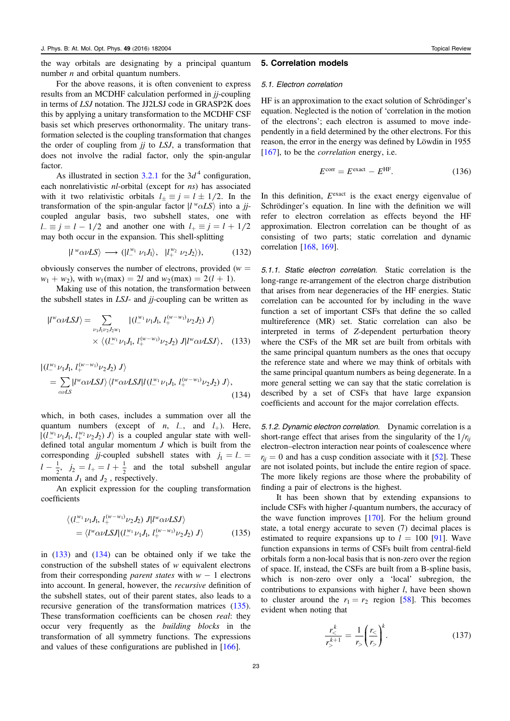the way orbitals are designating by a principal quantum number  $n$  and orbital quantum numbers.

For the above reasons, it is often convenient to express results from an MCDHF calculation performed in jj-coupling in terms of LSJ notation. The JJ2LSJ code in GRASP2K does this by applying a unitary transformation to the MCDHF CSF basis set which preserves orthonormality. The unitary transformation selected is the coupling transformation that changes the order of coupling from  $jj$  to LSJ, a transformation that does not involve the radial factor, only the spin-angular factor.

As illustrated in section [3.2.1](#page-10-5) for the  $3d<sup>4</sup>$  configuration, each nonrelativistic *nl*-orbital (except for *ns*) has associated with it two relativistic orbitals  $l_{+} \equiv j = l \pm 1/2$ . In the transformation of the spin-angular factor  $|l^w \alpha LS\rangle$  into a jjcoupled angular basis, two subshell states, one with  $l_{-} \equiv j = l - 1/2$  and another one with  $l_{+} \equiv j = l + 1/2$ may both occur in the expansion. This shell-splitting

$$
|l^w \alpha v L S\rangle \longrightarrow (|l^{w_1}_- \nu_1 J_1\rangle, \ |l^{w_2}_+ \nu_2 J_2\rangle), \tag{132}
$$

obviously conserves the number of electrons, provided  $(w =$  $w_1 + w_2$ , with  $w_1$ (max) = 2*l* and  $w_2$ (max) = 2(*l* + 1).

<span id="page-23-0"></span>Making use of this notation, the transformation between the subshell states in  $LSJ$ - and  $jj$ -coupling can be written as

$$
|l^w \alpha \nu L S J\rangle = \sum_{\nu_1 J_1 \nu_2 J_2 w_1} |(l^{w_1}_{-} \nu_1 J_1, l^{(w-w_1)}_{+} \nu_2 J_2) J\rangle
$$
  
 
$$
\times \langle (l^{w_1}_{-} \nu_1 J_1, l^{(w-w_1)}_{+} \nu_2 J_2) J | l^w \alpha \nu L S J \rangle, \quad (133)
$$

<span id="page-23-1"></span>
$$
\begin{split} |(l_{-}^{w_1} \nu_1 J_1, l_{+}^{(w-w_1)} \nu_2 J_2) J \rangle \\ &= \sum_{\alpha \nu L S} |l^w \alpha \nu L S J \rangle \langle l^w \alpha \nu L S J | l (l_{-}^{w_1} \nu_1 J_1, l_{+}^{(w-w_1)} \nu_2 J_2) J \rangle, \end{split} \tag{134}
$$

which, in both cases, includes a summation over all the quantum numbers (except of *n*,  $l_$ , and  $l_$ ). Here,  $|(l_{-}^{w_1}\nu_1J_1, l_{+}^{w_2}\nu_2J_2) J\rangle$  is a coupled angular state with welldefined total angular momentum  $J$  which is built from the corresponding *jj*-coupled subshell states with  $j_1 = l_$  $l - \frac{1}{2}$ ,  $j_2 = l_+ = l_+ \frac{1}{2}$  and the total subshell angular momenta  $J_1$  and  $J_2$ , respectively.

<span id="page-23-2"></span>An explicit expression for the coupling transformation coefficients

$$
\langle (l_{-}^{w_1} \nu_1 J_1, l_{+}^{(w-w_1)} \nu_2 J_2) J | l^w \alpha \nu L S J \rangle
$$
  
=  $\langle l^w \alpha \nu L S J | (l_{-}^{w_1} \nu_1 J_1, l_{+}^{(w-w_1)} \nu_2 J_2) J \rangle$  (135)

in ([133](#page-23-0)) and ([134](#page-23-1)) can be obtained only if we take the construction of the subshell states of w equivalent electrons from their corresponding *parent states* with  $w - 1$  electrons into account. In general, however, the recursive definition of the subshell states, out of their parent states, also leads to a recursive generation of the transformation matrices ([135](#page-23-2)). These transformation coefficients can be chosen *real*: they occur very frequently as the building blocks in the transformation of all symmetry functions. The expressions and values of these configurations are published in [[166](#page-34-39)].

# 5. Correlation models

### 5.1. Electron correlation

HF is an approximation to the exact solution of Schrödinger's equation. Neglected is the notion of 'correlation in the motion of the electrons'; each electron is assumed to move independently in a field determined by the other electrons. For this reason, the error in the energy was defined by Löwdin in 1955  $[167]$  $[167]$  $[167]$ , to be the *correlation* energy, i.e.

$$
E^{\text{corr}} = E^{\text{exact}} - E^{\text{HF}}.
$$
 (136)

In this definition,  $E^{\text{exact}}$  is the exact energy eigenvalue of Schrödinger's equation. In line with the definition we will refer to electron correlation as effects beyond the HF approximation. Electron correlation can be thought of as consisting of two parts; static correlation and dynamic correlation [[168,](#page-34-41) [169](#page-34-42)].

5.1.1. Static electron correlation. Static correlation is the long-range re-arrangement of the electron charge distribution that arises from near degeneracies of the HF energies. Static correlation can be accounted for by including in the wave function a set of important CSFs that define the so called multireference (MR) set. Static correlation can also be interpreted in terms of Z-dependent perturbation theory where the CSFs of the MR set are built from orbitals with the same principal quantum numbers as the ones that occupy the reference state and where we may think of orbitals with the same principal quantum numbers as being degenerate. In a more general setting we can say that the static correlation is described by a set of CSFs that have large expansion coefficients and account for the major correlation effects.

5.1.2. Dynamic electron correlation. Dynamic correlation is a short-range effect that arises from the singularity of the  $1/r_{ii}$ electron–electron interaction near points of coalescence where  $r_{ii} = 0$  and has a cusp condition associate with it [[52](#page-32-41)]. These are not isolated points, but include the entire region of space. The more likely regions are those where the probability of finding a pair of electrons is the highest.

It has been shown that by extending expansions to include CSFs with higher l-quantum numbers, the accuracy of the wave function improves [[170](#page-34-43)]. For the helium ground state, a total energy accurate to seven (7) decimal places is estimated to require expansions up to  $l = 100$  [[91](#page-33-53)]. Wave function expansions in terms of CSFs built from central-field orbitals form a non-local basis that is non-zero over the region of space. If, instead, the CSFs are built from a B-spline basis, which is non-zero over only a 'local' subregion, the contributions to expansions with higher  $l$ , have been shown to cluster around the  $r_1 = r_2$  region [[58](#page-33-5)]. This becomes evident when noting that

$$
\frac{r_{\le}^k}{r_{>}^{k+1}} = \frac{1}{r_{>}} \left(\frac{r_{\le}}{r_{>}}\right)^k.
$$
 (137)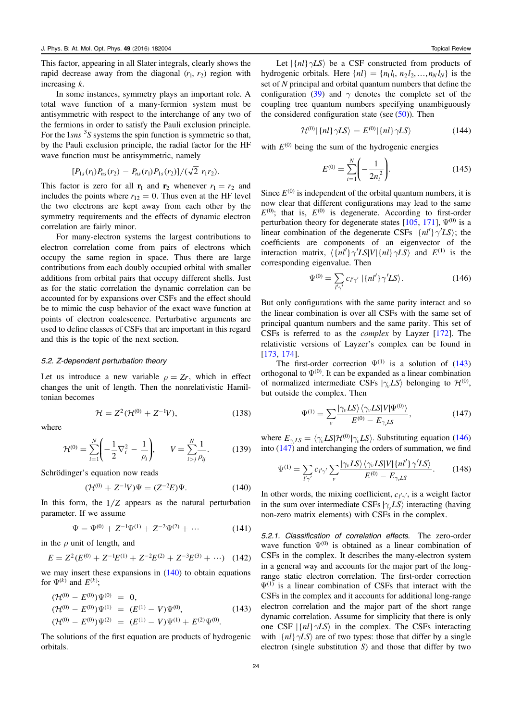This factor, appearing in all Slater integrals, clearly shows the rapid decrease away from the diagonal  $(r_1, r_2)$  region with increasing k.

In some instances, symmetry plays an important role. A total wave function of a many-fermion system must be antisymmetric with respect to the interchange of any two of the fermions in order to satisfy the Pauli exclusion principle. For the 1sns <sup>3</sup>S systems the spin function is symmetric so that, by the Pauli exclusion principle, the radial factor for the HF wave function must be antisymmetric, namely

$$
[P_{1s}(r_1)P_{ns}(r_2)-P_{ns}(r_1)P_{1s}(r_2)]/(\sqrt{2} r_1r_2).
$$

This factor is zero for all  $\mathbf{r}_1$  and  $\mathbf{r}_2$  whenever  $r_1 = r_2$  and includes the points where  $r_{12} = 0$ . Thus even at the HF level the two electrons are kept away from each other by the symmetry requirements and the effects of dynamic electron correlation are fairly minor.

For many-electron systems the largest contributions to electron correlation come from pairs of electrons which occupy the same region in space. Thus there are large contributions from each doubly occupied orbital with smaller additions from orbital pairs that occupy different shells. Just as for the static correlation the dynamic correlation can be accounted for by expansions over CSFs and the effect should be to mimic the cusp behavior of the exact wave function at points of electron coalescence. Perturbative arguments are used to define classes of CSFs that are important in this regard and this is the topic of the next section.

#### <span id="page-24-0"></span>5.2. Z-dependent perturbation theory

Let us introduce a new variable  $\rho = Zr$ , which in effect changes the unit of length. Then the nonrelativistic Hamiltonian becomes

$$
\mathcal{H} = Z^2(\mathcal{H}^{(0)} + Z^{-1}V),\tag{138}
$$

where

$$
\mathcal{H}^{(0)} = \sum_{i=1}^{N} \left( -\frac{1}{2} \nabla_i^2 - \frac{1}{\rho_i} \right), \qquad V = \sum_{i>j}^{N} \frac{1}{\rho_{ij}}.
$$
 (139)

<span id="page-24-1"></span>Schrödinger's equation now reads

$$
(\mathcal{H}^{(0)} + Z^{-1}V)\Psi = (Z^{-2}E)\Psi.
$$
 (140)

In this form, the  $1/Z$  appears as the natural perturbation parameter. If we assume

$$
\Psi = \Psi^{(0)} + Z^{-1}\Psi^{(1)} + Z^{-2}\Psi^{(2)} + \cdots \tag{141}
$$

in the  $\rho$  unit of length, and

$$
E = Z^{2}(E^{(0)} + Z^{-1}E^{(1)} + Z^{-2}E^{(2)} + Z^{-3}E^{(3)} + \cdots)
$$
 (142)

<span id="page-24-2"></span>we may insert these expansions in  $(140)$  $(140)$  $(140)$  to obtain equations for  $\Psi^{(k)}$  and  $E^{(k)}$ ;

$$
(\mathcal{H}^{(0)} - E^{(0)})\Psi^{(0)} = 0,
$$
  
\n
$$
(\mathcal{H}^{(0)} - E^{(0)})\Psi^{(1)} = (E^{(1)} - V)\Psi^{(0)},
$$
  
\n
$$
(\mathcal{H}^{(0)} - E^{(0)})\Psi^{(2)} = (E^{(1)} - V)\Psi^{(1)} + E^{(2)}\Psi^{(0)}.
$$
\n(143)

The solutions of the first equation are products of hydrogenic orbitals.

Let  $|\{nl\}\gamma LS\rangle$  be a CSF constructed from products of hydrogenic orbitals. Here  $\{nl\} = \{n_1l_1, n_2l_2, \ldots, n_Nl_N\}$  is the set of N principal and orbital quantum numbers that define the configuration ([39](#page-8-1)) and  $\gamma$  denotes the complete set of the coupling tree quantum numbers specifying unambiguously the considered configuration state (see  $(50)$  $(50)$  $(50)$ ). Then

$$
\mathcal{H}^{(0)}|\{nl\}\gamma LS\rangle = E^{(0)}|\{nl\}\gamma LS\rangle \tag{144}
$$

with  $E^{(0)}$  being the sum of the hydrogenic energies

$$
E^{(0)} = \sum_{i=1}^{N} \left( -\frac{1}{2n_i^2} \right). \tag{145}
$$

Since  $E^{(0)}$  is independent of the orbital quantum numbers, it is now clear that different configurations may lead to the same  $E^{(0)}$ ; that is,  $E^{(0)}$  is degenerate. According to first-order perturbation theory for degenerate states [[105](#page-33-47), [171](#page-34-44)],  $\Psi^{(0)}$  is a linear combination of the degenerate CSFs  $|{n l' \gamma' L} S\rangle$ ; the coefficients are components of an eigenvector of the interaction matrix,  $\langle \{nl' \} \gamma' LS | V | \{nl \} \gamma LS \rangle$  and  $E^{(1)}$  is the corresponding eigenvalue. Then

$$
\Psi^{(0)} = \sum_{l' \gamma'} c_{l' \gamma'} | \{nl'\} \gamma' LS \rangle.
$$
 (146)

<span id="page-24-3"></span>But only configurations with the same parity interact and so the linear combination is over all CSFs with the same set of principal quantum numbers and the same parity. This set of CSFs is referred to as the complex by Layzer [[172](#page-34-45)]. The relativistic versions of Layzer's complex can be found in [[173](#page-34-46), [174](#page-34-47)].

<span id="page-24-4"></span>The first-order correction  $\Psi^{(1)}$  is a solution of ([143](#page-24-2)) orthogonal to  $\Psi^{(0)}$ . It can be expanded as a linear combination of normalized intermediate CSFs  $|\gamma_{\nu}LS\rangle$  belonging to  $\mathcal{H}^{(0)}$ , but outside the complex. Then

$$
\Psi^{(1)} = \sum_{\nu} \frac{|\gamma_{\nu}LS\rangle \langle \gamma_{\nu}LS|V|\Psi^{(0)}\rangle}{E^{(0)} - E_{\gamma_{\nu}LS}},
$$
\n(147)

where  $E_{\gamma_{\nu}LS} = \langle \gamma_{\nu}LS | \mathcal{H}^{(0)} | \gamma_{\nu}LS \rangle$ . Substituting equation ([146](#page-24-3)) into ([147](#page-24-4)) and interchanging the orders of summation, we find

$$
\Psi^{(1)} = \sum_{l' \gamma'} c_{l' \gamma'} \sum_{\nu} \frac{|\gamma_{\nu} L S \rangle \langle \gamma_{\nu} L S | V | \{nl' \} \gamma' L S \rangle}{E^{(0)} - E_{\gamma_{\nu} L S}}.
$$
 (148)

In other words, the mixing coefficient,  $c_l / \gamma$ , is a weight factor in the sum over intermediate CSFs  $|\gamma L S \rangle$  interacting (having non-zero matrix elements) with CSFs in the complex.

5.2.1. Classification of correlation effects. The zero-order wave function  $\Psi^{(0)}$  is obtained as a linear combination of CSFs in the complex. It describes the many-electron system in a general way and accounts for the major part of the longrange static electron correlation. The first-order correction  $\Psi^{(1)}$  is a linear combination of CSFs that interact with the CSFs in the complex and it accounts for additional long-range electron correlation and the major part of the short range dynamic correlation. Assume for simplicity that there is only one CSF  $|\{nl\}\gamma LS\rangle$  in the complex. The CSFs interacting with  $|\{nl\}\gamma LS\rangle$  are of two types: those that differ by a single electron (single substitution S) and those that differ by two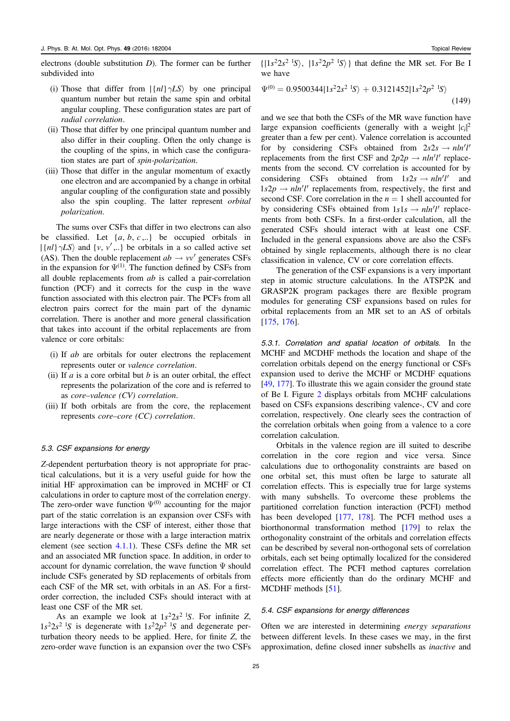electrons (double substitution D). The former can be further subdivided into

- (i) Those that differ from  $|\{nl\}\gamma LS\rangle$  by one principal quantum number but retain the same spin and orbital angular coupling. These configuration states are part of radial correlation.
- (ii) Those that differ by one principal quantum number and also differ in their coupling. Often the only change is the coupling of the spins, in which case the configuration states are part of spin-polarization.
- (iii) Those that differ in the angular momentum of exactly one electron and are accompanied by a change in orbital angular coupling of the configuration state and possibly also the spin coupling. The latter represent orbital polarization.

The sums over CSFs that differ in two electrons can also be classified. Let  $\{a, b, c, \ldots\}$  be occupied orbitals in  $|\{nl\}\gamma LS\rangle$  and  $\{v, v', ...\}$  be orbitals in a so called active set (AS). Then the double replacement  $ab \rightarrow \nu \nu'$  generates CSFs in the expansion for  $\Psi^{(1)}$ . The function defined by CSFs from all double replacements from ab is called a pair-correlation function (PCF) and it corrects for the cusp in the wave function associated with this electron pair. The PCFs from all electron pairs correct for the main part of the dynamic correlation. There is another and more general classification that takes into account if the orbital replacements are from valence or core orbitals:

- (i) If ab are orbitals for outer electrons the replacement represents outer or valence correlation.
- (ii) If  $a$  is a core orbital but  $b$  is an outer orbital, the effect represents the polarization of the core and is referred to as core–valence (CV) correlation.
- (iii) If both orbitals are from the core, the replacement represents core–core (CC) correlation.

#### 5.3. CSF expansions for energy

Z-dependent perturbation theory is not appropriate for practical calculations, but it is a very useful guide for how the initial HF approximation can be improved in MCHF or CI calculations in order to capture most of the correlation energy. The zero-order wave function  $\Psi^{(0)}$  accounting for the major part of the static correlation is an expansion over CSFs with large interactions with the CSF of interest, either those that are nearly degenerate or those with a large interaction matrix element (see section [4.1.1](#page-16-2)). These CSFs define the MR set and an associated MR function space. In addition, in order to account for dynamic correlation, the wave function  $\Psi$  should include CSFs generated by SD replacements of orbitals from each CSF of the MR set, with orbitals in an AS. For a firstorder correction, the included CSFs should interact with at least one CSF of the MR set.

As an example we look at  $1s^2 2s^2$  <sup>1</sup>S. For infinite Z,  $1s<sup>2</sup>2s<sup>2</sup>$  <sup>1</sup>S is degenerate with  $1s<sup>2</sup>2p<sup>2</sup>$  <sup>1</sup>S and degenerate perturbation theory needs to be applied. Here, for finite Z, the zero-order wave function is an expansion over the two CSFs

 $\{|1s^22s^2|^1S\rangle, |1s^22p^2|^1S\rangle\}$  that define the MR set. For Be I we have

$$
\Psi^{(0)} = 0.9500344|1s^22s^2|S\rangle + 0.3121452|1s^22p^2|S\rangle
$$
\n(149)

and we see that both the CSFs of the MR wave function have large expansion coefficients (generally with a weight  $|c_i|^2$ greater than a few per cent). Valence correlation is accounted for by considering CSFs obtained from  $2s2s \rightarrow nh'l'$ replacements from the first CSF and  $2p2p \rightarrow nln'l'$  replacements from the second. CV correlation is accounted for by considering CSFs obtained from  $1s2s \rightarrow nh'l'$  and  $1s2p \rightarrow nh'l'$  replacements from, respectively, the first and second CSF. Core correlation in the  $n = 1$  shell accounted for by considering CSFs obtained from  $1s1s \rightarrow nh'l'$  replacements from both CSFs. In a first-order calculation, all the generated CSFs should interact with at least one CSF. Included in the general expansions above are also the CSFs obtained by single replacements, although there is no clear classification in valence, CV or core correlation effects.

The generation of the CSF expansions is a very important step in atomic structure calculations. In the ATSP2K and GRASP2K program packages there are flexible program modules for generating CSF expansions based on rules for orbital replacements from an MR set to an AS of orbitals [[175](#page-34-48), [176](#page-34-49)].

5.3.1. Correlation and spatial location of orbitals. In the MCHF and MCDHF methods the location and shape of the correlation orbitals depend on the energy functional or CSFs expansion used to derive the MCHF or MCDHF equations [[49](#page-32-42), [177](#page-34-50)]. To illustrate this we again consider the ground state of Be I. Figure [2](#page-26-0) displays orbitals from MCHF calculations based on CSFs expansions describing valence-, CV and core correlation, respectively. One clearly sees the contraction of the correlation orbitals when going from a valence to a core correlation calculation.

Orbitals in the valence region are ill suited to describe correlation in the core region and vice versa. Since calculations due to orthogonality constraints are based on one orbital set, this must often be large to saturate all correlation effects. This is especially true for large systems with many subshells. To overcome these problems the partitioned correlation function interaction (PCFI) method has been developed [[177](#page-34-50), [178](#page-34-51)]. The PCFI method uses a biorthonormal transformation method [[179](#page-34-52)] to relax the orthogonality constraint of the orbitals and correlation effects can be described by several non-orthogonal sets of correlation orbitals, each set being optimally localized for the considered correlation effect. The PCFI method captures correlation effects more efficiently than do the ordinary MCHF and MCDHF methods [[51](#page-32-40)].

#### 5.4. CSF expansions for energy differences

Often we are interested in determining energy separations between different levels. In these cases we may, in the first approximation, define closed inner subshells as inactive and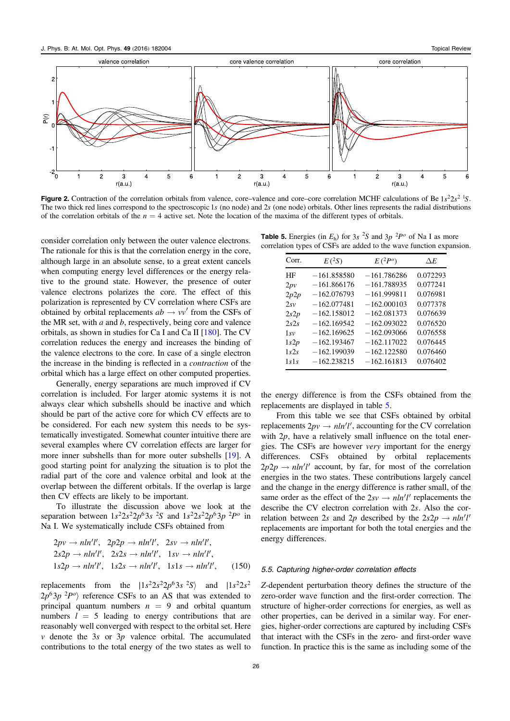<span id="page-26-0"></span>

**Figure 2.** Contraction of the correlation orbitals from valence, core–valence and core–core correlation MCHF calculations of Be  $1s^22s^2$  <sup>1</sup>S. The two thick red lines correspond to the spectroscopic 1*s* (no node) and 2*s* (one node) orbitals. Other lines represents the radial distributions of the correlation orbitals of the  $n = 4$  active set. Note the location of the maxima of the different types of orbitals.

consider correlation only between the outer valence electrons. The rationale for this is that the correlation energy in the core, although large in an absolute sense, to a great extent cancels when computing energy level differences or the energy relative to the ground state. However, the presence of outer valence electrons polarizes the core. The effect of this polarization is represented by CV correlation where CSFs are obtained by orbital replacements  $ab \rightarrow vv'$  from the CSFs of the MR set, with  $a$  and  $b$ , respectively, being core and valence orbitals, as shown in studies for Ca I and Ca II [[180](#page-34-53)]. The CV correlation reduces the energy and increases the binding of the valence electrons to the core. In case of a single electron the increase in the binding is reflected in a contraction of the orbital which has a large effect on other computed properties.

Generally, energy separations are much improved if CV correlation is included. For larger atomic systems it is not always clear which subshells should be inactive and which should be part of the active core for which CV effects are to be considered. For each new system this needs to be systematically investigated. Somewhat counter intuitive there are several examples where CV correlation effects are larger for more inner subshells than for more outer subshells [[19](#page-32-17)]. A good starting point for analyzing the situation is to plot the radial part of the core and valence orbital and look at the overlap between the different orbitals. If the overlap is large then CV effects are likely to be important.

To illustrate the discussion above we look at the separation between  $1s^2 2s^2 2p^6 3s^2 S$  and  $1s^2 2s^2 2p^6 3p^2 P^o$  in Na I. We systematically include CSFs obtained from

$$
2pv \rightarrow nln'l', \quad 2p2p \rightarrow nln'l', \quad 2sv \rightarrow nln'l',\n2s2p \rightarrow nln'l', \quad 2s2s \rightarrow nln'l', \quad 1sv \rightarrow nln'l',\n1s2p \rightarrow nln'l', \quad 1s2s \rightarrow nln'l', \quad 1sls \rightarrow nln'l', \quad (150)
$$

replacements from the  $|1s^22s^22p^63s^2S\rangle$  and  $|1s^22s^2$  $2p^{6}3p^{2}P^{o}$  reference CSFs to an AS that was extended to principal quantum numbers  $n = 9$  and orbital quantum numbers  $l = 5$  leading to energy contributions that are reasonably well converged with respect to the orbital set. Here v denote the 3*s* or 3*p* valence orbital. The accumulated contributions to the total energy of the two states as well to

<span id="page-26-1"></span>**Table 5.** Energies (in  $E_h$ ) for 3*s* <sup>2</sup>*S* and 3*p* <sup>2</sup>*P*<sup>*o*</sup> of Na I as more correlation types of CSFs are added to the wave function expansion.

| Corr. | $E(^{2}S)$    | $E(^2P^o)$    | ΛE       |
|-------|---------------|---------------|----------|
| HF    | $-161.858580$ | $-161.786286$ | 0.072293 |
| 2pv   | $-161.866176$ | $-161.788935$ | 0.077241 |
| 2p2p  | $-162.076793$ | $-161.999811$ | 0.076981 |
| 2sv   | $-162.077481$ | $-162,000103$ | 0.077378 |
| 2s2p  | $-162.158012$ | $-162.081373$ | 0.076639 |
| 2s2s  | $-162.169542$ | $-162.093022$ | 0.076520 |
| 1sv   | $-162.169625$ | $-162.093066$ | 0.076558 |
| 1s2p  | $-162.193467$ | $-162.117022$ | 0.076445 |
| 1s2s  | $-162.199039$ | $-162.122580$ | 0.076460 |
| 1s1s  | $-162.238215$ | $-162.161813$ | 0.076402 |
|       |               |               |          |

the energy difference is from the CSFs obtained from the replacements are displayed in table [5.](#page-26-1)

From this table we see that CSFs obtained by orbital replacements  $2pv \rightarrow nln'l'$ , accounting for the CV correlation with 2*p*, have a relatively small influence on the total energies. The CSFs are however very important for the energy differences. CSFs obtained by orbital replacements  $2p2p \rightarrow nh'l'$  account, by far, for most of the correlation energies in the two states. These contributions largely cancel and the change in the energy difference is rather small, of the same order as the effect of the  $2sv \rightarrow nh'l'$  replacements the describe the CV electron correlation with 2*s*. Also the correlation between 2*s* and 2*p* described by the  $2s2p \rightarrow nh'l'$ replacements are important for both the total energies and the energy differences.

#### 5.5. Capturing higher-order correlation effects

Z-dependent perturbation theory defines the structure of the zero-order wave function and the first-order correction. The structure of higher-order corrections for energies, as well as other properties, can be derived in a similar way. For energies, higher-order corrections are captured by including CSFs that interact with the CSFs in the zero- and first-order wave function. In practice this is the same as including some of the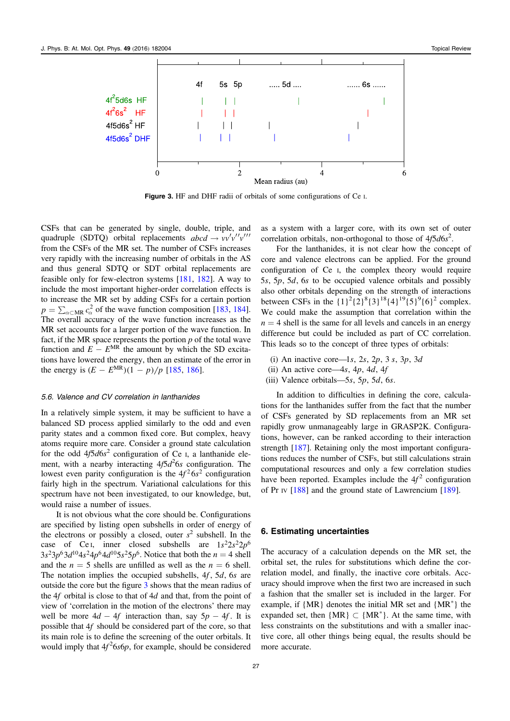<span id="page-27-0"></span>

Figure 3. HF and DHF radii of orbitals of some configurations of Ce I.

CSFs that can be generated by single, double, triple, and quadruple (SDTQ) orbital replacements  $abcd \rightarrow vv'v''v'''$ from the CSFs of the MR set. The number of CSFs increases very rapidly with the increasing number of orbitals in the AS and thus general SDTQ or SDT orbital replacements are feasible only for few-electron systems [[181](#page-34-54), [182](#page-34-55)]. A way to include the most important higher-order correlation effects is to increase the MR set by adding CSFs for a certain portion  $p = \sum_{\alpha \in \text{MR}} c_{\alpha}^2$  of the wave function composition [[183,](#page-34-56) [184](#page-34-57)]. The overall accuracy of the wave function increases as the MR set accounts for a larger portion of the wave function. In fact, if the MR space represents the portion  $p$  of the total wave function and  $E - E^{MR}$  the amount by which the SD excitations have lowered the energy, then an estimate of the error in the energy is  $(E - E^{MR})(1 - p)/p$  [[185,](#page-34-58) [186](#page-34-59)].

#### 5.6. Valence and CV correlation in lanthanides

In a relatively simple system, it may be sufficient to have a balanced SD process applied similarly to the odd and even parity states and a common fixed core. But complex, heavy atoms require more care. Consider a ground state calculation for the odd  $4f\frac{5}{d6s^2}$  configuration of Ce I, a lanthanide element, with a nearby interacting  $4f\overline{5}d^2$ 6s configuration. The lowest even parity configuration is the  $4f^2 6s^2$  configuration fairly high in the spectrum. Variational calculations for this spectrum have not been investigated, to our knowledge, but, would raise a number of issues.

It is not obvious what the core should be. Configurations are specified by listing open subshells in order of energy of the electrons or possibly a closed, outer  $s^2$  subshell. In the case of Ce<sub>I</sub>, inner closed subshells are  $1s^2 2s^2 2p^6$  $3s<sup>2</sup>3p<sup>6</sup>3d<sup>10</sup>4s<sup>2</sup>4p<sup>6</sup>4d<sup>10</sup>5s<sup>2</sup>5p<sup>6</sup>$ . Notice that both the  $n = 4$  shell and the  $n = 5$  shells are unfilled as well as the  $n = 6$  shell. The notation implies the occupied subshells, 4*f*, 5*d*, 6*s* are outside the core but the figure [3](#page-27-0) shows that the mean radius of the 4*f* orbital is close to that of 4*d* and that, from the point of view of 'correlation in the motion of the electrons' there may well be more  $4d - 4f$  interaction than, say  $5p - 4f$ . It is possible that 4*f* should be considered part of the core, so that its main role is to define the screening of the outer orbitals. It would imply that  $4f^2$ 6s6p, for example, should be considered

as a system with a larger core, with its own set of outer correlation orbitals, non-orthogonal to those of  $4f5d6s^2$ .

For the lanthanides, it is not clear how the concept of core and valence electrons can be applied. For the ground configuration of Ce I, the complex theory would require 5*s*, 5*p*, 5*d*, 6*s* to be occupied valence orbitals and possibly also other orbitals depending on the strength of interactions between CSFs in the  $\{1\}^2 \{2\}^8 \{3\}^{18} \{4\}^{19} \{5\}^9 \{6\}^2$  complex. We could make the assumption that correlation within the  $n = 4$  shell is the same for all levels and cancels in an energy difference but could be included as part of CC correlation. This leads so to the concept of three types of orbitals:

- (i) An inactive core— $1s, 2s, 2p, 3s, 3p, 3d$
- (ii) An active core—4*s*, 4*p*, 4*d*, 4*f*
- (iii) Valence orbitals— $5s$ ,  $5p$ ,  $5d$ ,  $6s$ .

In addition to difficulties in defining the core, calculations for the lanthanides suffer from the fact that the number of CSFs generated by SD replacements from an MR set rapidly grow unmanageably large in GRASP2K. Configurations, however, can be ranked according to their interaction strength [[187](#page-34-60)]. Retaining only the most important configurations reduces the number of CSFs, but still calculations strain computational resources and only a few correlation studies have been reported. Examples include the  $4f<sup>2</sup>$  configuration of Pr IV [[188](#page-34-61)] and the ground state of Lawrencium [[189](#page-34-62)].

# 6. Estimating uncertainties

The accuracy of a calculation depends on the MR set, the orbital set, the rules for substitutions which define the correlation model, and finally, the inactive core orbitals. Accuracy should improve when the first two are increased in such a fashion that the smaller set is included in the larger. For example, if {MR} denotes the initial MR set and {MR\* } the expanded set, then  ${MR} \subset {MR^*}$ . At the same time, with less constraints on the substitutions and with a smaller inactive core, all other things being equal, the results should be more accurate.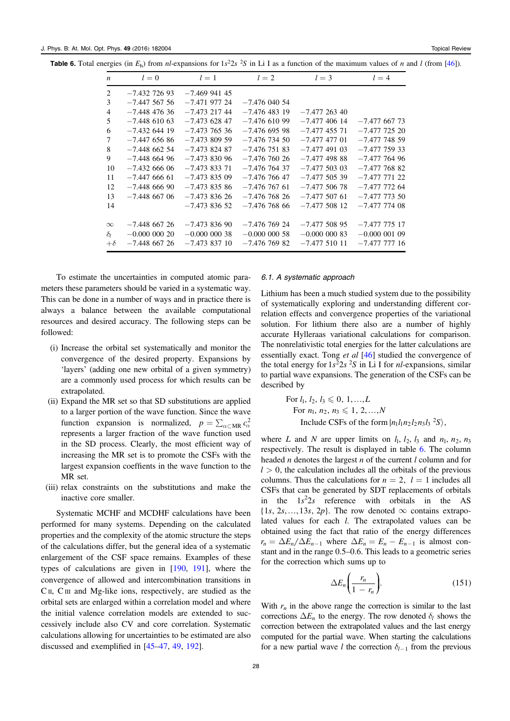<span id="page-28-0"></span>**Table 6.** Total energies (in  $E<sub>b</sub>$ ) from *nl*-expansions for  $1s^22s^2S$  in Li I as a function of the maximum values of *n* and *l* (from [[46](#page-32-43)]).

| $\boldsymbol{n}$ | $l=0$           | $l=1$           | $l=2$           | $l=3$           | $l = 4$         |
|------------------|-----------------|-----------------|-----------------|-----------------|-----------------|
| 2                | $-7.432$ 726 93 | $-7.469$ 941 45 |                 |                 |                 |
| 3                | $-7.447$ 567 56 | $-7.471$ 977 24 | $-7.476$ 040 54 |                 |                 |
| 4                | $-7.448$ 476 36 | $-7.473$ 217 44 | $-7.476$ 483 19 | $-7.47726340$   |                 |
| 5                | $-7.448$ 610 63 | $-7.473$ 628 47 | $-7.476$ 610 99 | $-7.477$ 406 14 | $-7.477$ 667 73 |
| 6                | $-7.43264419$   | $-7.473$ 765 36 | $-7.476$ 695 98 | $-7.477$ 455 71 | $-7.477$ 725 20 |
| 7                | $-7.447$ 656 86 | $-7.473$ 809 59 | $-7.476$ 734 50 | $-7.477$ 477 01 | $-7.477$ 748 59 |
| 8                | $-7.448$ 662 54 | $-7.473$ 824 87 | $-7.476$ 751 83 | $-7.477$ 491 03 | $-7.477$ 759 33 |
| 9                | $-7.448$ 664 96 | $-7.473$ 830 96 | $-7.476$ 760 26 | $-7.477$ 498 88 | $-7.477$ 764 96 |
| 10               | $-7.432$ 666 06 | $-7.47383371$   | $-7.476$ 764 37 | $-7.477$ 503 03 | $-7.477$ 768 82 |
| 11               | $-7.447$ 666 61 | $-7.473$ 835 09 | $-7.476$ 766 47 | $-7.477$ 505 39 | $-7.477$ 771 22 |
| 12               | $-7.448$ 666 90 | $-7.473$ 835 86 | $-7.476$ 767 61 | $-7.477$ 506 78 | $-7.477$ 772.64 |
| 13               | $-7.448$ 667 06 | $-7.473$ 836 26 | $-7.476$ 768 26 | $-7.477$ 507 61 | $-7.477$ 773 50 |
| 14               |                 | $-7.473$ 836 52 | $-7.476$ 768 66 | $-7.477$ 508 12 | $-7.477$ 774 08 |
|                  |                 |                 |                 |                 |                 |
| $\infty$         | $-7.448$ 667 26 | $-7.473$ 836 90 | $-7.476$ 769 24 | $-7.477$ 508 95 | $-7.477$ 775 17 |
| $\delta_I$       | $-0.000$ 000 20 | $-0.000$ 000 38 | $-0.000$ 000 58 | $-0.000$ 000 83 | $-0.000$ 001 09 |
| $+\delta$        | $-7.448$ 667 26 | $-7.473$ 837 10 | $-7.476$ 769 82 | $-7.477$ 510 11 | $-7.477$ 777 16 |

To estimate the uncertainties in computed atomic parameters these parameters should be varied in a systematic way. This can be done in a number of ways and in practice there is always a balance between the available computational resources and desired accuracy. The following steps can be followed:

- (i) Increase the orbital set systematically and monitor the convergence of the desired property. Expansions by 'layers' (adding one new orbital of a given symmetry) are a commonly used process for which results can be extrapolated.
- (ii) Expand the MR set so that SD substitutions are applied to a larger portion of the wave function. Since the wave function expansion is normalized,  $p = \sum_{\alpha \subset MR} c_{\alpha}^2$ represents a larger fraction of the wave function used in the SD process. Clearly, the most efficient way of increasing the MR set is to promote the CSFs with the largest expansion coeffients in the wave function to the MR set.
- (iii) relax constraints on the substitutions and make the inactive core smaller.

Systematic MCHF and MCDHF calculations have been performed for many systems. Depending on the calculated properties and the complexity of the atomic structure the steps of the calculations differ, but the general idea of a systematic enlargement of the CSF space remains. Examples of these types of calculations are given in [[190,](#page-34-63) [191](#page-34-64)], where the convergence of allowed and intercombination transitions in  $C_{II}$ ,  $C_{III}$  and Mg-like ions, respectively, are studied as the orbital sets are enlarged within a correlation model and where the initial valence correlation models are extended to successively include also CV and core correlation. Systematic calculations allowing for uncertainties to be estimated are also discussed and exemplified in [[45](#page-32-37)–[47,](#page-32-38) [49](#page-32-42), [192](#page-34-65)].

#### 6.1. A systematic approach

Lithium has been a much studied system due to the possibility of systematically exploring and understanding different correlation effects and convergence properties of the variational solution. For lithium there also are a number of highly accurate Hylleraas variational calculations for comparison. The nonrelativistic total energies for the latter calculations are essentially exact. Tong et al [[46](#page-32-43)] studied the convergence of the total energy for  $1s^22s^2S$  in Li I for *nl*-expansions, similar to partial wave expansions. The generation of the CSFs can be described by

For 
$$
l_1, l_2, l_3 \le 0, 1, ..., L
$$
  
For  $n_1, n_2, n_3 \le 1, 2, ..., N$   
Inculate CSFs of the form  $|n_1l_1n_2l_2n_3l_3|^2S\rangle$ ,

where L and N are upper limits on  $l_1$ ,  $l_2$ ,  $l_3$  and  $n_1$ ,  $n_2$ ,  $n_3$ respectively. The result is displayed in table [6.](#page-28-0) The column headed  $n$  denotes the largest  $n$  of the current  $l$  column and for  $l > 0$ , the calculation includes all the orbitals of the previous columns. Thus the calculations for  $n = 2$ ,  $l = 1$  includes all CSFs that can be generated by SDT replacements of orbitals in the  $1s^22s$  reference with orbitals in the AS  $\{1s, 2s, \ldots, 13s, 2p\}$ . The row denoted  $\infty$  contains extrapolated values for each l. The extrapolated values can be obtained using the fact that ratio of the energy differences  $r_n = \Delta E_n / \Delta E_{n-1}$  where  $\Delta E_n = E_n - E_{n-1}$  is almost constant and in the range 0.5–0.6. This leads to a geometric series for the correction which sums up to

$$
\Delta E_n \bigg( \frac{r_n}{1 - r_n} \bigg). \tag{151}
$$

With  $r_n$  in the above range the correction is similar to the last corrections  $\Delta E_n$  to the energy. The row denoted  $\delta_l$  shows the correction between the extrapolated values and the last energy computed for the partial wave. When starting the calculations for a new partial wave *l* the correction  $\delta_{l-1}$  from the previous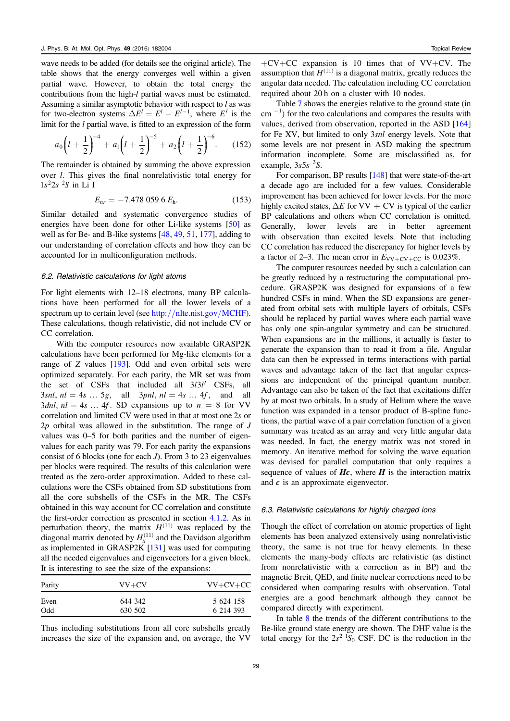wave needs to be added (for details see the original article). The table shows that the energy converges well within a given partial wave. However, to obtain the total energy the contributions from the high-l partial waves must be estimated. Assuming a similar asymptotic behavior with respect to  $l$  as was for two-electron systems  $\Delta E^l = E^l - E^{l-1}$ , where  $E^l$  is the limit for the l partial wave, is fitted to an expression of the form

$$
a_0\left(l+\frac{1}{2}\right)^{-4} + a_1\left(l+\frac{1}{2}\right)^{-5} + a_2\left(l+\frac{1}{2}\right)^{-6}.\tag{152}
$$

The remainder is obtained by summing the above expression over l. This gives the final nonrelativistic total energy for  $1s^22s$  <sup>2</sup>S in Li I

$$
E_{nr} = -7.478\ 059\ 6\ E_{h}.\tag{153}
$$

Similar detailed and systematic convergence studies of energies have been done for other Li-like systems [[50](#page-32-44)] as well as for Be- and B-like systems [[48](#page-32-39), [49](#page-32-42), [51](#page-32-40), [177](#page-34-50)], adding to our understanding of correlation effects and how they can be accounted for in multiconfiguration methods.

#### 6.2. Relativistic calculations for light atoms

For light elements with 12–18 electrons, many BP calculations have been performed for all the lower levels of a spectrum up to certain level (see http://[nlte.nist.gov](http://nlte.nist.gov/MCHF)/MCHF). These calculations, though relativistic, did not include CV or CC correlation.

With the computer resources now available GRASP2K calculations have been performed for Mg-like elements for a range of  $Z$  values  $[193]$  $[193]$  $[193]$ . Odd and even orbital sets were optimized separately. For each parity, the MR set was from the set of CSFs that included all  $3/31'$  CSFs, all  $3snl, nl = 4s ... 5g, all 3pnl, nl = 4s ... 4f, and all$ 3*dnl*,  $nl = 4s$  ... 4*f*. SD expansions up to  $n = 8$  for VV correlation and limited CV were used in that at most one 2*s* or 2*p* orbital was allowed in the substitution. The range of J values was 0–5 for both parities and the number of eigenvalues for each parity was 79. For each parity the expansions consist of 6 blocks (one for each J). From 3 to 23 eigenvalues per blocks were required. The results of this calculation were treated as the zero-order approximation. Added to these calculations were the CSFs obtained from SD substitutions from all the core subshells of the CSFs in the MR. The CSFs obtained in this way account for CC correlation and constitute the first-order correction as presented in section [4.1.2.](#page-16-3) As in perturbation theory, the matrix  $H^{(11)}$  was replaced by the diagonal matrix denoted by  $H_{ii}^{(11)}$  and the Davidson algorithm as implemented in GRASP2K [[131](#page-34-5)] was used for computing all the needed eigenvalues and eigenvectors for a given block. It is interesting to see the size of the expansions:

| Parity | $VV+CV$ | $VV+CV+CC$ |
|--------|---------|------------|
| Even   | 644 342 | 5 624 158  |
| Odd    | 630 502 | 6 214 393  |

Thus including substitutions from all core subshells greatly increases the size of the expansion and, on average, the VV

+CV+CC expansion is 10 times that of VV+CV. The assumption that  $H^{(11)}$  is a diagonal matrix, greatly reduces the angular data needed. The calculation including CC correlation required about 20 h on a cluster with 10 nodes.

Table [7](#page-30-0) shows the energies relative to the ground state (in cm<sup>-1</sup>) for the two calculations and compares the results with values, derived from observation, reported in the ASD [[164](#page-34-37)] for Fe XV, but limited to only 3*snl* energy levels. Note that some levels are not present in ASD making the spectrum information incomplete. Some are misclassified as, for example, 3s5s <sup>3</sup>S.

For comparison, BP results [[148](#page-34-22)] that were state-of-the-art a decade ago are included for a few values. Considerable improvement has been achieved for lower levels. For the more highly excited states,  $\Delta E$  for VV + CV is typical of the earlier BP calculations and others when CC correlation is omitted. Generally, lower levels are in better agreement with observation than excited levels. Note that including CC correlation has reduced the discrepancy for higher levels by a factor of 2–3. The mean error in  $E_{VV+CV+CC}$  is 0.023%.

The computer resources needed by such a calculation can be greatly reduced by a restructuring the computational procedure. GRASP2K was designed for expansions of a few hundred CSFs in mind. When the SD expansions are generated from orbital sets with multiple layers of orbitals, CSFs should be replaced by partial waves where each partial wave has only one spin-angular symmetry and can be structured. When expansions are in the millions, it actually is faster to generate the expansion than to read it from a file. Angular data can then be expressed in terms interactions with partial waves and advantage taken of the fact that angular expressions are independent of the principal quantum number. Advantage can also be taken of the fact that excitations differ by at most two orbitals. In a study of Helium where the wave function was expanded in a tensor product of B-spline functions, the partial wave of a pair correlation function of a given summary was treated as an array and very little angular data was needed, In fact, the energy matrix was not stored in memory. An iterative method for solving the wave equation was devised for parallel computation that only requires a sequence of values of  $He$ , where  $H$  is the interaction matrix and  $c$  is an approximate eigenvector.

#### 6.3. Relativistic calculations for highly charged ions

Though the effect of correlation on atomic properties of light elements has been analyzed extensively using nonrelativistic theory, the same is not true for heavy elements. In these elements the many-body effects are relativistic (as distinct from nonrelativistic with a correction as in BP) and the magnetic Breit, QED, and finite nuclear corrections need to be considered when comparing results with observation. Total energies are a good benchmark although they cannot be compared directly with experiment.

In table [8](#page-31-0) the trends of the different contributions to the Be-like ground state energy are shown. The DHF value is the total energy for the  $2s^2$  <sup>1</sup>S<sub>0</sub> CSF. DC is the reduction in the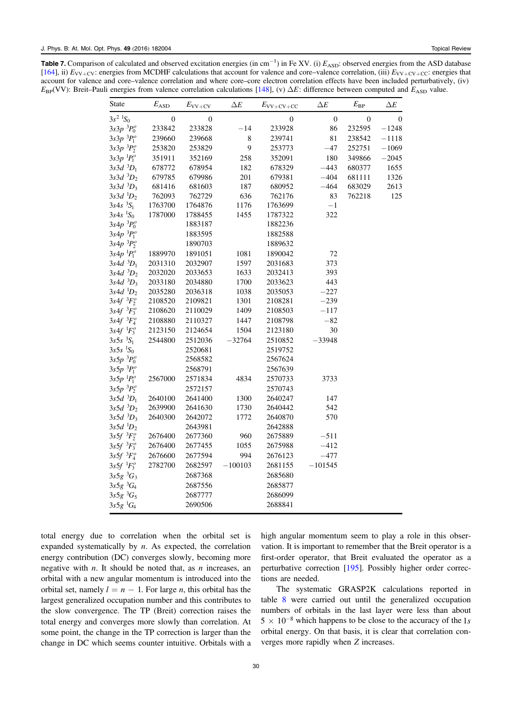<span id="page-30-0"></span>**Table 7.** Comparison of calculated and observed excitation energies (in cm<sup>-1</sup>) in Fe XV. (i)  $E_{ASD}$ : observed energies from the ASD database [[164](#page-34-37)], ii)  $E_{\text{VV+CV}}$ : energies from MCDHF calculations that account for valence and core–valence correlation, (iii)  $E_{\text{VV+CV+CC}}$ : energies that account for valence and core–valence correlation and where core–core electron correlation effects have been included perturbatively, (iv)  $E_{\rm BP}$ (VV): Breit–Pauli energies from valence correlation calculations [[148](#page-34-22)], (v)  $\Delta E$ : difference between computed and  $E_{\rm ASD}$  value.

| <b>State</b>                       | $E_{\mathrm{ASD}}$ | $E_{\rm VV+CV}$  | $\Delta E$ | $E_{\rm VV+CV+CC}$ | $\Delta E$       | $E_{\rm BP}$     | $\Delta E$  |
|------------------------------------|--------------------|------------------|------------|--------------------|------------------|------------------|-------------|
| $3s^2$ ${}^1S_0$                   | $\boldsymbol{0}$   | $\boldsymbol{0}$ |            | $\boldsymbol{0}$   | $\boldsymbol{0}$ | $\boldsymbol{0}$ | $\mathbf 0$ |
| $3s3p~^3P_0^o$                     | 233842             | 233828           | $-14$      | 233928             | 86               | 232595           | $-1248$     |
| $3s3p~^3P_1^o$                     | 239660             | 239668           | 8          | 239741             | 81               | 238542           | $-1118$     |
| $3s3p~^3P_2^o$                     | 253820             | 253829           | 9          | 253773             | $-47$            | 252751           | $-1069$     |
| $3s3p~^1P_1^o$                     | 351911             | 352169           | 258        | 352091             | 180              | 349866           | $-2045$     |
| $3s3d~^{3}D_{1}$                   | 678772             | 678954           | 182        | 678329             | $-443$           | 680377           | 1655        |
| $3s3d$ ${}^{3}D_2$                 | 679785             | 679986           | 201        | 679381             | $-404$           | 681111           | 1326        |
| $3s3d~^{3}D_3$                     | 681416             | 681603           | 187        | 680952             | $-464$           | 683029           | 2613        |
| $3s3d$ <sup>1</sup> D <sub>2</sub> | 762093             | 762729           | 636        | 762176             | 83               | 762218           | 125         |
| $3s4s$ ${}^{3}S_{1}$               | 1763700            | 1764876          | 1176       | 1763699            | $-1$             |                  |             |
| $3s4s$ <sup>1</sup> S <sub>0</sub> | 1787000            | 1788455          | 1455       | 1787322            | 322              |                  |             |
| $3s4p~^3P_0^o$                     |                    | 1883187          |            | 1882236            |                  |                  |             |
| $3s4p~^3P_1^o$                     |                    | 1883595          |            | 1882588            |                  |                  |             |
| $3s4p$ <sup>3</sup> $P_2^o$        |                    | 1890703          |            | 1889632            |                  |                  |             |
| $3s4p~^1P_1^o$                     | 1889970            | 1891051          | 1081       | 1890042            | 72               |                  |             |
| $3s4d~^{3}D_1$                     | 2031310            | 2032907          | 1597       | 2031683            | 373              |                  |             |
| $3s4d$ ${}^{3}D_{2}$               | 2032020            | 2033653          | 1633       | 2032413            | 393              |                  |             |
| $3s4d~^{3}D_3$                     | 2033180            | 2034880          | 1700       | 2033623            | 443              |                  |             |
| $3s4d$ <sup>1</sup> D <sub>2</sub> | 2035280            | 2036318          | 1038       | 2035053            | $-227$           |                  |             |
| $3s4f~^{3}F_{2}^{o}$               | 2108520            | 2109821          | 1301       | 2108281            | $-239$           |                  |             |
| $3s4f~^{3}F_{3}^{o}$               | 2108620            | 2110029          | 1409       | 2108503            | $-117$           |                  |             |
| $3s4f~^{3}F^{o}_{4}$               | 2108880            | 2110327          | 1447       | 2108798            | $-82$            |                  |             |
| $3s4f~^{1}F_{3}^{o}$               | 2123150            | 2124654          | 1504       | 2123180            | 30               |                  |             |
| $3s5s$ ${}^{3}S_{1}$               | 2544800            | 2512036          | $-32764$   | 2510852            | $-33948$         |                  |             |
| $3s5s$ <sup>1</sup> S <sub>0</sub> |                    | 2520681          |            | 2519752            |                  |                  |             |
| $3s5p~^3P_0^o$                     |                    | 2568582          |            | 2567624            |                  |                  |             |
| $3s5p~^3P_1^o$                     |                    | 2568791          |            | 2567639            |                  |                  |             |
| $3s5p~^1P_1^o$                     | 2567000            | 2571834          | 4834       | 2570733            | 3733             |                  |             |
| $3s5p~^3P_2^o$                     |                    | 2572157          |            | 2570743            |                  |                  |             |
| $3s5d~^{3}D_1$                     | 2640100            | 2641400          | 1300       | 2640247            | 147              |                  |             |
| $3s5d~^{3}D_{2}$                   | 2639900            | 2641630          | 1730       | 2640442            | 542              |                  |             |
| $3s5d~^{3}D_3$                     | 2640300            | 2642072          | 1772       | 2640870            | 570              |                  |             |
| $3s5d$ <sup>1</sup> D <sub>2</sub> |                    | 2643981          |            | 2642888            |                  |                  |             |
| $3s5f~^{3}F_{2}^{o}$               | 2676400            | 2677360          | 960        | 2675889            | $-511$           |                  |             |
| $3s5f~^3F_3^o$                     | 2676400            | 2677455          | 1055       | 2675988            | $-412$           |                  |             |
| $3s5f~^{3}F_{4}^{o}$               | 2676600            | 2677594          | 994        | 2676123            | $-477$           |                  |             |
| $3s5f~^1F_3^o$                     | 2782700            | 2682597          | $-100103$  | 2681155            | $-101545$        |                  |             |
| $3s5g$ ${}^3G_3$                   |                    | 2687368          |            | 2685680            |                  |                  |             |
| $3s5g~^{3}G_{4}$                   |                    | 2687556          |            | 2685877            |                  |                  |             |
| $3s5g~^{3}G_{5}$                   |                    | 2687777          |            | 2686099            |                  |                  |             |
| $3s5g\ {}^1G_4$                    |                    | 2690506          |            | 2688841            |                  |                  |             |

total energy due to correlation when the orbital set is expanded systematically by  $n$ . As expected, the correlation energy contribution (DC) converges slowly, becoming more negative with  $n$ . It should be noted that, as  $n$  increases, an orbital with a new angular momentum is introduced into the orbital set, namely  $l = n - 1$ . For large *n*, this orbital has the largest generalized occupation number and this contributes to the slow convergence. The TP (Breit) correction raises the total energy and converges more slowly than correlation. At some point, the change in the TP correction is larger than the change in DC which seems counter intuitive. Orbitals with a high angular momentum seem to play a role in this observation. It is important to remember that the Breit operator is a first-order operator, that Breit evaluated the operator as a perturbative correction [[195](#page-34-67)]. Possibly higher order corrections are needed.

The systematic GRASP2K calculations reported in table [8](#page-31-0) were carried out until the generalized occupation numbers of orbitals in the last layer were less than about  $5 \times 10^{-8}$  which happens to be close to the accuracy of the 1*s* orbital energy. On that basis, it is clear that correlation converges more rapidly when Z increases.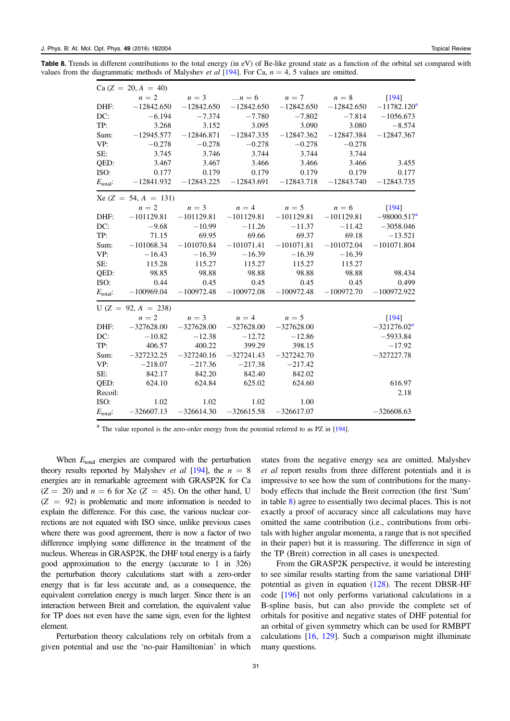<span id="page-31-0"></span>Table 8. Trends in different contributions to the total energy (in eV) of Be-like ground state as a function of the orbital set compared with values from the diagrammatic methods of Malyshev *et al* [[194](#page-34-68)]. For Ca,  $n = 4$ , 5 values are omitted.

|                      | $Ca (Z = 20, A = 40)$  |              |              |              |              |                           |
|----------------------|------------------------|--------------|--------------|--------------|--------------|---------------------------|
|                      | $n=2$                  | $n=3$        | $n = 6$      | $n=7$ $n=8$  |              | [194]                     |
| DHF:                 | $-12842.650$           | $-12842.650$ | $-12842.650$ | $-12842.650$ | $-12842.650$ | $-11782.120^3$            |
| DC:                  | $-6.194$               | $-7.374$     | $-7.780$     | $-7.802$     | $-7.814$     | $-1056.673$               |
| TP:                  | 3.268                  | 3.152        | 3.095        | 3.090        | 3.080        | $-8.574$                  |
| Sum:                 | $-12945.577$           | $-12846.871$ | $-12847.335$ | $-12847.362$ | $-12847.384$ | $-12847.367$              |
| VP:                  | $-0.278$               | $-0.278$     | $-0.278$     | $-0.278$     | $-0.278$     |                           |
| SE:                  | 3.745                  | 3.746        | 3.744        | 3.744        | 3.744        |                           |
| QED:                 | 3.467                  | 3.467        | 3.466        | 3.466        | 3.466        | 3.455                     |
| ISO:                 | 0.177                  | 0.179        | 0.179        | 0.179        | 0.179        | 0.177                     |
| $E_{\text{total}}$ : | $-12841.932$           | $-12843.225$ | $-12843.691$ | $-12843.718$ | $-12843.740$ | $-12843.735$              |
|                      | $Xe (Z = 54, A = 131)$ |              |              |              |              |                           |
|                      | $n=2$                  | $n=3$ $n=4$  |              | $n=5$        | $n=6$        | $\lceil 194 \rceil$       |
| DHF:                 | $-101129.81$           | $-101129.81$ | $-101129.81$ | $-101129.81$ | $-101129.81$ | $-98000.517$ <sup>a</sup> |
| DC:                  | $-9.68$                | $-10.99$     | $-11.26$     | $-11.37$     | $-11.42$     | $-3058.046$               |
| TP:                  | 71.15                  | 69.95        | 69.66        | 69.37        | 69.18        | $-13.521$                 |
| Sum:                 | $-101068.34$           | $-101070.84$ | $-101071.41$ | $-101071.81$ | $-101072.04$ | $-101071.804$             |
| VP:                  | $-16.43$               | $-16.39$     | $-16.39$     | $-16.39$     | $-16.39$     |                           |
| SE:                  | 115.28                 | 115.27       | 115.27       | 115.27       | 115.27       |                           |
| QED:                 | 98.85                  | 98.88        | 98.88        | 98.88        | 98.88        | 98.434                    |
| ISO:                 | 0.44                   | 0.45         | 0.45         | 0.45         | 0.45         | 0.499                     |
| $E_{\text{total}}$ : | $-100969.04$           | $-100972.48$ | $-100972.08$ | $-100972.48$ | $-100972.70$ | $-100972.922$             |
|                      | $U (Z = 92, A = 238)$  |              |              |              |              |                           |
|                      | $n=2$                  | $n=3$        | $n=4$        | $n=5$        |              | $\lceil 194 \rceil$       |
| DHF:                 | $-327628.00$           | $-327628.00$ | $-327628.00$ | $-327628.00$ |              | $-321276.02^{\text{a}}$   |
| DC:                  | $-10.82$               | $-12.38$     | $-12.72$     | $-12.86$     |              | $-5933.84$                |
| TP:                  | 406.57                 | 400.22       | 399.29       | 398.15       |              | $-17.92$                  |
| Sum:                 | $-327232.25$           | $-327240.16$ | $-327241.43$ | $-327242.70$ |              | $-327227.78$              |
| VP:                  | $-218.07$              | $-217.36$    | $-217.38$    | $-217.42$    |              |                           |
| SE:                  | 842.17                 | 842.20       | 842.40       | 842.02       |              |                           |
| QED:                 | 624.10                 | 624.84       | 625.02       | 624.60       |              | 616.97                    |
| Recoil:              |                        |              |              |              |              | 2.18                      |
| ISO:                 | 1.02                   | 1.02         | 1.02         | 1.00         |              |                           |
| $E_{\text{total}}$ : | $-326607.13$           | $-326614.30$ | $-326615.58$ | $-326617.07$ |              | $-326608.63$              |

<sup>a</sup> The value reported is the zero-order energy from the potential referred to as PZ in [[194](#page-34-68)].

When  $E_{total}$  energies are compared with the perturbation theory results reported by Malyshev *et al* [[194](#page-34-68)], the  $n = 8$ energies are in remarkable agreement with GRASP2K for Ca  $(Z = 20)$  and  $n = 6$  for Xe  $(Z = 45)$ . On the other hand, U  $(Z = 92)$  is problematic and more information is needed to explain the difference. For this case, the various nuclear corrections are not equated with ISO since, unlike previous cases where there was good agreement, there is now a factor of two difference implying some difference in the treatment of the nucleus. Whereas in GRASP2K, the DHF total energy is a fairly good approximation to the energy (accurate to 1 in 326) the perturbation theory calculations start with a zero-order energy that is far less accurate and, as a consequence, the equivalent correlation energy is much larger. Since there is an interaction between Breit and correlation, the equivalent value for TP does not even have the same sign, even for the lightest element.

Perturbation theory calculations rely on orbitals from a given potential and use the 'no-pair Hamiltonian' in which states from the negative energy sea are omitted. Malyshev et al report results from three different potentials and it is impressive to see how the sum of contributions for the manybody effects that include the Breit correction (the first 'Sum' in table [8](#page-31-0)) agree to essentially two decimal places. This is not exactly a proof of accuracy since all calculations may have omitted the same contribution (i.e., contributions from orbitals with higher angular momenta, a range that is not specified in their paper) but it is reassuring. The difference in sign of the TP (Breit) correction in all cases is unexpected.

From the GRASP2K perspective, it would be interesting to see similar results starting from the same variational DHF potential as given in equation ([128](#page-21-1)). The recent DBSR-HF code [[196](#page-34-69)] not only performs variational calculations in a B-spline basis, but can also provide the complete set of orbitals for positive and negative states of DHF potential for an orbital of given symmetry which can be used for RMBPT calculations [[16](#page-32-14), [129](#page-34-7)]. Such a comparison might illuminate many questions.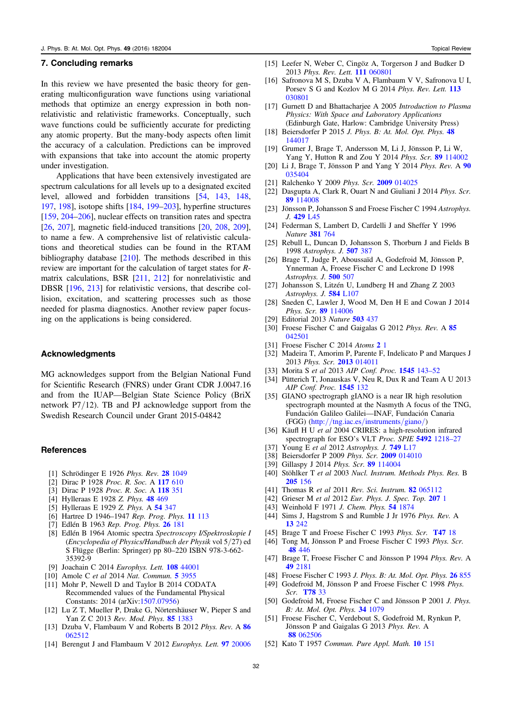# 7. Concluding remarks

In this review we have presented the basic theory for generating multiconfiguration wave functions using variational methods that optimize an energy expression in both nonrelativistic and relativistic frameworks. Conceptually, such wave functions could be sufficiently accurate for predicting any atomic property. But the many-body aspects often limit the accuracy of a calculation. Predictions can be improved with expansions that take into account the atomic property under investigation.

Applications that have been extensively investigated are spectrum calculations for all levels up to a designated excited level, allowed and forbidden transitions [[54,](#page-33-1) [143](#page-34-19), [148](#page-34-22), [197,](#page-35-0) [198](#page-35-1)], isotope shifts [[184,](#page-34-57) [199](#page-35-2)–[203](#page-35-3)], hyperfine structures [[159,](#page-34-33) [204](#page-35-4)–[206](#page-35-5)], nuclear effects on transition rates and spectra [[26](#page-32-45), [207](#page-35-6)], magnetic field-induced transitions [[20,](#page-32-18) [208](#page-35-7), [209](#page-35-8)], to name a few. A comprehensive list of relativistic calculations and theoretical studies can be found in the RTAM bibliography database [[210](#page-35-9)]. The methods described in this review are important for the calculation of target states for Rmatrix calculations, BSR [[211,](#page-35-10) [212](#page-35-11)] for nonrelativistic and DBSR [[196,](#page-34-69) [213](#page-35-12)] for relativistic versions, that describe collision, excitation, and scattering processes such as those needed for plasma diagnostics. Another review paper focusing on the applications is being considered.

#### Acknowledgments

MG acknowledges support from the Belgian National Fund for Scientific Research (FNRS) under Grant CDR J.0047.16 and from the IUAP—Belgian State Science Policy (BriX network P7/12). TB and PJ acknowledge support from the Swedish Research Council under Grant 2015-04842

#### References

- <span id="page-32-0"></span>[1] Schrödinger E 1926 Phys. Rev. 28 [1049](http://dx.doi.org/10.1103/PhysRev.28.1049)
- <span id="page-32-1"></span>[2] Dirac P 1928 Proc. R. Soc. A 117 [610](http://dx.doi.org/10.1098/rspa.1928.0023)
- <span id="page-32-2"></span>[3] Dirac P 1928 Proc. R. Soc. A 118 [351](http://dx.doi.org/10.1098/rspa.1928.0056)
- <span id="page-32-3"></span>[4] Hylleraas E 1928 Z. Phys. **48** [469](http://dx.doi.org/10.1007/BF01340013)
- [5] Hylleraas E 1929 Z. Phys. A 54 [347](http://dx.doi.org/10.1007/bf01375457)
- <span id="page-32-4"></span>[6] Hartree D 1946–1947 Rep. Prog. Phys. 11 [113](http://dx.doi.org/10.1088/0034-4885/11/1/305)
- <span id="page-32-6"></span><span id="page-32-5"></span>[7] Edlén B 1963 Rep. Prog. Phys. 26 [181](http://dx.doi.org/10.1088/0034-4885/26/1/306)
- [8] Edlén B 1964 Atomic spectra Spectroscopy I/Spektroskopie I (Encyclopedia of Physics/Handbuch der Physik vol 5/27) ed S Flügge (Berlin: Springer) pp 80–220 ISBN 978-3-662- 35392-9
- <span id="page-32-7"></span>[9] Joachain C 2014 Europhys. Lett. **108** [44001](http://dx.doi.org/10.1209/0295-5075/108/44001)
- <span id="page-32-8"></span>[10] Amole C et al 2014 Nat. Commun. 5 [3955](http://dx.doi.org/10.1038/ncomms4955)
- <span id="page-32-9"></span>[11] Mohr P, Newell D and Taylor B 2014 CODATA Recommended values of the Fundamental Physical Constants: 2014 (arXiv:[1507.07956](http://arxiv.org/abs/1507.07956))
- <span id="page-32-10"></span>[12] Lu Z T, Mueller P, Drake G, Nörtershäuser W, Pieper S and Yan Z C 2013 Rev. Mod. Phys. 85 [1383](http://dx.doi.org/10.1103/RevModPhys.85.1383)
- <span id="page-32-11"></span>[13] Dzuba V, Flambaum V and Roberts B 2012 Phys. Rev. A [86](http://dx.doi.org/10.1103/PhysRevA.86.062512) [062512](http://dx.doi.org/10.1103/PhysRevA.86.062512)
- <span id="page-32-12"></span>[14] Berengut J and Flambaum V 2012 Europhys. Lett. 97 [20006](http://dx.doi.org/10.1209/0295-5075/97/20006)
- <span id="page-32-13"></span>[15] Leefer N, Weber C, Cingöz A, Torgerson J and Budker D 2013 Phys. Rev. Lett. 111 [060801](http://dx.doi.org/10.1103/PhysRevLett.111.060801)
- <span id="page-32-14"></span>[16] Safronova M S, Dzuba V A, Flambaum V V, Safronova U I, Porsev S G and Kozlov M G 2014 Phys. Rev. Lett. [113](http://dx.doi.org/10.1103/PhysRevLett.113.030801) [030801](http://dx.doi.org/10.1103/PhysRevLett.113.030801)
- <span id="page-32-15"></span>[17] Gurnett D and Bhattacharjee A 2005 Introduction to Plasma Physics: With Space and Laboratory Applications (Edinburgh Gate, Harlow: Cambridge University Press)
- <span id="page-32-16"></span>[18] Beiersdorfer P 2015 J. Phys. B: At. Mol. Opt. Phys. [48](http://dx.doi.org/10.1088/0953-4075/48/14/144017) [144017](http://dx.doi.org/10.1088/0953-4075/48/14/144017)
- <span id="page-32-17"></span>[19] Grumer J, Brage T, Andersson M, Li J, Jönsson P, Li W, Yang Y, Hutton R and Zou Y 2014 Phys. Scr. 89 [114002](http://dx.doi.org/10.1088/0031-8949/89/11/114002)
- <span id="page-32-18"></span>[20] Li J, Brage T, Jönsson P and Yang Y 2014 Phys. Rev. A  $90$ [035404](http://dx.doi.org/10.1103/PhysRevA.90.035404)
- <span id="page-32-19"></span>[21] Ralchenko Y 2009 Phys. Scr. 2009 [014025](http://dx.doi.org/10.1088/0031-8949/2009/T134/014025)
- <span id="page-32-20"></span>[22] Dasgupta A, Clark R, Ouart N and Giuliani J 2014 Phys. Scr. 89 [114008](http://dx.doi.org/10.1088/0031-8949/89/11/114008)
- <span id="page-32-21"></span>[23] Jönsson P, Johansson S and Froese Fischer C 1994 Astrophys. J. 429 [L45](http://dx.doi.org/10.1086/187409)
- [24] Federman S, Lambert D, Cardelli J and Sheffer Y 1996 Nature 381 [764](http://dx.doi.org/10.1038/381764a0)
- [25] Rebull L, Duncan D, Johansson S, Thorburn J and Fields B 1998 Astrophys. J. 507 [387](http://dx.doi.org/10.1086/306315)
- <span id="page-32-45"></span>[26] Brage T, Judge P, Aboussaïd A, Godefroid M, Jönsson P, Ynnerman A, Froese Fischer C and Leckrone D 1998 Astrophys. J. 500 [507](http://dx.doi.org/10.1086/305690)
- [27] Johansson S, Litzén U, Lundberg H and Zhang Z 2003 Astrophys. J. 584 [L107](http://dx.doi.org/10.1086/374037)
- <span id="page-32-22"></span>[28] Sneden C, Lawler J, Wood M, Den H E and Cowan J 2014 Phys. Scr. 89 [114006](http://dx.doi.org/10.1088/0031-8949/89/11/114006)
- <span id="page-32-23"></span>[29] Editorial 2013 Nature [503](http://dx.doi.org/10.1038/503437a) 437
- <span id="page-32-24"></span>[30] Froese Fischer C and Gaigalas G 2012 Phys. Rev. A [85](http://dx.doi.org/10.1103/PhysRevA.85.042501) [042501](http://dx.doi.org/10.1103/PhysRevA.85.042501)
- <span id="page-32-25"></span>[3[1](http://dx.doi.org/10.3390/atoms2010001)] Froese Fischer C 2014 Atoms 2 1
- <span id="page-32-26"></span>[32] Madeira T, Amorim P, Parente F, Indelicato P and Marques J 2013 Phys. Scr. 2013 [014011](http://dx.doi.org/10.1088/0031-8949/2013/T156/014011)
- [33] Morita S et al 2013 AIP Conf. Proc. [1545](http://dx.doi.org/10.1063/1.4815848) 143-52
- <span id="page-32-27"></span>[34] Pütterich T, Jonauskas V, Neu R, Dux R and Team A U 2013 AIP Conf. Proc. [1545](http://dx.doi.org/10.1063/1.4815847) 132
- <span id="page-32-28"></span>[35] GIANO spectrograph gIANO is a near IR high resolution spectrograph mounted at the Nasmyth A focus of the TNG, Fundación Galileo Galilei—INAF, Fundación Canaria (FGG) (http://tng.iac.es/[instruments](http://tng.iac.es/instruments/giano/)/giano/)
- <span id="page-32-29"></span>[36] Käufl H U et al 2004 CRIRES: a high-resolution infrared spectrograph for ESO's VLT Proc. SPIE 5492 [1218](http://dx.doi.org/10.1117/12.551480)-27
- <span id="page-32-30"></span>[37] Young E et al 2012 Astrophys. J. 749 [L17](http://dx.doi.org/10.1088/2041-8205/749/2/L17)
- <span id="page-32-31"></span>[38] Beiersdorfer P 2009 Phys. Scr. 2009 [014010](http://dx.doi.org/10.1088/0031-8949/2009/T134/014010)
- <span id="page-32-32"></span>[39] Gillaspy J 2014 Phys. Scr. 89 [114004](http://dx.doi.org/10.1088/0031-8949/89/11/114004)
- <span id="page-32-33"></span>[40] Stöhlker T et al 2003 Nucl. Instrum. Methods Phys. Res. B 205 [156](http://dx.doi.org/10.1016/S0168-583X(03)00537-8)
- [41] Thomas R et al 2011 Rev. Sci. Instrum. 82 [065112](http://dx.doi.org/10.1063/1.3602928)
- <span id="page-32-34"></span>[42] Grieser M et al 2012 Eur. Phys. J. Spec. Top. [207](http://dx.doi.org/10.1140/epjst/e2012-01599-9) 1
- <span id="page-32-35"></span>[43] Weinhold F 1971 *J. Chem. Phys.* **54** [1874](http://dx.doi.org/10.1063/1.1675110)
- <span id="page-32-36"></span>[44] Sims J, Hagstrom S and Rumble J Jr 1976 Phys. Rev. A 13 [242](http://dx.doi.org/10.1103/PhysRevA.13.242)
- <span id="page-32-37"></span>[45] Brage T and Froese Fischer C 1993 Phys. Scr. [T47](http://dx.doi.org/10.1088/0031-8949/1993/T47/002) 18
- <span id="page-32-43"></span>[46] Tong M, Jönsson P and Froese Fischer C 1993 Phys. Scr. 48 [446](http://dx.doi.org/10.1088/0031-8949/48/4/009)
- <span id="page-32-38"></span>[47] Brage T, Froese Fischer C and Jönsson P 1994 Phys. Rev. A 49 [2181](http://dx.doi.org/10.1103/PhysRevA.49.2181)
- <span id="page-32-39"></span>[48] Froese Fischer C 1993 J. Phys. B: At. Mol. Opt. Phys. 26 [855](http://dx.doi.org/10.1088/0953-4075/26/5/009)
- <span id="page-32-42"></span>[49] Godefroid M, Jönsson P and Froese Fischer C 1998 Phys. Scr. [T78](http://dx.doi.org/10.1238/Physica.Topical.078a00033) 33
- <span id="page-32-44"></span>[50] Godefroid M, Froese Fischer C and Jönsson P 2001 J. Phys. B: At. Mol. Opt. Phys. 34 [1079](http://dx.doi.org/10.1088/0953-4075/34/6/308)
- <span id="page-32-40"></span>[51] Froese Fischer C, Verdebout S, Godefroid M, Rynkun P, Jönsson P and Gaigalas G 2013 Phys. Rev. A 88 [062506](http://dx.doi.org/10.1103/PhysRevA.88.062506)
- <span id="page-32-41"></span>[52] Kato T 1957 Commun. Pure Appl. Math. **10** [151](http://dx.doi.org/10.1002/cpa.3160100201)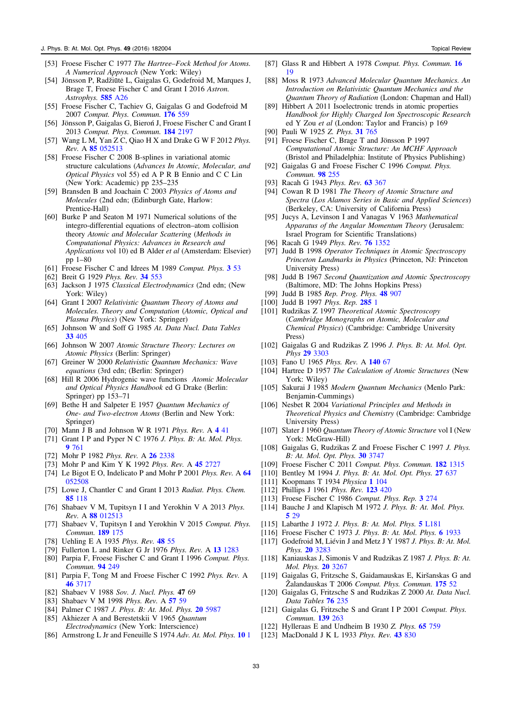- <span id="page-33-0"></span>[53] Froese Fischer C 1977 The Hartree–Fock Method for Atoms. A Numerical Approach (New York: Wiley)
- <span id="page-33-1"></span>[54] Jönsson P, Radžiūtė L, Gaigalas G, Godefroid M, Marques J, Brage T, Froese Fischer C and Grant I 2016 Astron. Astrophys. 585 [A26](http://dx.doi.org/10.1051/0004-6361/201527106)
- <span id="page-33-2"></span>[55] Froese Fischer C, Tachiev G, Gaigalas G and Godefroid M 2007 Comput. Phys. Commun. 176 [559](http://dx.doi.org/10.1016/j.cpc.2007.01.006)
- <span id="page-33-3"></span>[56] Jönsson P, Gaigalas G, Bieroń J, Froese Fischer C and Grant I 2013 Comput. Phys. Commun. 184 [2197](http://dx.doi.org/10.1016/j.cpc.2013.02.016)
- <span id="page-33-4"></span>[57] Wang L M, Yan Z C, Qiao H X and Drake G W F 2012 Phys. Rev. A 85 [052513](http://dx.doi.org/10.1103/PhysRevA.85.052513)
- <span id="page-33-5"></span>[58] Froese Fischer C 2008 B-splines in variational atomic structure calculations (Advances In Atomic, Molecular, and Optical Physics vol 55) ed A P R B Ennio and C C Lin (New York: Academic) pp 235–235
- <span id="page-33-6"></span>[59] Bransden B and Joachain C 2003 Physics of Atoms and Molecules (2nd edn; (Edinburgh Gate, Harlow: Prentice-Hall)
- <span id="page-33-7"></span>[60] Burke P and Seaton M 1971 Numerical solutions of the integro-differential equations of electron–atom collision theory Atomic and Molecular Scattering (Methods in Computational Physics: Advances in Research and Applications vol 10) ed B Alder et al (Amsterdam: Elsevier) pp 1–80
- <span id="page-33-8"></span>[61] Froese Fischer C and Idrees M 1989 Comput. Phys. 3 [53](http://dx.doi.org/10.1063/1.168325)
- <span id="page-33-9"></span>[62] Breit G 1929 Phys. Rev. **34 [553](http://dx.doi.org/10.1103/PhysRev.34.553)**
- <span id="page-33-10"></span>[63] Jackson J 1975 Classical Electrodynamics (2nd edn; (New York: Wiley)
- <span id="page-33-11"></span>[64] Grant I 2007 Relativistic Quantum Theory of Atoms and Molecules. Theory and Computation (Atomic, Optical and Plasma Physics) (New York: Springer)
- <span id="page-33-12"></span>[65] Johnson W and Soff G 1985 At. Data Nucl. Data Tables 33 [405](http://dx.doi.org/10.1016/0092-640X(85)90010-5)
- <span id="page-33-13"></span>[66] Johnson W 2007 Atomic Structure Theory: Lectures on Atomic Physics (Berlin: Springer)
- <span id="page-33-14"></span>[67] Greiner W 2000 Relativistic Quantum Mechanics: Wave equations (3rd edn; (Berlin: Springer)
- <span id="page-33-15"></span>[68] Hill R 2006 Hydrogenic wave functions Atomic Molecular and Optical Physics Handbook ed G Drake (Berlin: Springer) pp 153–71
- <span id="page-33-16"></span>[69] Bethe H and Salpeter E 1957 Quantum Mechanics of One- and Two-electron Atoms (Berlin and New York: Springer)
- [70] Mann J B and Johnson W R 1971 Phys. Rev. A  $4\,41$  $4\,41$
- <span id="page-33-17"></span>[71] Grant I P and Pyper N C 1976 J. Phys. B: At. Mol. Phys. 9 [761](http://dx.doi.org/10.1088/0022-3700/9/5/019)
- <span id="page-33-18"></span>[72] Mohr P 1982 Phys. Rev. A 26 [2338](http://dx.doi.org/10.1103/PhysRevA.26.2338)
- [73] Mohr P and Kim Y K 1992 Phys. Rev. A 45 [2727](http://dx.doi.org/10.1103/PhysRevA.45.2727)
- <span id="page-33-19"></span>[74] Le Bigot E O, Indelicato P and Mohr P 2001 Phys. Rev. A [64](http://dx.doi.org/10.1103/PhysRevA.64.052508) [052508](http://dx.doi.org/10.1103/PhysRevA.64.052508)
- <span id="page-33-20"></span>[75] Lowe J, Chantler C and Grant I 2013 Radiat. Phys. Chem. 85 [118](http://dx.doi.org/10.1016/j.radphyschem.2013.01.004)
- <span id="page-33-21"></span>[76] Shabaev V M, Tupitsyn I I and Yerokhin V A 2013 Phys. Rev. A 88 [012513](http://dx.doi.org/10.1103/PhysRevA.88.012513)
- <span id="page-33-22"></span>[77] Shabaev V, Tupitsyn I and Yerokhin V 2015 Comput. Phys. Commun. [189](http://dx.doi.org/10.1016/j.cpc.2014.12.002) 17
- <span id="page-33-23"></span>[78] Uehling E A 1935 *Phys. Rev.* [48](http://dx.doi.org/10.1103/PhysRev.48.55) 55
- <span id="page-33-24"></span>[79] Fullerton L and Rinker G Jr 1976 Phys. Rev. A 13 [1283](http://dx.doi.org/10.1103/PhysRevA.13.1283)
- <span id="page-33-25"></span>[80] Parpia F, Froese Fischer C and Grant I 1996 Comput. Phys. Commun. 94 [249](http://dx.doi.org/10.1016/0010-4655(95)00136-0)
- <span id="page-33-26"></span>[81] Parpia F, Tong M and Froese Fischer C 1992 Phys. Rev. A 46 [3717](http://dx.doi.org/10.1103/PhysRevA.46.3717)
- <span id="page-33-27"></span>[82] Shabaev V 1988 Sov. J. Nucl. Phys. 47 69
- <span id="page-33-28"></span>[83] Shabaev V M 1998 Phys. Rev. A 57 [59](http://dx.doi.org/10.1103/PhysRevA.57.59)
- <span id="page-33-29"></span>[84] Palmer C 1987 J. Phys. B: At. Mol. Phys. 20 [5987](http://dx.doi.org/10.1088/0022-3700/20/22/011)
- <span id="page-33-30"></span>[85] Akhiezer A and Berestetskii V 1965 Quantum
- Electrodynamics (New York: Interscience)
- <span id="page-33-31"></span>[86] Armstrong L Jr and Feneuille S 1974 Adv. At. Mol. Phys. [10](http://dx.doi.org/10.1016/S0065-2199(08)60346-2) 1
- <span id="page-33-32"></span>[87] Glass R and Hibbert A 1978 Comput. Phys. Commun. [16](http://dx.doi.org/10.1016/0010-4655(78)90105-4) [19](http://dx.doi.org/10.1016/0010-4655(78)90105-4)
- <span id="page-33-33"></span>[88] Moss R 1973 Advanced Molecular Quantum Mechanics. An Introduction on Relativistic Quantum Mechanics and the Quantum Theory of Radiation (London: Chapman and Hall)
- <span id="page-33-34"></span>[89] Hibbert A 2011 Isoelectronic trends in atomic properties Handbook for Highly Charged Ion Spectroscopic Research ed Y Zou et al (London: Taylor and Francis) p 169
- <span id="page-33-35"></span>[90] Pauli W 1925 Z. Phys. 31 [765](http://dx.doi.org/10.1007/BF02980631)
- <span id="page-33-53"></span>[91] Froese Fischer C, Brage T and Jönsson P 1997 Computational Atomic Structure: An MCHF Approach (Bristol and Philadelphia: Institute of Physics Publishing)
- <span id="page-33-36"></span>[92] Gaigalas G and Froese Fischer C 1996 Comput. Phys. Commun. 98 [255](http://dx.doi.org/10.1016/0010-4655(96)00092-6)
- <span id="page-33-37"></span>[93] Racah G 1943 Phys. Rev. 63 [367](http://dx.doi.org/10.1103/PhysRev.63.367)
- <span id="page-33-38"></span>[94] Cowan R D 1981 The Theory of Atomic Structure and Spectra (Los Alamos Series in Basic and Applied Sciences) (Berkeley, CA: University of California Press)
- <span id="page-33-39"></span>[95] Jucys A, Levinson I and Vanagas V 1963 Mathematical Apparatus of the Angular Momentum Theory (Jerusalem: Israel Program for Scientific Translations)
- <span id="page-33-40"></span>[96] Racah G 1949 Phys. Rev. **76** [1352](http://dx.doi.org/10.1103/PhysRev.76.1352)
- <span id="page-33-41"></span>[97] Judd B 1998 Operator Techniques in Atomic Spectroscopy Princeton Landmarks in Physics (Princeton, NJ: Princeton University Press)
- <span id="page-33-42"></span>[98] Judd B 1967 Second Quantization and Atomic Spectroscopy (Baltimore, MD: The Johns Hopkins Press)
- [99] Judd B 1985 Rep. Prog. Phys. 48 [907](http://dx.doi.org/10.1088/0034-4885/48/7/001)
- [100] Judd B 1997 Phys. Rep. [285](http://dx.doi.org/10.1016/S0370-1573(96)00039-7) 1
- <span id="page-33-43"></span>[101] Rudzikas Z 1997 Theoretical Atomic Spectroscopy (Cambridge Monographs on Atomic, Molecular and Chemical Physics) (Cambridge: Cambridge University Press)
- <span id="page-33-44"></span>[102] Gaigalas G and Rudzikas Z 1996 J. Phys. B: At. Mol. Opt. Phys 29 [3303](http://dx.doi.org/10.1088/0953-4075/29/15/007)
- <span id="page-33-45"></span>[103] Fano U 1965 Phys. Rev. A [140](http://dx.doi.org/10.1103/PhysRev.140.A67) 67
- <span id="page-33-46"></span>[104] Hartree D 1957 The Calculation of Atomic Structures (New York: Wiley)
- <span id="page-33-47"></span>[105] Sakurai J 1985 Modern Quantum Mechanics (Menlo Park: Benjamin-Cummings)
- <span id="page-33-48"></span>[106] Nesbet R 2004 Variational Principles and Methods in Theoretical Physics and Chemistry (Cambridge: Cambridge University Press)
- <span id="page-33-49"></span>[107] Slater J 1960 Quantum Theory of Atomic Structure vol I (New York: McGraw-Hill)
- <span id="page-33-50"></span>[108] Gaigalas G, Rudzikas Z and Froese Fischer C 1997 J. Phys. B: At. Mol. Opt. Phys. 30 [3747](http://dx.doi.org/10.1088/0953-4075/30/17/006)
- <span id="page-33-51"></span>[109] Froese Fischer C 2011 Comput. Phys. Commun. **182** [1315](http://dx.doi.org/10.1016/j.cpc.2011.01.012)
- <span id="page-33-52"></span>[110] Bentley M 1994 J. Phys. B: At. Mol. Opt. Phys. 27 [637](http://dx.doi.org/10.1088/0953-4075/27/4/005)
- <span id="page-33-54"></span>[111] Koopmans T 1934 Physica 1 [104](http://dx.doi.org/10.1016/S0031-8914(34)90011-2)
- <span id="page-33-55"></span>[112] Phillips J 1961 Phys. Rev. **123** [420](http://dx.doi.org/10.1103/PhysRev.123.420)
- <span id="page-33-56"></span>[113] Froese Fischer C 1986 Comput. Phys. Rep. 3 [274](http://dx.doi.org/10.1016/0167-7977(86)90001-8)
- <span id="page-33-57"></span>[114] Bauche J and Klapisch M 1972 J. Phys. B: At. Mol. Phys. 5 [29](http://dx.doi.org/10.1088/0022-3700/5/1/012)
- <span id="page-33-58"></span>[115] Labarthe J 1972 J. Phys. B: At. Mol. Phys. 5 [L181](http://dx.doi.org/10.1088/0022-3700/5/9/003)
- <span id="page-33-59"></span>[116] Froese Fischer C 1973 J. Phys. B: At. Mol. Phys. 6 [1933](http://dx.doi.org/10.1088/0022-3700/6/10/009)
- <span id="page-33-60"></span>[117] Godefroid M, Liévin J and Metz J Y 1987 J. Phys. B: At. Mol. Phys. 20 [3283](http://dx.doi.org/10.1088/0022-3700/20/14/004)
- <span id="page-33-61"></span>[118] Kaniauskas J, Simonis V and Rudzikas Z 1987 J. Phys. B: At. Mol. Phys. 20 [3267](http://dx.doi.org/10.1088/0022-3700/20/14/003)
- <span id="page-33-62"></span>[119] Gaigalas G, Fritzsche S, Gaidamauskas E, Kiršanskas G and Žalandauskas T 2006 Comput. Phys. Commun. [175](http://dx.doi.org/10.1016/j.cpc.2006.02.008) 52
- <span id="page-33-63"></span>[120] Gaigalas G, Fritzsche S and Rudzikas Z 2000 At. Data Nucl. Data Tables **76** [235](http://dx.doi.org/10.1006/adnd.2000.0844)
- <span id="page-33-64"></span>[121] Gaigalas G, Fritzsche S and Grant I P 2001 Comput. Phys. Commun. 139 [263](http://dx.doi.org/10.1016/S0010-4655(01)00213-2)
- <span id="page-33-65"></span>[122] Hylleraas E and Undheim B 1930 Z. Phys. 65 [759](http://dx.doi.org/10.1007/BF01397263)
- <span id="page-33-66"></span>[123] MacDonald J K L 1933 Phys. Rev. 43 [830](http://dx.doi.org/10.1103/PhysRev.43.830)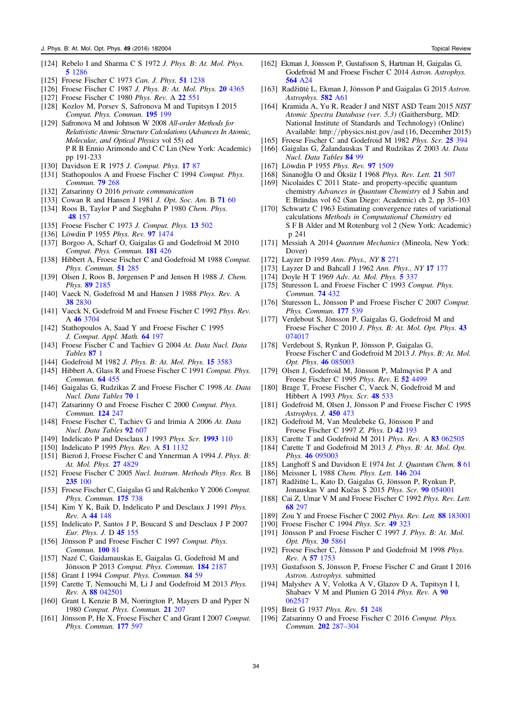- <span id="page-34-0"></span>[124] Rebelo I and Sharma C S 1972 J. Phys. B: At. Mol. Phys. 5 [1286](http://dx.doi.org/10.1088/0022-3700/5/7/005)
- <span id="page-34-1"></span>[125] Froese Fischer C 1973 Can. J. Phys. **51** [1238](http://dx.doi.org/10.1139/p73-161)
- <span id="page-34-2"></span>[126] Froese Fischer C 1987 J. Phys. B: At. Mol. Phys. 20 [4365](http://dx.doi.org/10.1088/0022-3700/20/17/016)
- <span id="page-34-3"></span>[127] Froese Fischer C 1980 Phys. Rev. A 22 [551](http://dx.doi.org/10.1103/PhysRevA.22.551)
- <span id="page-34-6"></span>[128] Kozlov M, Porsev S, Safronova M and Tupitsyn I 2015 Comput. Phys. Commun. [195](http://dx.doi.org/10.1016/j.cpc.2015.05.007) 199
- <span id="page-34-7"></span>[129] Safronova M and Johnson W 2008 All-order Methods for Relativistic Atomic Structure Calculations (Advances In Atomic, Molecular, and Optical Physics vol 55) ed P R B Ennio Arimondo and C C Lin (New York: Academic) pp 191-233
- <span id="page-34-4"></span>[130] Davidson E R 1975 J. Comput. Phys. 17 [87](http://dx.doi.org/10.1016/0021-9991(75)90065-0)
- <span id="page-34-5"></span>[131] Stathopoulos A and Froese Fischer C 1994 Comput. Phys. Commun. 79 [268](http://dx.doi.org/10.1016/0010-4655(94)90073-6)
- <span id="page-34-8"></span>[132] Zatsarinny O 2016 private communication
- <span id="page-34-9"></span>[133] Cowan R and Hansen J 1981 J. Opt. Soc. Am. B 71 [60](http://dx.doi.org/10.1364/JOSA.71.000060)
- <span id="page-34-10"></span>[134] Roos B, Taylor P and Siegbahn P 1980 Chem. Phys. 48 [157](http://dx.doi.org/10.1016/0301-0104(80)80045-0)
- <span id="page-34-11"></span>[135] Froese Fischer C 1973 J. Comput. Phys. **13** [502](http://dx.doi.org/10.1016/0021-9991(73)90030-2)
- <span id="page-34-12"></span>[136] Löwdin P 1955 Phys. Rev. 97 [1474](http://dx.doi.org/10.1103/PhysRev.97.1474)
- <span id="page-34-13"></span>[137] Borgoo A, Scharf O, Gaigalas G and Godefroid M 2010 Comput. Phys. Commun. 181 [426](http://dx.doi.org/10.1016/j.cpc.2009.10.014)
- <span id="page-34-14"></span>[138] Hibbert A, Froese Fischer C and Godefroid M 1988 Comput. Phys. Commun. 51 [285](http://dx.doi.org/10.1016/0010-4655(88)90141-5)
- <span id="page-34-15"></span>[139] Olsen J, Roos B, Jørgensen P and Jensen H 1988 J. Chem. Phys. 89 [2185](http://dx.doi.org/10.1063/1.455063)
- <span id="page-34-16"></span>[140] Vaeck N, Godefroid M and Hansen J 1988 Phys. Rev. A 38 [2830](http://dx.doi.org/10.1103/PhysRevA.38.2830)
- <span id="page-34-17"></span>[141] Vaeck N, Godefroid M and Froese Fischer C 1992 Phys. Rev. A 46 [3704](http://dx.doi.org/10.1103/PhysRevA.46.3704)
- <span id="page-34-18"></span>[142] Stathopoulos A, Saad Y and Froese Fischer C 1995 J. Comput. Appl. Math. 64 [197](http://dx.doi.org/10.1016/0377-0427(95)00141-7)
- <span id="page-34-19"></span>[143] Froese Fischer C and Tachiev G 2004 At. Data Nucl. Data Tables [87](http://dx.doi.org/10.1016/j.adt.2004.02.001) 1
- <span id="page-34-20"></span>[144] Godefroid M 1982 J. Phys. B: At. Mol. Phys. 15 [3583](http://dx.doi.org/10.1088/0022-3700/15/20/008)
- [145] Hibbert A, Glass R and Froese Fischer C 1991 Comput. Phys. Commun. 64 [455](http://dx.doi.org/10.1016/0010-4655(91)90138-B)
- [146] Gaigalas G, Rudzikas Z and Froese Fischer C 1998 At. Data Nucl. Data Tables [70](http://dx.doi.org/10.1006/adnd.1998.0782) 1
- <span id="page-34-21"></span>[147] Zatsarinny O and Froese Fischer C 2000 Comput. Phys. Commun. 124 [247](http://dx.doi.org/10.1016/S0010-4655(99)00441-5)
- <span id="page-34-22"></span>[148] Froese Fischer C, Tachiev G and Irimia A 2006 At. Data Nucl. Data Tables 92 [607](http://dx.doi.org/10.1016/j.adt.2006.03.001)
- <span id="page-34-23"></span>[149] Indelicato P and Desclaux J [1993](http://dx.doi.org/10.1088/0031-8949/1993/T46/015) Phys. Scr. 1993 110
- <span id="page-34-24"></span>[150] Indelicato P 1995 Phys. Rev. A 51 [1132](http://dx.doi.org/10.1103/PhysRevA.51.1132)
- <span id="page-34-25"></span>[151] Bieroń J, Froese Fischer C and Ynnerman A 1994 J. Phys. B: At. Mol. Phys. 27 [4829](http://dx.doi.org/10.1088/0953-4075/27/20/004)
- <span id="page-34-26"></span>[152] Froese Fischer C 2005 Nucl. Instrum. Methods Phys. Res. B 235 [100](http://dx.doi.org/10.1016/j.nimb.2005.03.153)
- <span id="page-34-27"></span>[153] Froese Fischer C, Gaigalas G and Ralchenko Y 2006 Comput. Phys. Commun. 175 [738](http://dx.doi.org/10.1016/j.cpc.2006.07.023)
- <span id="page-34-28"></span>[154] Kim Y K, Baik D, Indelicato P and Desclaux J 1991 Phys. Rev. A 44 [148](http://dx.doi.org/10.1103/PhysRevA.44.148)
- <span id="page-34-29"></span>[155] Indelicato P, Santos J P, Boucard S and Desclaux J P 2007 Eur. Phys. J. D 45 [155](http://dx.doi.org/10.1140/epjd/e2007-00229-y)
- <span id="page-34-30"></span>[156] Jönsson P and Froese Fischer C 1997 Comput. Phys. Commun. [100](http://dx.doi.org/10.1016/S0010-4655(96)00118-X) 81
- <span id="page-34-31"></span>[157] Nazé C, Gaidamauskas E, Gaigalas G, Godefroid M and Jönsson P 2013 Comput. Phys. Commun. 184 [2187](http://dx.doi.org/10.1016/j.cpc.2013.02.015)
- <span id="page-34-32"></span>[158] Grant I 1994 Comput. Phys. Commun. 84 [59](http://dx.doi.org/10.1016/0010-4655(94)90203-8)
- <span id="page-34-33"></span>[159] Carette T, Nemouchi M, Li J and Godefroid M 2013 Phys. Rev. A 88 [042501](http://dx.doi.org/10.1103/PhysRevA.88.042501)
- <span id="page-34-34"></span>[160] Grant I, Kenzie B M, Norrington P, Mayers D and Pyper N 1980 Comput. Phys. Commun. 21 [207](http://dx.doi.org/10.1016/0010-4655(80)90041-7)
- <span id="page-34-35"></span>[161] Jönsson P, He X, Froese Fischer C and Grant I 2007 Comput. Phys. Commun. 177 [597](http://dx.doi.org/10.1016/j.cpc.2007.06.002)
- [162] Ekman J, Jönsson P, Gustafsson S, Hartman H, Gaigalas G, Godefroid M and Froese Fischer C 2014 Astron. Astrophys. 564 [A24](http://dx.doi.org/10.1051/0004-6361/201323163)
- <span id="page-34-36"></span>[163] Radžiūtė L, Ekman J, Jönsson P and Gaigalas G 2015 Astron. Astrophys. 582 [A61](http://dx.doi.org/10.1051/0004-6361/201526708)
- <span id="page-34-37"></span>[164] Kramida A, Yu R, Reader J and NIST ASD Team 2015 NIST Atomic Spectra Database (ver. 5.3) (Gaithersburg, MD: National Institute of Standards and Technology) (Online) Available: http://physics.nist.gov/asd (16, December 2015)
- <span id="page-34-38"></span>[165] Froese Fischer C and Godefroid M 1982 Phys. Scr. 25 [394](http://dx.doi.org/10.1088/0031-8949/25/2/024)
- <span id="page-34-39"></span>[166] Gaigalas G, Žalandauskas T and Rudzikas Z 2003 At. Data Nucl. Data Tables 84 [99](http://dx.doi.org/10.1016/S0092-640X(03)00014-7)
- <span id="page-34-40"></span>[167] Löwdin P 1955 Phys. Rev. 97 [1509](http://dx.doi.org/10.1103/PhysRev.97.1509)
- <span id="page-34-41"></span>[168] Sinanoğlu O and Öksüz I 1968 Phys. Rev. Lett. 21 [507](http://dx.doi.org/10.1103/PhysRevLett.21.507)
- <span id="page-34-42"></span>[169] Nicolaides C 2011 State- and property-specific quantum chemistry Advances in Quantum Chemistry ed J Sabin and E Brändas vol 62 (San Diego: Academic) ch 2, pp 35–103
- <span id="page-34-43"></span>[170] Schwartz C 1963 Estimating convergence rates of variational calculations Methods in Computational Chemistry ed S F B Alder and M Rotenburg vol 2 (New York: Academic) p 241
- <span id="page-34-44"></span>[171] Messiah A 2014 Quantum Mechanics (Mineola, New York: Dover)
- <span id="page-34-45"></span>[172] Layzer D 1959 Ann. Phys., NY 8 [271](http://dx.doi.org/10.1016/0003-4916(59)90023-5)
- <span id="page-34-46"></span>[173] Layzer D and Bahcall J 1962 Ann. Phys., NY 17 [177](http://dx.doi.org/10.1016/0003-4916(62)90024-6)
- <span id="page-34-47"></span>[174] Doyle H T 1969 Adv. At. Mol. Phys. 5 [337](http://dx.doi.org/10.1016/S0065-2199(08)60161-X)
- <span id="page-34-48"></span>[175] Sturesson L and Froese Fischer C 1993 Comput. Phys. Commun. 74 [432](http://dx.doi.org/10.1016/0010-4655(93)90024-7)
- <span id="page-34-49"></span>[176] Sturesson L, Jönsson P and Froese Fischer C 2007 Comput. Phys. Commun. [177](http://dx.doi.org/10.1016/j.cpc.2007.05.013) 539
- <span id="page-34-50"></span>[177] Verdebout S, Jönsson P, Gaigalas G, Godefroid M and Froese Fischer C 2010 J. Phys. B: At. Mol. Opt. Phys. [43](http://dx.doi.org/10.1088/0953-4075/43/7/074017) [074017](http://dx.doi.org/10.1088/0953-4075/43/7/074017)
- <span id="page-34-51"></span>[178] Verdebout S, Rynkun P, Jönsson P, Gaigalas G, Froese Fischer C and Godefroid M 2013 J. Phys. B: At. Mol. Opt. Phys. 46 [085003](http://dx.doi.org/10.1088/0953-4075/46/8/085003)
- <span id="page-34-52"></span>[179] Olsen J, Godefroid M, Jönsson P, Malmqvist P A and Froese Fischer C 1995 Phys. Rev. E 52 [4499](http://dx.doi.org/10.1103/PhysRevE.52.4499)
- <span id="page-34-53"></span>[180] Brage T, Froese Fischer C, Vaeck N, Godefroid M and Hibbert A 1993 Phys. Scr. 48 [533](http://dx.doi.org/10.1088/0031-8949/48/5/006)
- <span id="page-34-54"></span>[181] Godefroid M, Olsen J, Jönsson P and Froese Fischer C 1995 Astrophys. J. 450 [473](http://dx.doi.org/10.1086/176157)
- <span id="page-34-55"></span>[182] Godefroid M, Van Meulebeke G, Jönsson P and Froese Fischer C 1997 Z. Phys. D 42 [193](http://dx.doi.org/10.1007/s004600050354)
- <span id="page-34-56"></span>[183] Carette T and Godefroid M 2011 Phys. Rev. A 83 [062505](http://dx.doi.org/10.1103/PhysRevA.83.062505)
- <span id="page-34-57"></span>[184] Carette T and Godefroid M 2013 J. Phys. B: At. Mol. Opt.
- <span id="page-34-58"></span>Phys. 46 [095003](http://dx.doi.org/10.1088/0953-4075/46/9/095003) [185] Langhoff S and Davidson E 1974 Int. J. Quantum Chem. 8 [61](http://dx.doi.org/10.1002/qua.560080106)
- <span id="page-34-59"></span>
- [186] Meissner L 1988 Chem. Phys. Lett. 146 [204](http://dx.doi.org/10.1016/0009-2614(88)87431-1)
- <span id="page-34-60"></span>[187] Radžiūtė L, Kato D, Gaigalas G, Jönsson P, Rynkun P, Jonauskas V and Kučas S 2015 Phys. Scr. 90 [054001](http://dx.doi.org/10.1088/0031-8949/90/5/054001)
- <span id="page-34-61"></span>[188] Cai Z, Umar V M and Froese Fischer C 1992 Phys. Rev. Lett. 68 [297](http://dx.doi.org/10.1103/PhysRevLett.68.297)
- <span id="page-34-62"></span>[189] Zou Y and Froese Fischer C 2002 Phys. Rev. Lett. 88 [183001](http://dx.doi.org/10.1103/PhysRevLett.88.183001)
- <span id="page-34-63"></span>[190] Froese Fischer C 1994 Phys. Scr. 49 [323](http://dx.doi.org/10.1088/0031-8949/49/3/011)
- <span id="page-34-64"></span>[191] Jönsson P and Froese Fischer C 1997 J. Phys. B: At. Mol. Opt. Phys. 30 [5861](http://dx.doi.org/10.1088/0953-4075/30/24/021)
- <span id="page-34-65"></span>[192] Froese Fischer C, Jönsson P and Godefroid M 1998 Phys. Rev. A 57 [1753](http://dx.doi.org/10.1103/PhysRevA.57.1753)
- <span id="page-34-66"></span>[193] Gustafsson S, Jönsson P, Froese Fischer C and Grant I 2016 Astron. Astrophys. submitted
- <span id="page-34-68"></span>[194] Malyshev A V, Volotka A V, Glazov D A, Tupitsyn I I, Shabaev V M and Plunien G 2014 Phys. Rev. A [90](http://dx.doi.org/10.1103/PhysRevA.90.062517) [062517](http://dx.doi.org/10.1103/PhysRevA.90.062517)
- <span id="page-34-67"></span>[195] Breit G 1937 Phys. Rev. **51** [248](http://dx.doi.org/10.1103/PhysRev.51.248)
- <span id="page-34-69"></span>[196] Zatsarinny O and Froese Fischer C 2016 Comput. Phys. Commun. 202 [287](http://dx.doi.org/10.1016/j.cpc.2015.12.023)–304